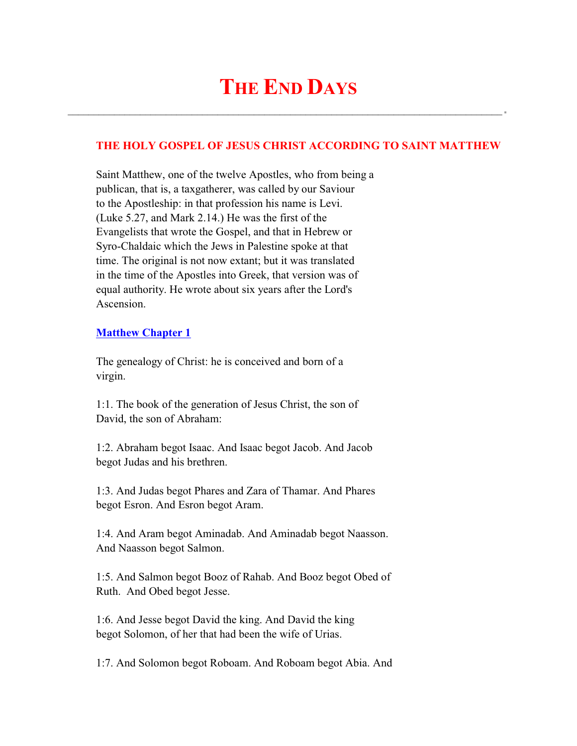$\mathcal{L}_\text{max}$  and  $\mathcal{L}_\text{max}$  and  $\mathcal{L}_\text{max}$  and  $\mathcal{L}_\text{max}$  and  $\mathcal{L}_\text{max}$  and  $\mathcal{L}_\text{max}$ 

# **THE HOLY GOSPEL OF JESUS CHRIST ACCORDING TO SAINT MATTHEW**

 Saint Matthew, one of the twelve Apostles, who from being a publican, that is, a taxgatherer, was called by our Saviour to the Apostleship: in that profession his name is Levi. (Luke 5.27, and Mark 2.14.) He was the first of the Evangelists that wrote the Gospel, and that in Hebrew or Syro-Chaldaic which the Jews in Palestine spoke at that time. The original is not now extant; but it was translated in the time of the Apostles into Greek, that version was of equal authority. He wrote about six years after the Lord's Ascension.

## **Matthew Chapter 1**

 The genealogy of Christ: he is conceived and born of a virgin.

 1:1. The book of the generation of Jesus Christ, the son of David, the son of Abraham:

 1:2. Abraham begot Isaac. And Isaac begot Jacob. And Jacob begot Judas and his brethren.

 1:3. And Judas begot Phares and Zara of Thamar. And Phares begot Esron. And Esron begot Aram.

 1:4. And Aram begot Aminadab. And Aminadab begot Naasson. And Naasson begot Salmon.

 1:5. And Salmon begot Booz of Rahab. And Booz begot Obed of Ruth. And Obed begot Jesse.

 1:6. And Jesse begot David the king. And David the king begot Solomon, of her that had been the wife of Urias.

1:7. And Solomon begot Roboam. And Roboam begot Abia. And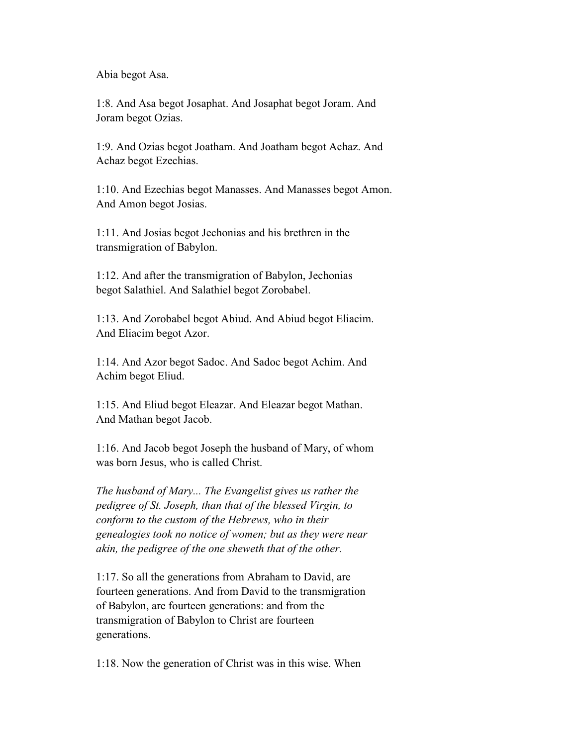Abia begot Asa.

 1:8. And Asa begot Josaphat. And Josaphat begot Joram. And Joram begot Ozias.

 1:9. And Ozias begot Joatham. And Joatham begot Achaz. And Achaz begot Ezechias.

 1:10. And Ezechias begot Manasses. And Manasses begot Amon. And Amon begot Josias.

 1:11. And Josias begot Jechonias and his brethren in the transmigration of Babylon.

 1:12. And after the transmigration of Babylon, Jechonias begot Salathiel. And Salathiel begot Zorobabel.

 1:13. And Zorobabel begot Abiud. And Abiud begot Eliacim. And Eliacim begot Azor.

 1:14. And Azor begot Sadoc. And Sadoc begot Achim. And Achim begot Eliud.

 1:15. And Eliud begot Eleazar. And Eleazar begot Mathan. And Mathan begot Jacob.

 1:16. And Jacob begot Joseph the husband of Mary, of whom was born Jesus, who is called Christ.

 *The husband of Mary... The Evangelist gives us rather the pedigree of St. Joseph, than that of the blessed Virgin, to conform to the custom of the Hebrews, who in their genealogies took no notice of women; but as they were near akin, the pedigree of the one sheweth that of the other.*

 1:17. So all the generations from Abraham to David, are fourteen generations. And from David to the transmigration of Babylon, are fourteen generations: and from the transmigration of Babylon to Christ are fourteen generations.

1:18. Now the generation of Christ was in this wise. When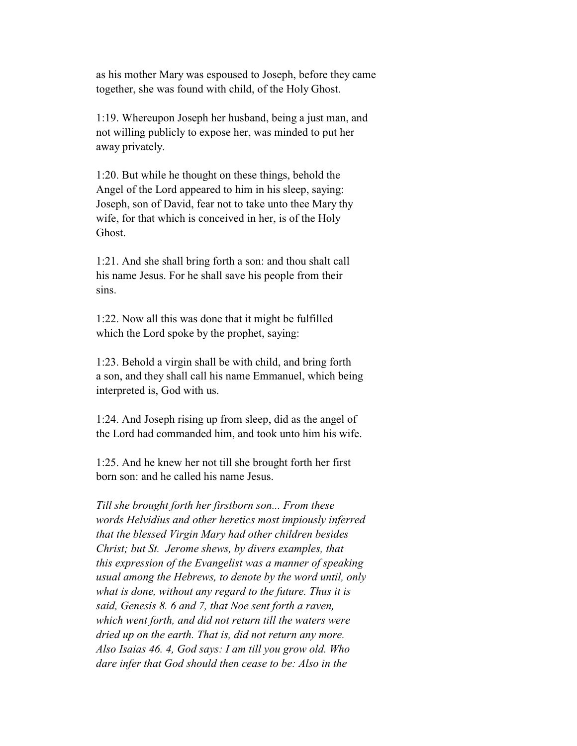as his mother Mary was espoused to Joseph, before they came together, she was found with child, of the Holy Ghost.

 1:19. Whereupon Joseph her husband, being a just man, and not willing publicly to expose her, was minded to put her away privately.

 1:20. But while he thought on these things, behold the Angel of the Lord appeared to him in his sleep, saying: Joseph, son of David, fear not to take unto thee Mary thy wife, for that which is conceived in her, is of the Holy Ghost.

 1:21. And she shall bring forth a son: and thou shalt call his name Jesus. For he shall save his people from their sins.

 1:22. Now all this was done that it might be fulfilled which the Lord spoke by the prophet, saying:

 1:23. Behold a virgin shall be with child, and bring forth a son, and they shall call his name Emmanuel, which being interpreted is, God with us.

 1:24. And Joseph rising up from sleep, did as the angel of the Lord had commanded him, and took unto him his wife.

 1:25. And he knew her not till she brought forth her first born son: and he called his name Jesus.

 *Till she brought forth her firstborn son... From these words Helvidius and other heretics most impiously inferred that the blessed Virgin Mary had other children besides Christ; but St. Jerome shews, by divers examples, that this expression of the Evangelist was a manner of speaking usual among the Hebrews, to denote by the word until, only what is done, without any regard to the future. Thus it is said, Genesis 8. 6 and 7, that Noe sent forth a raven, which went forth, and did not return till the waters were dried up on the earth. That is, did not return any more. Also Isaias 46. 4, God says: I am till you grow old. Who dare infer that God should then cease to be: Also in the*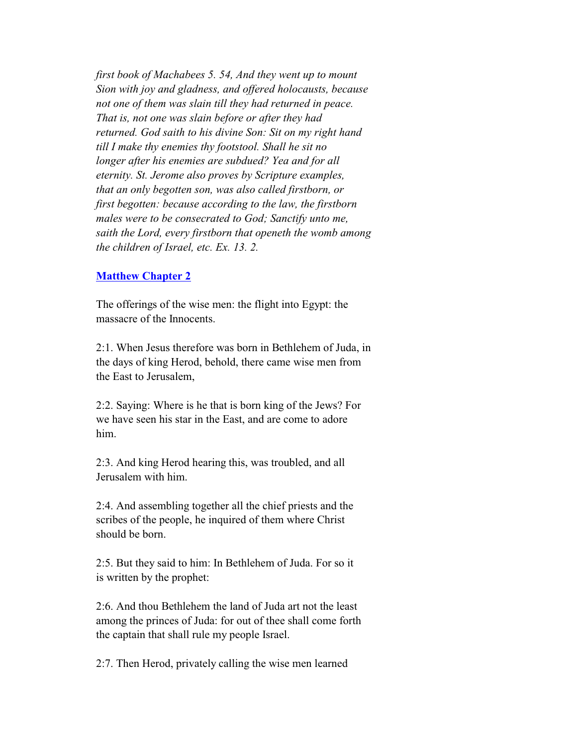*first book of Machabees 5. 54, And they went up to mount Sion with joy and gladness, and offered holocausts, because not one of them was slain till they had returned in peace. That is, not one was slain before or after they had returned. God saith to his divine Son: Sit on my right hand till I make thy enemies thy footstool. Shall he sit no longer after his enemies are subdued? Yea and for all eternity. St. Jerome also proves by Scripture examples, that an only begotten son, was also called firstborn, or first begotten: because according to the law, the firstborn males were to be consecrated to God; Sanctify unto me, saith the Lord, every firstborn that openeth the womb among the children of Israel, etc. Ex. 13. 2.*

### **Matthew Chapter 2**

 The offerings of the wise men: the flight into Egypt: the massacre of the Innocents.

 2:1. When Jesus therefore was born in Bethlehem of Juda, in the days of king Herod, behold, there came wise men from the East to Jerusalem,

 2:2. Saying: Where is he that is born king of the Jews? For we have seen his star in the East, and are come to adore him.

 2:3. And king Herod hearing this, was troubled, and all Jerusalem with him.

 2:4. And assembling together all the chief priests and the scribes of the people, he inquired of them where Christ should be born.

 2:5. But they said to him: In Bethlehem of Juda. For so it is written by the prophet:

 2:6. And thou Bethlehem the land of Juda art not the least among the princes of Juda: for out of thee shall come forth the captain that shall rule my people Israel.

2:7. Then Herod, privately calling the wise men learned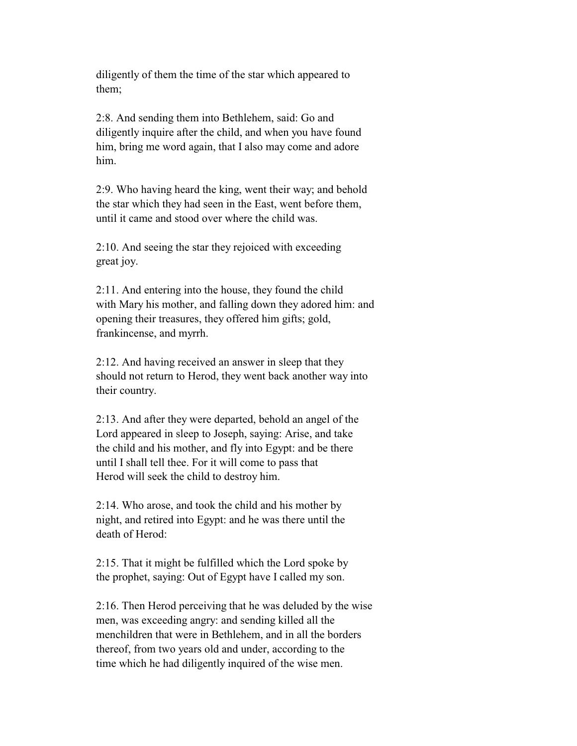diligently of them the time of the star which appeared to them;

 2:8. And sending them into Bethlehem, said: Go and diligently inquire after the child, and when you have found him, bring me word again, that I also may come and adore him.

 2:9. Who having heard the king, went their way; and behold the star which they had seen in the East, went before them, until it came and stood over where the child was.

 2:10. And seeing the star they rejoiced with exceeding great joy.

 2:11. And entering into the house, they found the child with Mary his mother, and falling down they adored him: and opening their treasures, they offered him gifts; gold, frankincense, and myrrh.

 2:12. And having received an answer in sleep that they should not return to Herod, they went back another way into their country.

 2:13. And after they were departed, behold an angel of the Lord appeared in sleep to Joseph, saying: Arise, and take the child and his mother, and fly into Egypt: and be there until I shall tell thee. For it will come to pass that Herod will seek the child to destroy him.

 2:14. Who arose, and took the child and his mother by night, and retired into Egypt: and he was there until the death of Herod:

 2:15. That it might be fulfilled which the Lord spoke by the prophet, saying: Out of Egypt have I called my son.

 2:16. Then Herod perceiving that he was deluded by the wise men, was exceeding angry: and sending killed all the menchildren that were in Bethlehem, and in all the borders thereof, from two years old and under, according to the time which he had diligently inquired of the wise men.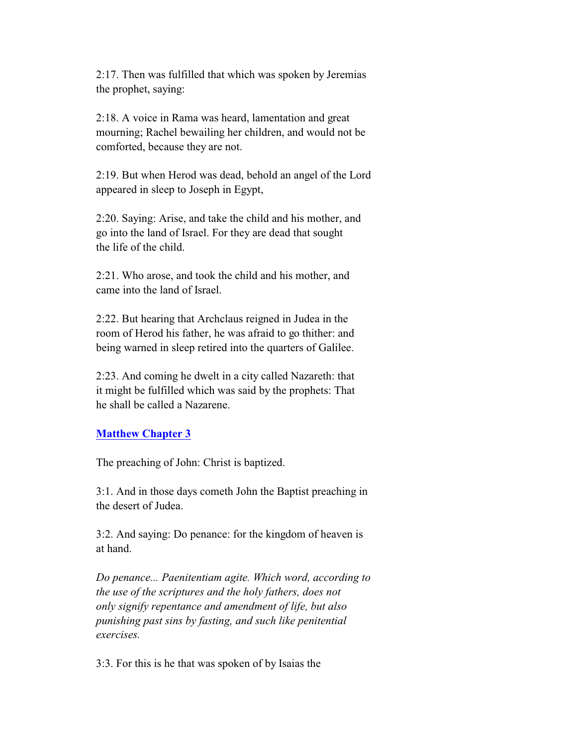2:17. Then was fulfilled that which was spoken by Jeremias the prophet, saying:

 2:18. A voice in Rama was heard, lamentation and great mourning; Rachel bewailing her children, and would not be comforted, because they are not.

 2:19. But when Herod was dead, behold an angel of the Lord appeared in sleep to Joseph in Egypt,

 2:20. Saying: Arise, and take the child and his mother, and go into the land of Israel. For they are dead that sought the life of the child.

 2:21. Who arose, and took the child and his mother, and came into the land of Israel.

 2:22. But hearing that Archclaus reigned in Judea in the room of Herod his father, he was afraid to go thither: and being warned in sleep retired into the quarters of Galilee.

 2:23. And coming he dwelt in a city called Nazareth: that it might be fulfilled which was said by the prophets: That he shall be called a Nazarene.

## **Matthew Chapter 3**

The preaching of John: Christ is baptized.

 3:1. And in those days cometh John the Baptist preaching in the desert of Judea.

 3:2. And saying: Do penance: for the kingdom of heaven is at hand.

 *Do penance... Paenitentiam agite. Which word, according to the use of the scriptures and the holy fathers, does not only signify repentance and amendment of life, but also punishing past sins by fasting, and such like penitential exercises.*

3:3. For this is he that was spoken of by Isaias the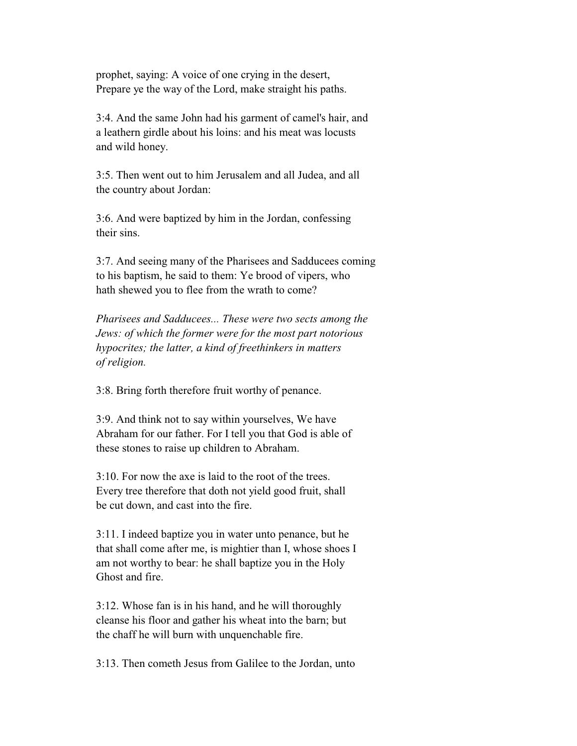prophet, saying: A voice of one crying in the desert, Prepare ye the way of the Lord, make straight his paths.

 3:4. And the same John had his garment of camel's hair, and a leathern girdle about his loins: and his meat was locusts and wild honey.

 3:5. Then went out to him Jerusalem and all Judea, and all the country about Jordan:

 3:6. And were baptized by him in the Jordan, confessing their sins.

 3:7. And seeing many of the Pharisees and Sadducees coming to his baptism, he said to them: Ye brood of vipers, who hath shewed you to flee from the wrath to come?

 *Pharisees and Sadducees... These were two sects among the Jews: of which the former were for the most part notorious hypocrites; the latter, a kind of freethinkers in matters of religion.*

3:8. Bring forth therefore fruit worthy of penance.

 3:9. And think not to say within yourselves, We have Abraham for our father. For I tell you that God is able of these stones to raise up children to Abraham.

 3:10. For now the axe is laid to the root of the trees. Every tree therefore that doth not yield good fruit, shall be cut down, and cast into the fire.

 3:11. I indeed baptize you in water unto penance, but he that shall come after me, is mightier than I, whose shoes I am not worthy to bear: he shall baptize you in the Holy Ghost and fire.

 3:12. Whose fan is in his hand, and he will thoroughly cleanse his floor and gather his wheat into the barn; but the chaff he will burn with unquenchable fire.

3:13. Then cometh Jesus from Galilee to the Jordan, unto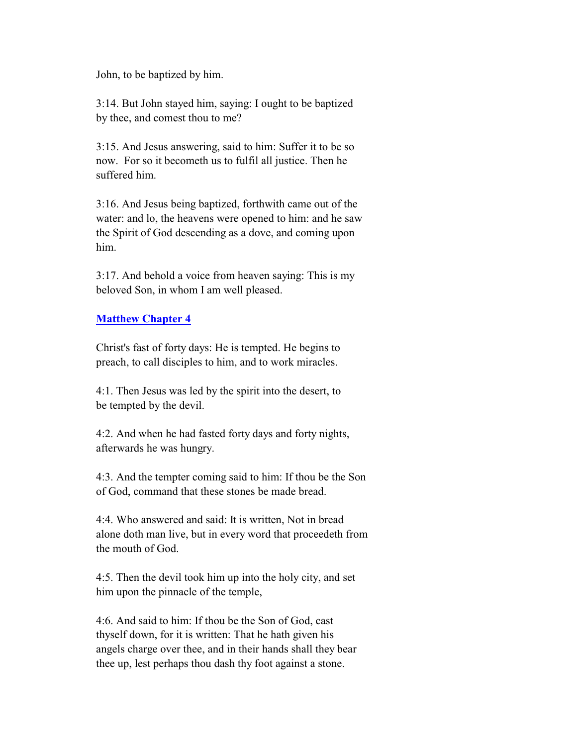John, to be baptized by him.

 3:14. But John stayed him, saying: I ought to be baptized by thee, and comest thou to me?

 3:15. And Jesus answering, said to him: Suffer it to be so now. For so it becometh us to fulfil all justice. Then he suffered him.

 3:16. And Jesus being baptized, forthwith came out of the water: and lo, the heavens were opened to him: and he saw the Spirit of God descending as a dove, and coming upon him.

 3:17. And behold a voice from heaven saying: This is my beloved Son, in whom I am well pleased.

## **Matthew Chapter 4**

 Christ's fast of forty days: He is tempted. He begins to preach, to call disciples to him, and to work miracles.

 4:1. Then Jesus was led by the spirit into the desert, to be tempted by the devil.

 4:2. And when he had fasted forty days and forty nights, afterwards he was hungry.

 4:3. And the tempter coming said to him: If thou be the Son of God, command that these stones be made bread.

 4:4. Who answered and said: It is written, Not in bread alone doth man live, but in every word that proceedeth from the mouth of God.

 4:5. Then the devil took him up into the holy city, and set him upon the pinnacle of the temple,

 4:6. And said to him: If thou be the Son of God, cast thyself down, for it is written: That he hath given his angels charge over thee, and in their hands shall they bear thee up, lest perhaps thou dash thy foot against a stone.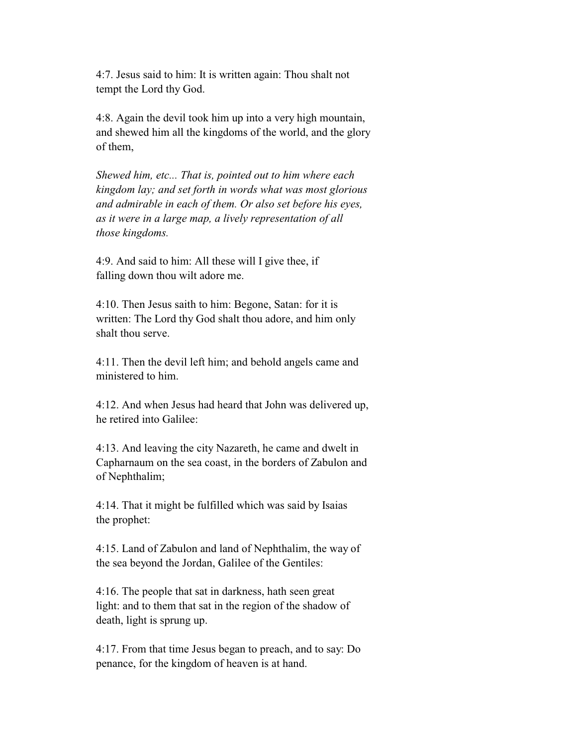4:7. Jesus said to him: It is written again: Thou shalt not tempt the Lord thy God.

 4:8. Again the devil took him up into a very high mountain, and shewed him all the kingdoms of the world, and the glory of them,

 *Shewed him, etc... That is, pointed out to him where each kingdom lay; and set forth in words what was most glorious and admirable in each of them. Or also set before his eyes, as it were in a large map, a lively representation of all those kingdoms.*

 4:9. And said to him: All these will I give thee, if falling down thou wilt adore me.

 4:10. Then Jesus saith to him: Begone, Satan: for it is written: The Lord thy God shalt thou adore, and him only shalt thou serve.

 4:11. Then the devil left him; and behold angels came and ministered to him.

 4:12. And when Jesus had heard that John was delivered up, he retired into Galilee:

 4:13. And leaving the city Nazareth, he came and dwelt in Capharnaum on the sea coast, in the borders of Zabulon and of Nephthalim;

 4:14. That it might be fulfilled which was said by Isaias the prophet:

 4:15. Land of Zabulon and land of Nephthalim, the way of the sea beyond the Jordan, Galilee of the Gentiles:

 4:16. The people that sat in darkness, hath seen great light: and to them that sat in the region of the shadow of death, light is sprung up.

 4:17. From that time Jesus began to preach, and to say: Do penance, for the kingdom of heaven is at hand.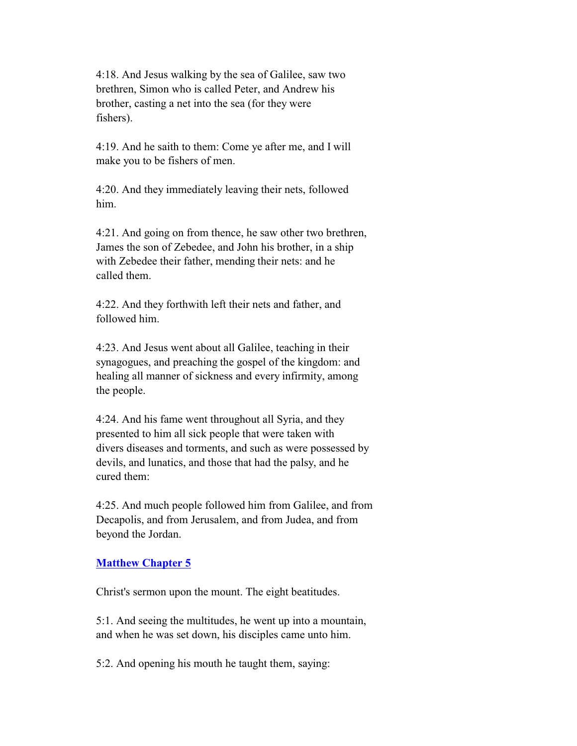4:18. And Jesus walking by the sea of Galilee, saw two brethren, Simon who is called Peter, and Andrew his brother, casting a net into the sea (for they were fishers).

 4:19. And he saith to them: Come ye after me, and I will make you to be fishers of men.

 4:20. And they immediately leaving their nets, followed him.

 4:21. And going on from thence, he saw other two brethren, James the son of Zebedee, and John his brother, in a ship with Zebedee their father, mending their nets: and he called them.

 4:22. And they forthwith left their nets and father, and followed him.

 4:23. And Jesus went about all Galilee, teaching in their synagogues, and preaching the gospel of the kingdom: and healing all manner of sickness and every infirmity, among the people.

 4:24. And his fame went throughout all Syria, and they presented to him all sick people that were taken with divers diseases and torments, and such as were possessed by devils, and lunatics, and those that had the palsy, and he cured them:

 4:25. And much people followed him from Galilee, and from Decapolis, and from Jerusalem, and from Judea, and from beyond the Jordan.

### **Matthew Chapter 5**

Christ's sermon upon the mount. The eight beatitudes.

 5:1. And seeing the multitudes, he went up into a mountain, and when he was set down, his disciples came unto him.

5:2. And opening his mouth he taught them, saying: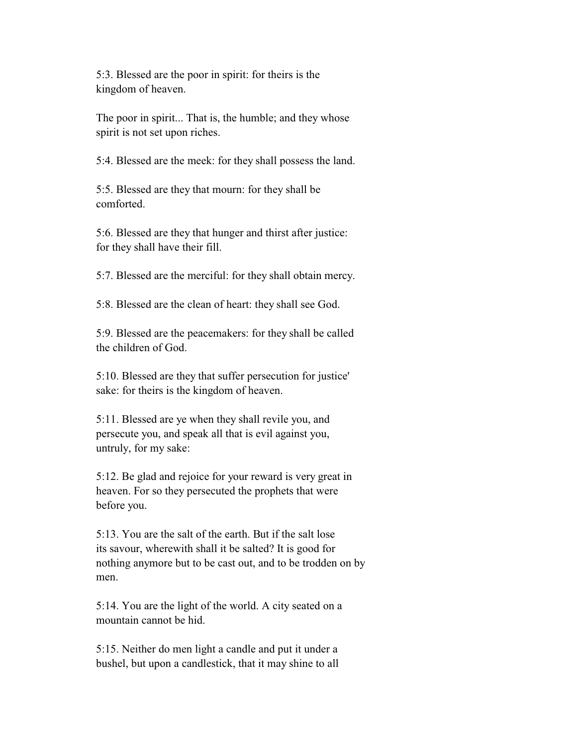5:3. Blessed are the poor in spirit: for theirs is the kingdom of heaven.

 The poor in spirit... That is, the humble; and they whose spirit is not set upon riches.

5:4. Blessed are the meek: for they shall possess the land.

 5:5. Blessed are they that mourn: for they shall be comforted.

 5:6. Blessed are they that hunger and thirst after justice: for they shall have their fill.

5:7. Blessed are the merciful: for they shall obtain mercy.

5:8. Blessed are the clean of heart: they shall see God.

 5:9. Blessed are the peacemakers: for they shall be called the children of God.

 5:10. Blessed are they that suffer persecution for justice' sake: for theirs is the kingdom of heaven.

 5:11. Blessed are ye when they shall revile you, and persecute you, and speak all that is evil against you, untruly, for my sake:

 5:12. Be glad and rejoice for your reward is very great in heaven. For so they persecuted the prophets that were before you.

 5:13. You are the salt of the earth. But if the salt lose its savour, wherewith shall it be salted? It is good for nothing anymore but to be cast out, and to be trodden on by men.

 5:14. You are the light of the world. A city seated on a mountain cannot be hid.

 5:15. Neither do men light a candle and put it under a bushel, but upon a candlestick, that it may shine to all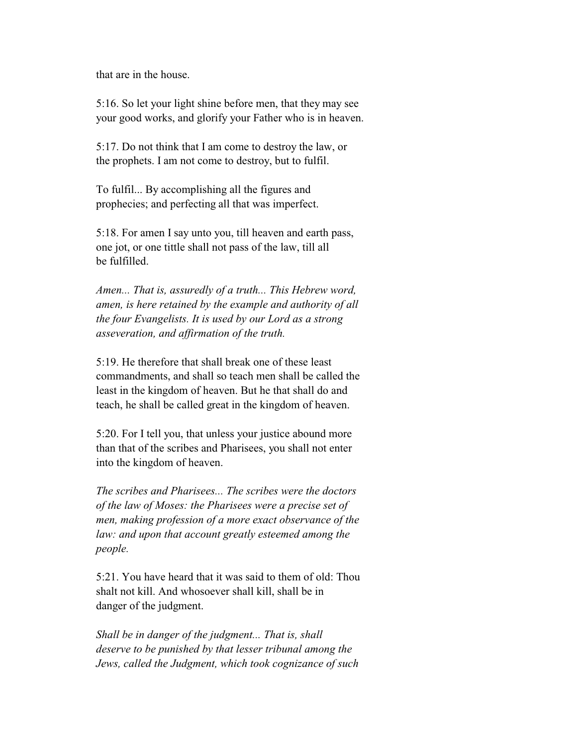that are in the house.

 5:16. So let your light shine before men, that they may see your good works, and glorify your Father who is in heaven.

 5:17. Do not think that I am come to destroy the law, or the prophets. I am not come to destroy, but to fulfil.

 To fulfil... By accomplishing all the figures and prophecies; and perfecting all that was imperfect.

 5:18. For amen I say unto you, till heaven and earth pass, one jot, or one tittle shall not pass of the law, till all be fulfilled.

 *Amen... That is, assuredly of a truth... This Hebrew word, amen, is here retained by the example and authority of all the four Evangelists. It is used by our Lord as a strong asseveration, and affirmation of the truth.*

 5:19. He therefore that shall break one of these least commandments, and shall so teach men shall be called the least in the kingdom of heaven. But he that shall do and teach, he shall be called great in the kingdom of heaven.

 5:20. For I tell you, that unless your justice abound more than that of the scribes and Pharisees, you shall not enter into the kingdom of heaven.

 *The scribes and Pharisees... The scribes were the doctors of the law of Moses: the Pharisees were a precise set of men, making profession of a more exact observance of the law: and upon that account greatly esteemed among the people.*

 5:21. You have heard that it was said to them of old: Thou shalt not kill. And whosoever shall kill, shall be in danger of the judgment.

 *Shall be in danger of the judgment... That is, shall deserve to be punished by that lesser tribunal among the Jews, called the Judgment, which took cognizance of such*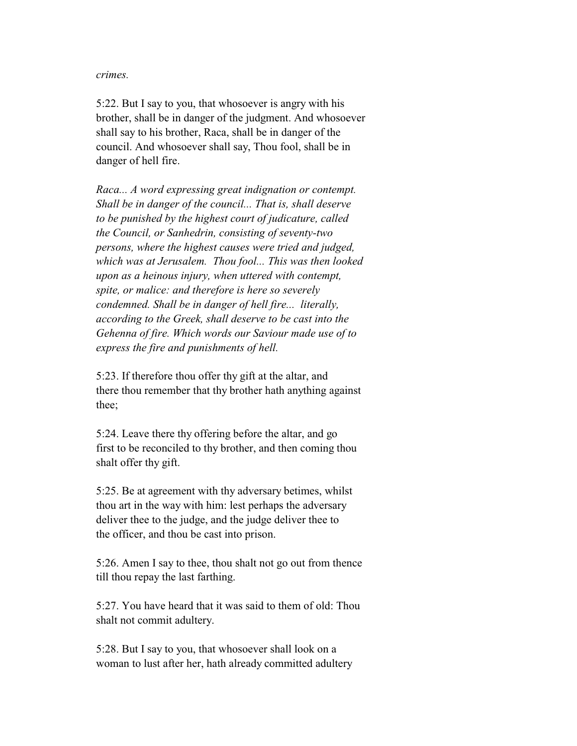#### *crimes.*

 5:22. But I say to you, that whosoever is angry with his brother, shall be in danger of the judgment. And whosoever shall say to his brother, Raca, shall be in danger of the council. And whosoever shall say, Thou fool, shall be in danger of hell fire.

 *Raca... A word expressing great indignation or contempt. Shall be in danger of the council... That is, shall deserve to be punished by the highest court of judicature, called the Council, or Sanhedrin, consisting of seventy-two persons, where the highest causes were tried and judged, which was at Jerusalem. Thou fool... This was then looked upon as a heinous injury, when uttered with contempt, spite, or malice: and therefore is here so severely condemned. Shall be in danger of hell fire... literally, according to the Greek, shall deserve to be cast into the Gehenna of fire. Which words our Saviour made use of to express the fire and punishments of hell.*

 5:23. If therefore thou offer thy gift at the altar, and there thou remember that thy brother hath anything against thee;

 5:24. Leave there thy offering before the altar, and go first to be reconciled to thy brother, and then coming thou shalt offer thy gift.

 5:25. Be at agreement with thy adversary betimes, whilst thou art in the way with him: lest perhaps the adversary deliver thee to the judge, and the judge deliver thee to the officer, and thou be cast into prison.

 5:26. Amen I say to thee, thou shalt not go out from thence till thou repay the last farthing.

 5:27. You have heard that it was said to them of old: Thou shalt not commit adultery.

 5:28. But I say to you, that whosoever shall look on a woman to lust after her, hath already committed adultery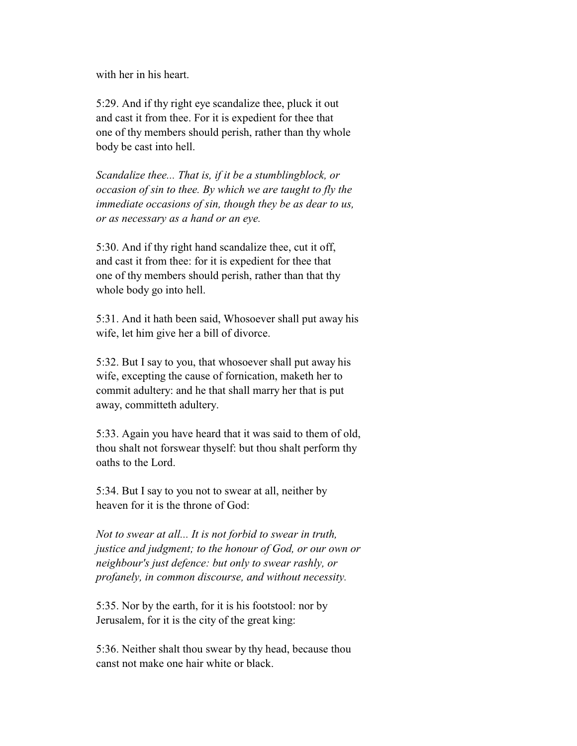with her in his heart.

 5:29. And if thy right eye scandalize thee, pluck it out and cast it from thee. For it is expedient for thee that one of thy members should perish, rather than thy whole body be cast into hell.

 *Scandalize thee... That is, if it be a stumblingblock, or occasion of sin to thee. By which we are taught to fly the immediate occasions of sin, though they be as dear to us, or as necessary as a hand or an eye.*

 5:30. And if thy right hand scandalize thee, cut it off, and cast it from thee: for it is expedient for thee that one of thy members should perish, rather than that thy whole body go into hell.

 5:31. And it hath been said, Whosoever shall put away his wife, let him give her a bill of divorce.

 5:32. But I say to you, that whosoever shall put away his wife, excepting the cause of fornication, maketh her to commit adultery: and he that shall marry her that is put away, committeth adultery.

 5:33. Again you have heard that it was said to them of old, thou shalt not forswear thyself: but thou shalt perform thy oaths to the Lord.

 5:34. But I say to you not to swear at all, neither by heaven for it is the throne of God:

 *Not to swear at all... It is not forbid to swear in truth, justice and judgment; to the honour of God, or our own or neighbour's just defence: but only to swear rashly, or profanely, in common discourse, and without necessity.*

 5:35. Nor by the earth, for it is his footstool: nor by Jerusalem, for it is the city of the great king:

 5:36. Neither shalt thou swear by thy head, because thou canst not make one hair white or black.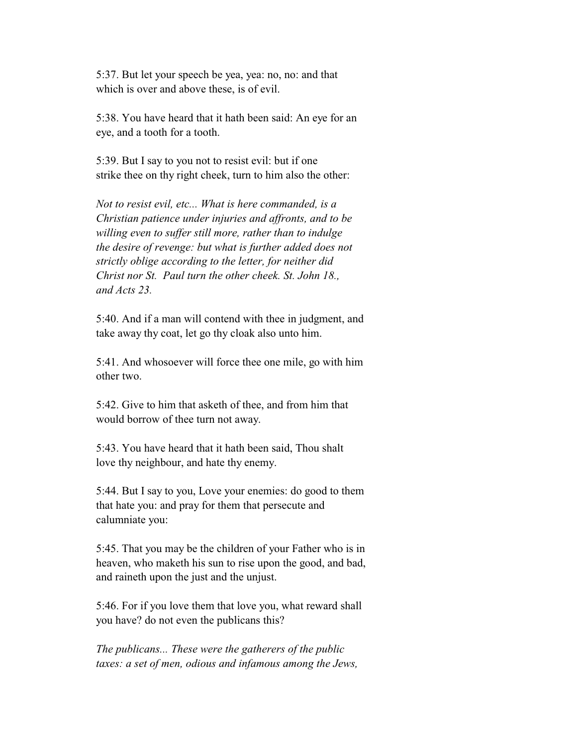5:37. But let your speech be yea, yea: no, no: and that which is over and above these, is of evil.

 5:38. You have heard that it hath been said: An eye for an eye, and a tooth for a tooth.

 5:39. But I say to you not to resist evil: but if one strike thee on thy right cheek, turn to him also the other:

 *Not to resist evil, etc... What is here commanded, is a Christian patience under injuries and affronts, and to be willing even to suffer still more, rather than to indulge the desire of revenge: but what is further added does not strictly oblige according to the letter, for neither did Christ nor St. Paul turn the other cheek. St. John 18., and Acts 23.*

 5:40. And if a man will contend with thee in judgment, and take away thy coat, let go thy cloak also unto him.

 5:41. And whosoever will force thee one mile, go with him other two.

 5:42. Give to him that asketh of thee, and from him that would borrow of thee turn not away.

 5:43. You have heard that it hath been said, Thou shalt love thy neighbour, and hate thy enemy.

 5:44. But I say to you, Love your enemies: do good to them that hate you: and pray for them that persecute and calumniate you:

 5:45. That you may be the children of your Father who is in heaven, who maketh his sun to rise upon the good, and bad, and raineth upon the just and the unjust.

 5:46. For if you love them that love you, what reward shall you have? do not even the publicans this?

 *The publicans... These were the gatherers of the public taxes: a set of men, odious and infamous among the Jews,*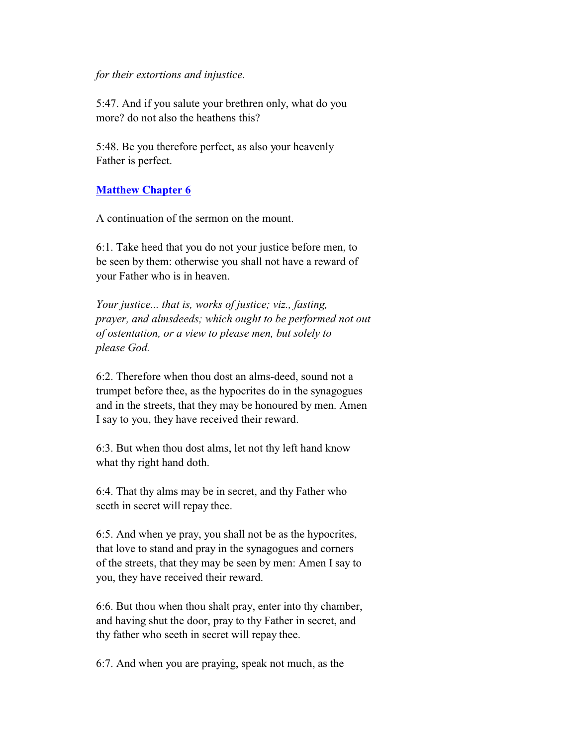#### *for their extortions and injustice.*

 5:47. And if you salute your brethren only, what do you more? do not also the heathens this?

 5:48. Be you therefore perfect, as also your heavenly Father is perfect.

### **Matthew Chapter 6**

A continuation of the sermon on the mount.

 6:1. Take heed that you do not your justice before men, to be seen by them: otherwise you shall not have a reward of your Father who is in heaven.

 *Your justice... that is, works of justice; viz., fasting, prayer, and almsdeeds; which ought to be performed not out of ostentation, or a view to please men, but solely to please God.*

 6:2. Therefore when thou dost an alms-deed, sound not a trumpet before thee, as the hypocrites do in the synagogues and in the streets, that they may be honoured by men. Amen I say to you, they have received their reward.

 6:3. But when thou dost alms, let not thy left hand know what thy right hand doth.

 6:4. That thy alms may be in secret, and thy Father who seeth in secret will repay thee.

 6:5. And when ye pray, you shall not be as the hypocrites, that love to stand and pray in the synagogues and corners of the streets, that they may be seen by men: Amen I say to you, they have received their reward.

 6:6. But thou when thou shalt pray, enter into thy chamber, and having shut the door, pray to thy Father in secret, and thy father who seeth in secret will repay thee.

6:7. And when you are praying, speak not much, as the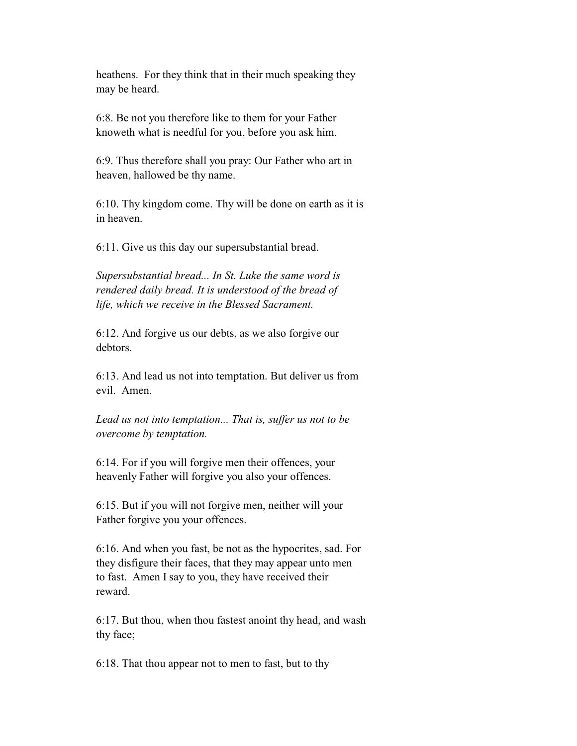heathens. For they think that in their much speaking they may be heard.

 6:8. Be not you therefore like to them for your Father knoweth what is needful for you, before you ask him.

 6:9. Thus therefore shall you pray: Our Father who art in heaven, hallowed be thy name.

 6:10. Thy kingdom come. Thy will be done on earth as it is in heaven.

6:11. Give us this day our supersubstantial bread.

 *Supersubstantial bread... In St. Luke the same word is rendered daily bread. It is understood of the bread of life, which we receive in the Blessed Sacrament.*

 6:12. And forgive us our debts, as we also forgive our debtors.

 6:13. And lead us not into temptation. But deliver us from evil. Amen.

 *Lead us not into temptation... That is, suffer us not to be overcome by temptation.*

 6:14. For if you will forgive men their offences, your heavenly Father will forgive you also your offences.

 6:15. But if you will not forgive men, neither will your Father forgive you your offences.

 6:16. And when you fast, be not as the hypocrites, sad. For they disfigure their faces, that they may appear unto men to fast. Amen I say to you, they have received their reward.

 6:17. But thou, when thou fastest anoint thy head, and wash thy face;

6:18. That thou appear not to men to fast, but to thy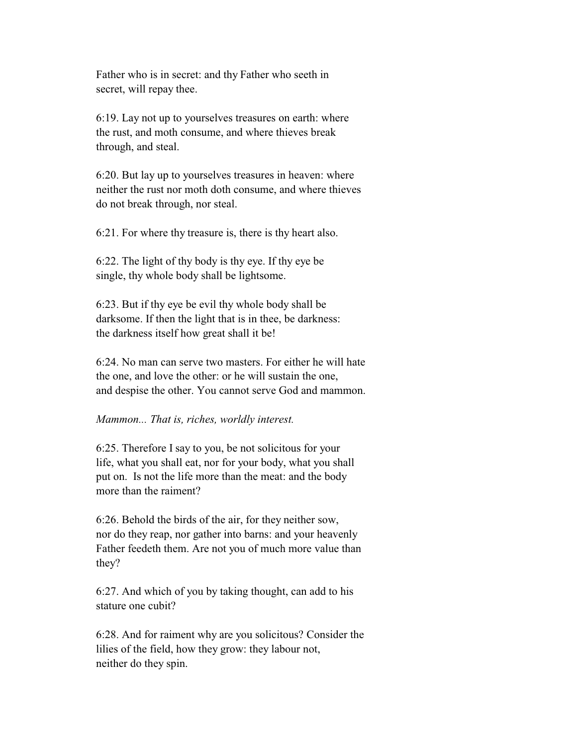Father who is in secret: and thy Father who seeth in secret, will repay thee.

 6:19. Lay not up to yourselves treasures on earth: where the rust, and moth consume, and where thieves break through, and steal.

 6:20. But lay up to yourselves treasures in heaven: where neither the rust nor moth doth consume, and where thieves do not break through, nor steal.

6:21. For where thy treasure is, there is thy heart also.

 6:22. The light of thy body is thy eye. If thy eye be single, thy whole body shall be lightsome.

 6:23. But if thy eye be evil thy whole body shall be darksome. If then the light that is in thee, be darkness: the darkness itself how great shall it be!

 6:24. No man can serve two masters. For either he will hate the one, and love the other: or he will sustain the one, and despise the other. You cannot serve God and mammon.

#### *Mammon... That is, riches, worldly interest.*

 6:25. Therefore I say to you, be not solicitous for your life, what you shall eat, nor for your body, what you shall put on. Is not the life more than the meat: and the body more than the raiment?

 6:26. Behold the birds of the air, for they neither sow, nor do they reap, nor gather into barns: and your heavenly Father feedeth them. Are not you of much more value than they?

 6:27. And which of you by taking thought, can add to his stature one cubit?

 6:28. And for raiment why are you solicitous? Consider the lilies of the field, how they grow: they labour not, neither do they spin.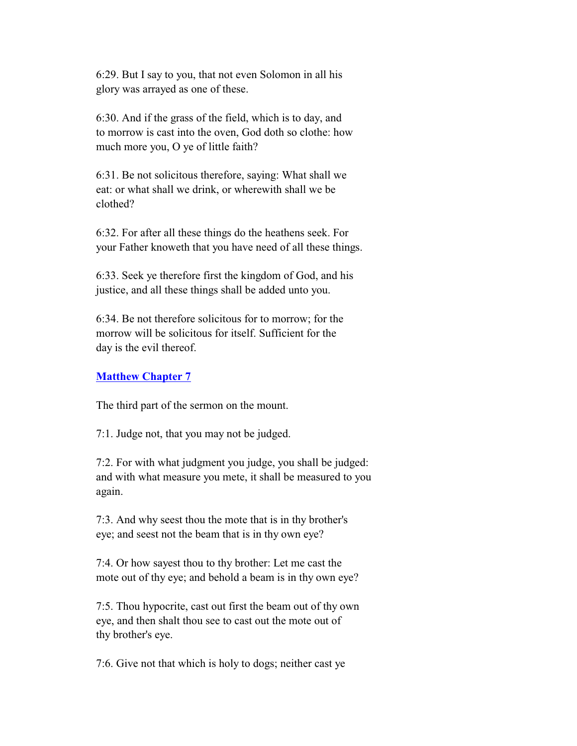6:29. But I say to you, that not even Solomon in all his glory was arrayed as one of these.

 6:30. And if the grass of the field, which is to day, and to morrow is cast into the oven, God doth so clothe: how much more you, O ye of little faith?

 6:31. Be not solicitous therefore, saying: What shall we eat: or what shall we drink, or wherewith shall we be clothed?

 6:32. For after all these things do the heathens seek. For your Father knoweth that you have need of all these things.

 6:33. Seek ye therefore first the kingdom of God, and his justice, and all these things shall be added unto you.

 6:34. Be not therefore solicitous for to morrow; for the morrow will be solicitous for itself. Sufficient for the day is the evil thereof.

## **Matthew Chapter 7**

The third part of the sermon on the mount.

7:1. Judge not, that you may not be judged.

 7:2. For with what judgment you judge, you shall be judged: and with what measure you mete, it shall be measured to you again.

 7:3. And why seest thou the mote that is in thy brother's eye; and seest not the beam that is in thy own eye?

 7:4. Or how sayest thou to thy brother: Let me cast the mote out of thy eye; and behold a beam is in thy own eye?

 7:5. Thou hypocrite, cast out first the beam out of thy own eye, and then shalt thou see to cast out the mote out of thy brother's eye.

7:6. Give not that which is holy to dogs; neither cast ye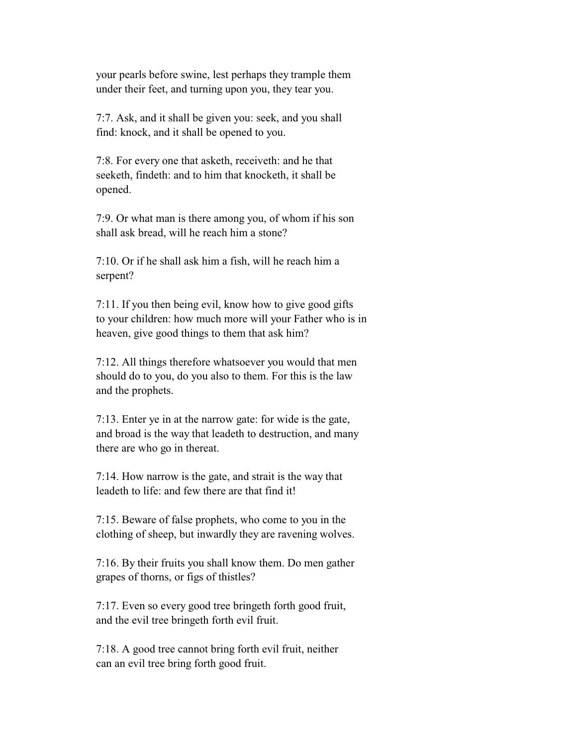your pearls before swine, lest perhaps they trample them under their feet, and turning upon you, they tear you.

 7:7. Ask, and it shall be given you: seek, and you shall find: knock, and it shall be opened to you.

 7:8. For every one that asketh, receiveth: and he that seeketh, findeth: and to him that knocketh, it shall be opened.

 7:9. Or what man is there among you, of whom if his son shall ask bread, will he reach him a stone?

 7:10. Or if he shall ask him a fish, will he reach him a serpent?

 7:11. If you then being evil, know how to give good gifts to your children: how much more will your Father who is in heaven, give good things to them that ask him?

 7:12. All things therefore whatsoever you would that men should do to you, do you also to them. For this is the law and the prophets.

 7:13. Enter ye in at the narrow gate: for wide is the gate, and broad is the way that leadeth to destruction, and many there are who go in thereat.

 7:14. How narrow is the gate, and strait is the way that leadeth to life: and few there are that find it!

 7:15. Beware of false prophets, who come to you in the clothing of sheep, but inwardly they are ravening wolves.

 7:16. By their fruits you shall know them. Do men gather grapes of thorns, or figs of thistles?

 7:17. Even so every good tree bringeth forth good fruit, and the evil tree bringeth forth evil fruit.

 7:18. A good tree cannot bring forth evil fruit, neither can an evil tree bring forth good fruit.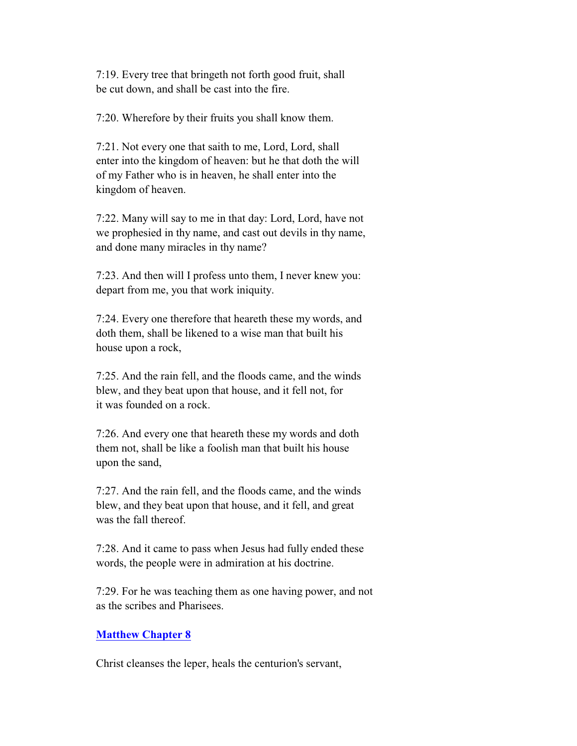7:19. Every tree that bringeth not forth good fruit, shall be cut down, and shall be cast into the fire.

7:20. Wherefore by their fruits you shall know them.

 7:21. Not every one that saith to me, Lord, Lord, shall enter into the kingdom of heaven: but he that doth the will of my Father who is in heaven, he shall enter into the kingdom of heaven.

 7:22. Many will say to me in that day: Lord, Lord, have not we prophesied in thy name, and cast out devils in thy name, and done many miracles in thy name?

 7:23. And then will I profess unto them, I never knew you: depart from me, you that work iniquity.

 7:24. Every one therefore that heareth these my words, and doth them, shall be likened to a wise man that built his house upon a rock,

 7:25. And the rain fell, and the floods came, and the winds blew, and they beat upon that house, and it fell not, for it was founded on a rock.

 7:26. And every one that heareth these my words and doth them not, shall be like a foolish man that built his house upon the sand,

 7:27. And the rain fell, and the floods came, and the winds blew, and they beat upon that house, and it fell, and great was the fall thereof.

 7:28. And it came to pass when Jesus had fully ended these words, the people were in admiration at his doctrine.

 7:29. For he was teaching them as one having power, and not as the scribes and Pharisees.

### **Matthew Chapter 8**

Christ cleanses the leper, heals the centurion's servant,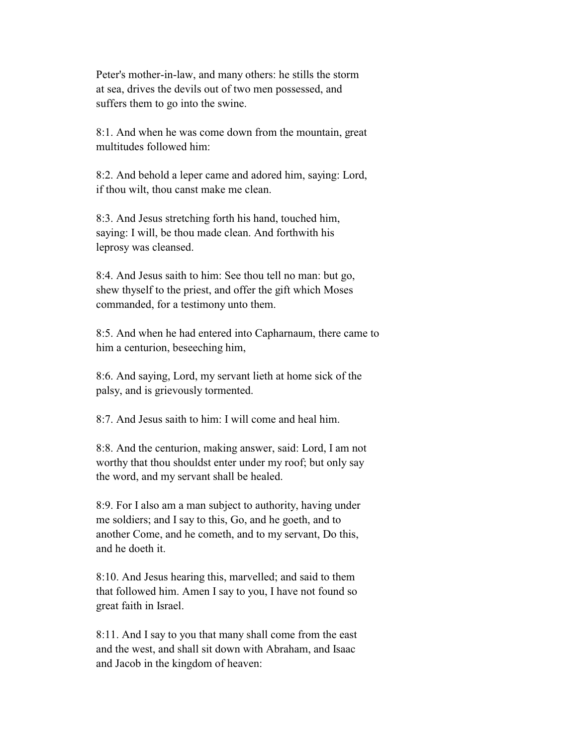Peter's mother-in-law, and many others: he stills the storm at sea, drives the devils out of two men possessed, and suffers them to go into the swine.

 8:1. And when he was come down from the mountain, great multitudes followed him:

 8:2. And behold a leper came and adored him, saying: Lord, if thou wilt, thou canst make me clean.

 8:3. And Jesus stretching forth his hand, touched him, saying: I will, be thou made clean. And forthwith his leprosy was cleansed.

 8:4. And Jesus saith to him: See thou tell no man: but go, shew thyself to the priest, and offer the gift which Moses commanded, for a testimony unto them.

 8:5. And when he had entered into Capharnaum, there came to him a centurion, beseeching him,

 8:6. And saying, Lord, my servant lieth at home sick of the palsy, and is grievously tormented.

8:7. And Jesus saith to him: I will come and heal him.

 8:8. And the centurion, making answer, said: Lord, I am not worthy that thou shouldst enter under my roof; but only say the word, and my servant shall be healed.

 8:9. For I also am a man subject to authority, having under me soldiers; and I say to this, Go, and he goeth, and to another Come, and he cometh, and to my servant, Do this, and he doeth it.

 8:10. And Jesus hearing this, marvelled; and said to them that followed him. Amen I say to you, I have not found so great faith in Israel.

 8:11. And I say to you that many shall come from the east and the west, and shall sit down with Abraham, and Isaac and Jacob in the kingdom of heaven: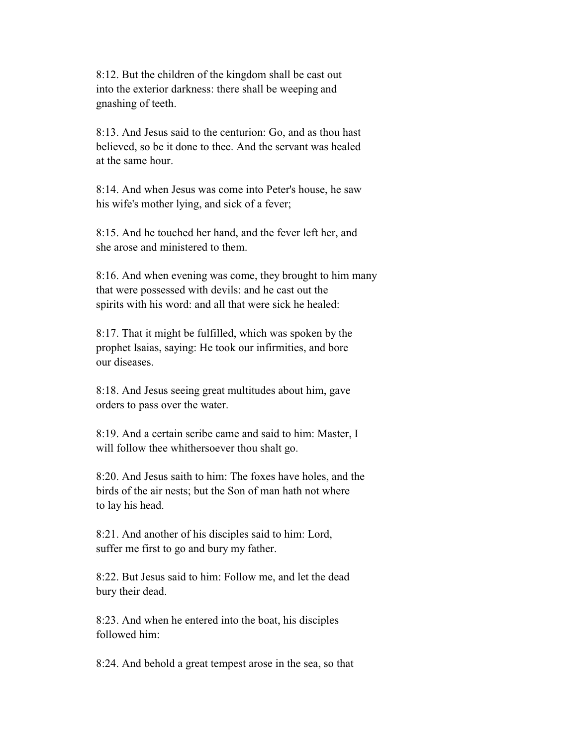8:12. But the children of the kingdom shall be cast out into the exterior darkness: there shall be weeping and gnashing of teeth.

 8:13. And Jesus said to the centurion: Go, and as thou hast believed, so be it done to thee. And the servant was healed at the same hour.

 8:14. And when Jesus was come into Peter's house, he saw his wife's mother lying, and sick of a fever;

 8:15. And he touched her hand, and the fever left her, and she arose and ministered to them.

 8:16. And when evening was come, they brought to him many that were possessed with devils: and he cast out the spirits with his word: and all that were sick he healed:

 8:17. That it might be fulfilled, which was spoken by the prophet Isaias, saying: He took our infirmities, and bore our diseases.

 8:18. And Jesus seeing great multitudes about him, gave orders to pass over the water.

 8:19. And a certain scribe came and said to him: Master, I will follow thee whithersoever thou shalt go.

 8:20. And Jesus saith to him: The foxes have holes, and the birds of the air nests; but the Son of man hath not where to lay his head.

 8:21. And another of his disciples said to him: Lord, suffer me first to go and bury my father.

 8:22. But Jesus said to him: Follow me, and let the dead bury their dead.

 8:23. And when he entered into the boat, his disciples followed him:

8:24. And behold a great tempest arose in the sea, so that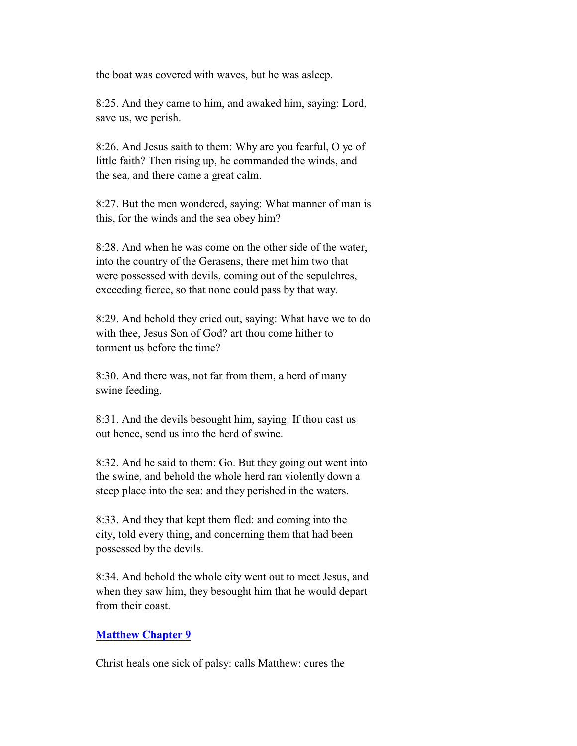the boat was covered with waves, but he was asleep.

 8:25. And they came to him, and awaked him, saying: Lord, save us, we perish.

 8:26. And Jesus saith to them: Why are you fearful, O ye of little faith? Then rising up, he commanded the winds, and the sea, and there came a great calm.

 8:27. But the men wondered, saying: What manner of man is this, for the winds and the sea obey him?

 8:28. And when he was come on the other side of the water, into the country of the Gerasens, there met him two that were possessed with devils, coming out of the sepulchres, exceeding fierce, so that none could pass by that way.

 8:29. And behold they cried out, saying: What have we to do with thee, Jesus Son of God? art thou come hither to torment us before the time?

 8:30. And there was, not far from them, a herd of many swine feeding.

 8:31. And the devils besought him, saying: If thou cast us out hence, send us into the herd of swine.

 8:32. And he said to them: Go. But they going out went into the swine, and behold the whole herd ran violently down a steep place into the sea: and they perished in the waters.

 8:33. And they that kept them fled: and coming into the city, told every thing, and concerning them that had been possessed by the devils.

 8:34. And behold the whole city went out to meet Jesus, and when they saw him, they besought him that he would depart from their coast.

## **Matthew Chapter 9**

Christ heals one sick of palsy: calls Matthew: cures the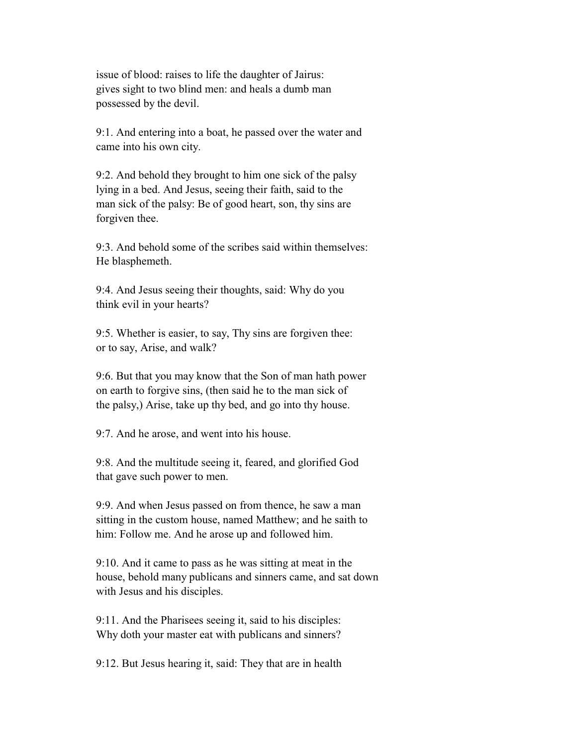issue of blood: raises to life the daughter of Jairus: gives sight to two blind men: and heals a dumb man possessed by the devil.

 9:1. And entering into a boat, he passed over the water and came into his own city.

 9:2. And behold they brought to him one sick of the palsy lying in a bed. And Jesus, seeing their faith, said to the man sick of the palsy: Be of good heart, son, thy sins are forgiven thee.

 9:3. And behold some of the scribes said within themselves: He blasphemeth.

 9:4. And Jesus seeing their thoughts, said: Why do you think evil in your hearts?

 9:5. Whether is easier, to say, Thy sins are forgiven thee: or to say, Arise, and walk?

 9:6. But that you may know that the Son of man hath power on earth to forgive sins, (then said he to the man sick of the palsy,) Arise, take up thy bed, and go into thy house.

9:7. And he arose, and went into his house.

 9:8. And the multitude seeing it, feared, and glorified God that gave such power to men.

 9:9. And when Jesus passed on from thence, he saw a man sitting in the custom house, named Matthew; and he saith to him: Follow me. And he arose up and followed him.

 9:10. And it came to pass as he was sitting at meat in the house, behold many publicans and sinners came, and sat down with Jesus and his disciples.

 9:11. And the Pharisees seeing it, said to his disciples: Why doth your master eat with publicans and sinners?

9:12. But Jesus hearing it, said: They that are in health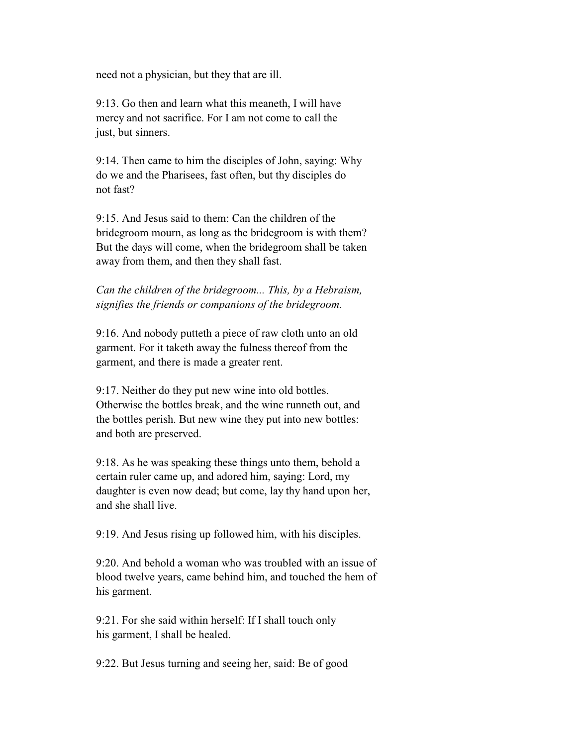need not a physician, but they that are ill.

 9:13. Go then and learn what this meaneth, I will have mercy and not sacrifice. For I am not come to call the just, but sinners.

 9:14. Then came to him the disciples of John, saying: Why do we and the Pharisees, fast often, but thy disciples do not fast?

 9:15. And Jesus said to them: Can the children of the bridegroom mourn, as long as the bridegroom is with them? But the days will come, when the bridegroom shall be taken away from them, and then they shall fast.

 *Can the children of the bridegroom... This, by a Hebraism, signifies the friends or companions of the bridegroom.*

 9:16. And nobody putteth a piece of raw cloth unto an old garment. For it taketh away the fulness thereof from the garment, and there is made a greater rent.

 9:17. Neither do they put new wine into old bottles. Otherwise the bottles break, and the wine runneth out, and the bottles perish. But new wine they put into new bottles: and both are preserved.

 9:18. As he was speaking these things unto them, behold a certain ruler came up, and adored him, saying: Lord, my daughter is even now dead; but come, lay thy hand upon her, and she shall live.

9:19. And Jesus rising up followed him, with his disciples.

 9:20. And behold a woman who was troubled with an issue of blood twelve years, came behind him, and touched the hem of his garment.

 9:21. For she said within herself: If I shall touch only his garment, I shall be healed.

9:22. But Jesus turning and seeing her, said: Be of good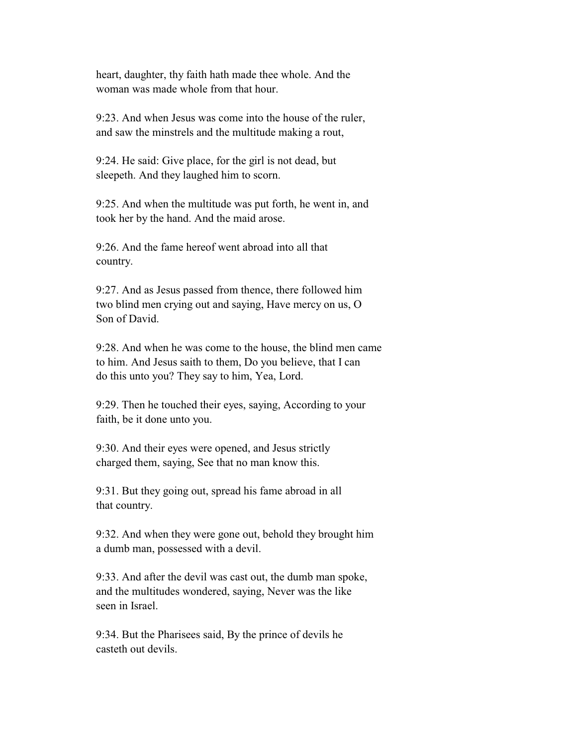heart, daughter, thy faith hath made thee whole. And the woman was made whole from that hour.

 9:23. And when Jesus was come into the house of the ruler, and saw the minstrels and the multitude making a rout,

 9:24. He said: Give place, for the girl is not dead, but sleepeth. And they laughed him to scorn.

 9:25. And when the multitude was put forth, he went in, and took her by the hand. And the maid arose.

 9:26. And the fame hereof went abroad into all that country.

 9:27. And as Jesus passed from thence, there followed him two blind men crying out and saying, Have mercy on us, O Son of David.

 9:28. And when he was come to the house, the blind men came to him. And Jesus saith to them, Do you believe, that I can do this unto you? They say to him, Yea, Lord.

 9:29. Then he touched their eyes, saying, According to your faith, be it done unto you.

 9:30. And their eyes were opened, and Jesus strictly charged them, saying, See that no man know this.

 9:31. But they going out, spread his fame abroad in all that country.

 9:32. And when they were gone out, behold they brought him a dumb man, possessed with a devil.

 9:33. And after the devil was cast out, the dumb man spoke, and the multitudes wondered, saying, Never was the like seen in Israel.

 9:34. But the Pharisees said, By the prince of devils he casteth out devils.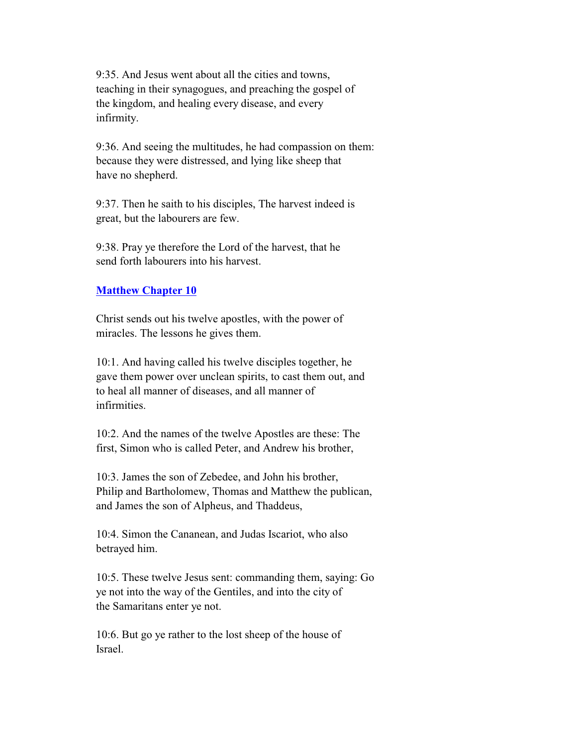9:35. And Jesus went about all the cities and towns, teaching in their synagogues, and preaching the gospel of the kingdom, and healing every disease, and every infirmity.

 9:36. And seeing the multitudes, he had compassion on them: because they were distressed, and lying like sheep that have no shepherd.

 9:37. Then he saith to his disciples, The harvest indeed is great, but the labourers are few.

 9:38. Pray ye therefore the Lord of the harvest, that he send forth labourers into his harvest.

## **Matthew Chapter 10**

 Christ sends out his twelve apostles, with the power of miracles. The lessons he gives them.

 10:1. And having called his twelve disciples together, he gave them power over unclean spirits, to cast them out, and to heal all manner of diseases, and all manner of infirmities.

 10:2. And the names of the twelve Apostles are these: The first, Simon who is called Peter, and Andrew his brother,

 10:3. James the son of Zebedee, and John his brother, Philip and Bartholomew, Thomas and Matthew the publican, and James the son of Alpheus, and Thaddeus,

 10:4. Simon the Cananean, and Judas Iscariot, who also betrayed him.

 10:5. These twelve Jesus sent: commanding them, saying: Go ye not into the way of the Gentiles, and into the city of the Samaritans enter ye not.

 10:6. But go ye rather to the lost sheep of the house of Israel.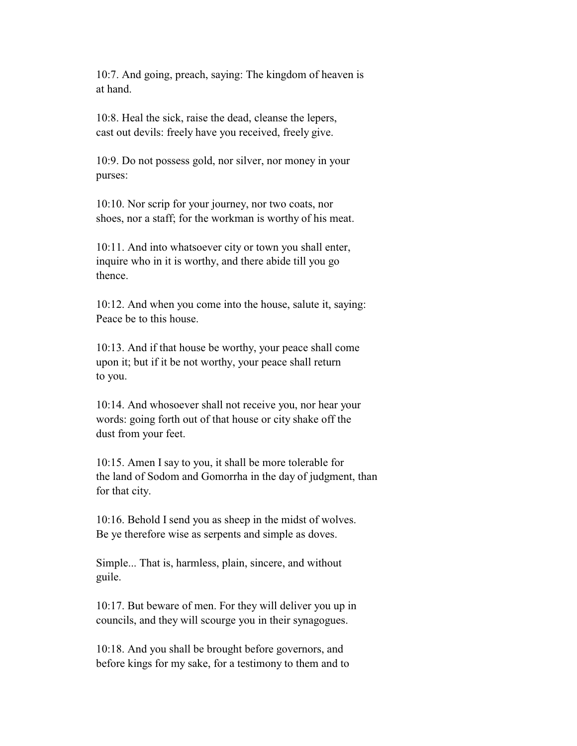10:7. And going, preach, saying: The kingdom of heaven is at hand.

 10:8. Heal the sick, raise the dead, cleanse the lepers, cast out devils: freely have you received, freely give.

 10:9. Do not possess gold, nor silver, nor money in your purses:

 10:10. Nor scrip for your journey, nor two coats, nor shoes, nor a staff; for the workman is worthy of his meat.

 10:11. And into whatsoever city or town you shall enter, inquire who in it is worthy, and there abide till you go thence.

 10:12. And when you come into the house, salute it, saying: Peace be to this house.

 10:13. And if that house be worthy, your peace shall come upon it; but if it be not worthy, your peace shall return to you.

 10:14. And whosoever shall not receive you, nor hear your words: going forth out of that house or city shake off the dust from your feet.

 10:15. Amen I say to you, it shall be more tolerable for the land of Sodom and Gomorrha in the day of judgment, than for that city.

 10:16. Behold I send you as sheep in the midst of wolves. Be ye therefore wise as serpents and simple as doves.

 Simple... That is, harmless, plain, sincere, and without guile.

 10:17. But beware of men. For they will deliver you up in councils, and they will scourge you in their synagogues.

 10:18. And you shall be brought before governors, and before kings for my sake, for a testimony to them and to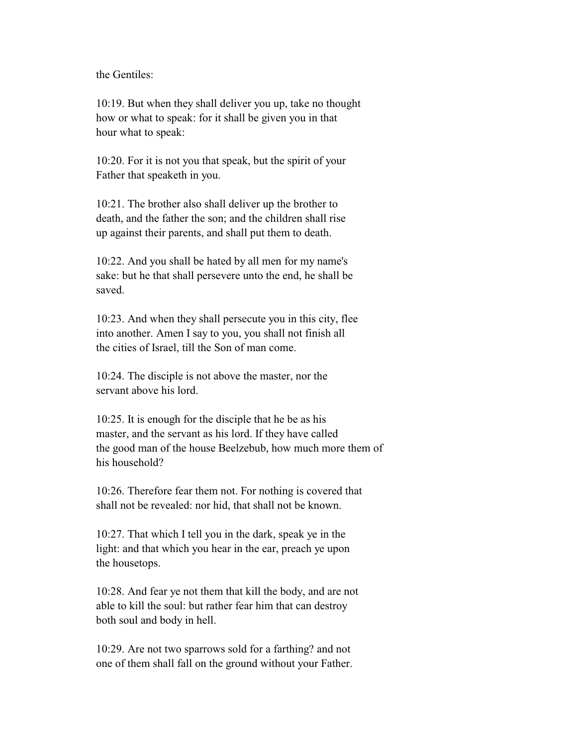the Gentiles:

 10:19. But when they shall deliver you up, take no thought how or what to speak: for it shall be given you in that hour what to speak:

 10:20. For it is not you that speak, but the spirit of your Father that speaketh in you.

 10:21. The brother also shall deliver up the brother to death, and the father the son; and the children shall rise up against their parents, and shall put them to death.

 10:22. And you shall be hated by all men for my name's sake: but he that shall persevere unto the end, he shall be saved.

 10:23. And when they shall persecute you in this city, flee into another. Amen I say to you, you shall not finish all the cities of Israel, till the Son of man come.

 10:24. The disciple is not above the master, nor the servant above his lord.

 10:25. It is enough for the disciple that he be as his master, and the servant as his lord. If they have called the good man of the house Beelzebub, how much more them of his household?

 10:26. Therefore fear them not. For nothing is covered that shall not be revealed: nor hid, that shall not be known.

 10:27. That which I tell you in the dark, speak ye in the light: and that which you hear in the ear, preach ye upon the housetops.

 10:28. And fear ye not them that kill the body, and are not able to kill the soul: but rather fear him that can destroy both soul and body in hell.

 10:29. Are not two sparrows sold for a farthing? and not one of them shall fall on the ground without your Father.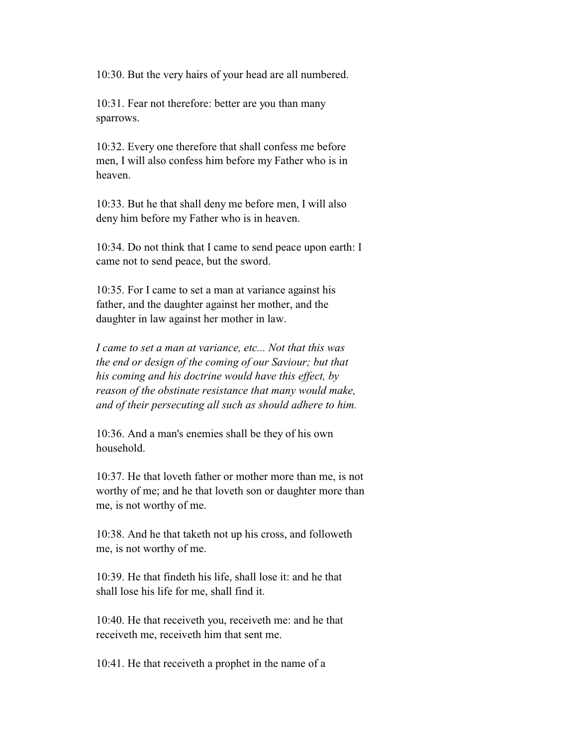10:30. But the very hairs of your head are all numbered.

 10:31. Fear not therefore: better are you than many sparrows.

 10:32. Every one therefore that shall confess me before men, I will also confess him before my Father who is in heaven.

 10:33. But he that shall deny me before men, I will also deny him before my Father who is in heaven.

 10:34. Do not think that I came to send peace upon earth: I came not to send peace, but the sword.

 10:35. For I came to set a man at variance against his father, and the daughter against her mother, and the daughter in law against her mother in law.

 *I came to set a man at variance, etc... Not that this was the end or design of the coming of our Saviour; but that his coming and his doctrine would have this effect, by reason of the obstinate resistance that many would make, and of their persecuting all such as should adhere to him.*

 10:36. And a man's enemies shall be they of his own household.

 10:37. He that loveth father or mother more than me, is not worthy of me; and he that loveth son or daughter more than me, is not worthy of me.

 10:38. And he that taketh not up his cross, and followeth me, is not worthy of me.

 10:39. He that findeth his life, shall lose it: and he that shall lose his life for me, shall find it.

 10:40. He that receiveth you, receiveth me: and he that receiveth me, receiveth him that sent me.

10:41. He that receiveth a prophet in the name of a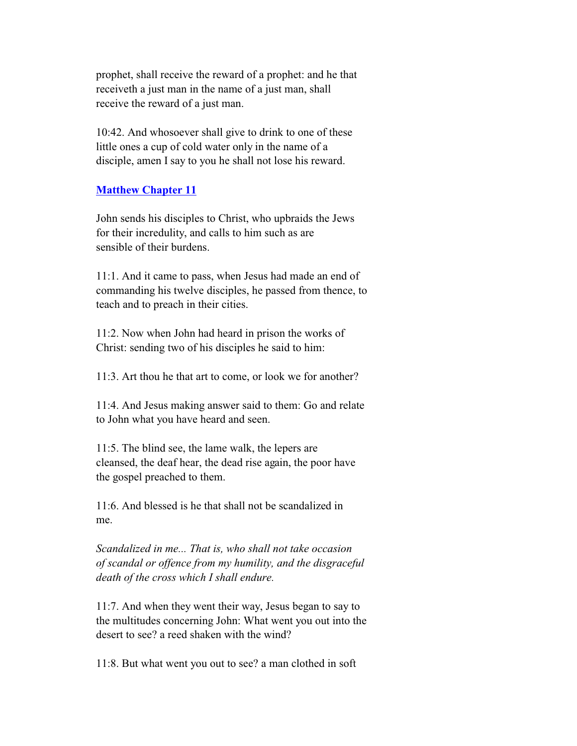prophet, shall receive the reward of a prophet: and he that receiveth a just man in the name of a just man, shall receive the reward of a just man.

 10:42. And whosoever shall give to drink to one of these little ones a cup of cold water only in the name of a disciple, amen I say to you he shall not lose his reward.

## **Matthew Chapter 11**

 John sends his disciples to Christ, who upbraids the Jews for their incredulity, and calls to him such as are sensible of their burdens.

 11:1. And it came to pass, when Jesus had made an end of commanding his twelve disciples, he passed from thence, to teach and to preach in their cities.

 11:2. Now when John had heard in prison the works of Christ: sending two of his disciples he said to him:

11:3. Art thou he that art to come, or look we for another?

 11:4. And Jesus making answer said to them: Go and relate to John what you have heard and seen.

 11:5. The blind see, the lame walk, the lepers are cleansed, the deaf hear, the dead rise again, the poor have the gospel preached to them.

 11:6. And blessed is he that shall not be scandalized in me.

 *Scandalized in me... That is, who shall not take occasion of scandal or offence from my humility, and the disgraceful death of the cross which I shall endure.*

 11:7. And when they went their way, Jesus began to say to the multitudes concerning John: What went you out into the desert to see? a reed shaken with the wind?

11:8. But what went you out to see? a man clothed in soft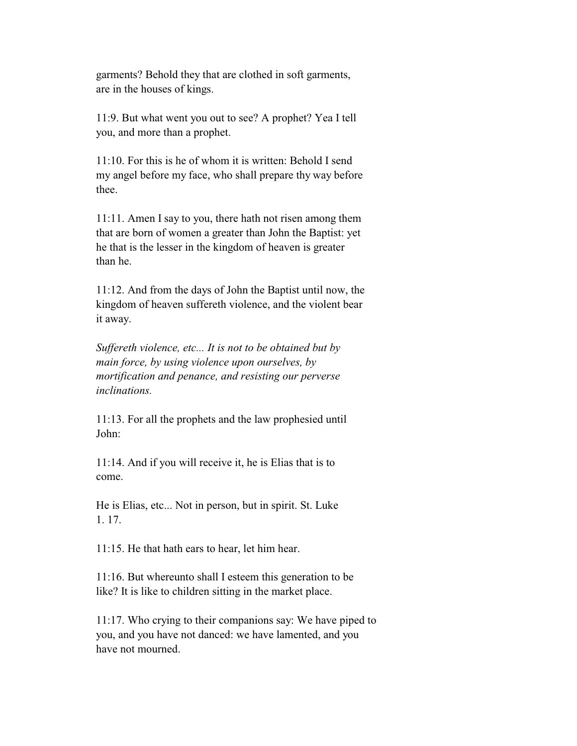garments? Behold they that are clothed in soft garments, are in the houses of kings.

 11:9. But what went you out to see? A prophet? Yea I tell you, and more than a prophet.

 11:10. For this is he of whom it is written: Behold I send my angel before my face, who shall prepare thy way before thee.

 11:11. Amen I say to you, there hath not risen among them that are born of women a greater than John the Baptist: yet he that is the lesser in the kingdom of heaven is greater than he.

 11:12. And from the days of John the Baptist until now, the kingdom of heaven suffereth violence, and the violent bear it away.

 *Suffereth violence, etc... It is not to be obtained but by main force, by using violence upon ourselves, by mortification and penance, and resisting our perverse inclinations.*

 11:13. For all the prophets and the law prophesied until John:

 11:14. And if you will receive it, he is Elias that is to come.

 He is Elias, etc... Not in person, but in spirit. St. Luke 1. 17.

11:15. He that hath ears to hear, let him hear.

 11:16. But whereunto shall I esteem this generation to be like? It is like to children sitting in the market place.

 11:17. Who crying to their companions say: We have piped to you, and you have not danced: we have lamented, and you have not mourned.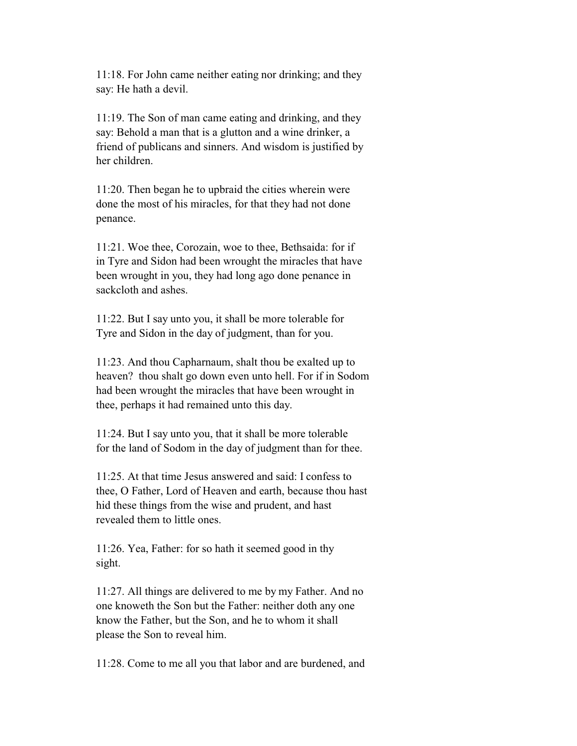11:18. For John came neither eating nor drinking; and they say: He hath a devil.

 11:19. The Son of man came eating and drinking, and they say: Behold a man that is a glutton and a wine drinker, a friend of publicans and sinners. And wisdom is justified by her children.

 11:20. Then began he to upbraid the cities wherein were done the most of his miracles, for that they had not done penance.

 11:21. Woe thee, Corozain, woe to thee, Bethsaida: for if in Tyre and Sidon had been wrought the miracles that have been wrought in you, they had long ago done penance in sackcloth and ashes.

 11:22. But I say unto you, it shall be more tolerable for Tyre and Sidon in the day of judgment, than for you.

 11:23. And thou Capharnaum, shalt thou be exalted up to heaven? thou shalt go down even unto hell. For if in Sodom had been wrought the miracles that have been wrought in thee, perhaps it had remained unto this day.

 11:24. But I say unto you, that it shall be more tolerable for the land of Sodom in the day of judgment than for thee.

 11:25. At that time Jesus answered and said: I confess to thee, O Father, Lord of Heaven and earth, because thou hast hid these things from the wise and prudent, and hast revealed them to little ones.

 11:26. Yea, Father: for so hath it seemed good in thy sight.

 11:27. All things are delivered to me by my Father. And no one knoweth the Son but the Father: neither doth any one know the Father, but the Son, and he to whom it shall please the Son to reveal him.

11:28. Come to me all you that labor and are burdened, and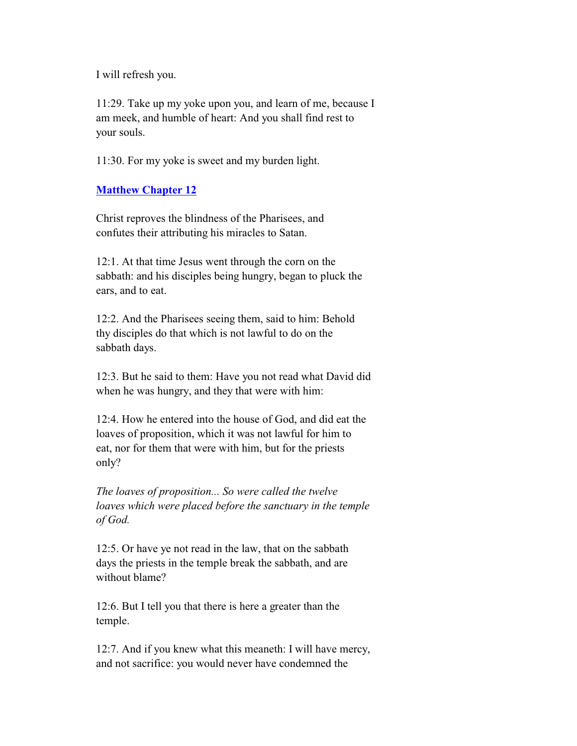I will refresh you.

 11:29. Take up my yoke upon you, and learn of me, because I am meek, and humble of heart: And you shall find rest to your souls.

11:30. For my yoke is sweet and my burden light.

## **Matthew Chapter 12**

 Christ reproves the blindness of the Pharisees, and confutes their attributing his miracles to Satan.

 12:1. At that time Jesus went through the corn on the sabbath: and his disciples being hungry, began to pluck the ears, and to eat.

 12:2. And the Pharisees seeing them, said to him: Behold thy disciples do that which is not lawful to do on the sabbath days.

 12:3. But he said to them: Have you not read what David did when he was hungry, and they that were with him:

 12:4. How he entered into the house of God, and did eat the loaves of proposition, which it was not lawful for him to eat, nor for them that were with him, but for the priests only?

 *The loaves of proposition... So were called the twelve loaves which were placed before the sanctuary in the temple of God.*

 12:5. Or have ye not read in the law, that on the sabbath days the priests in the temple break the sabbath, and are without blame?

 12:6. But I tell you that there is here a greater than the temple.

 12:7. And if you knew what this meaneth: I will have mercy, and not sacrifice: you would never have condemned the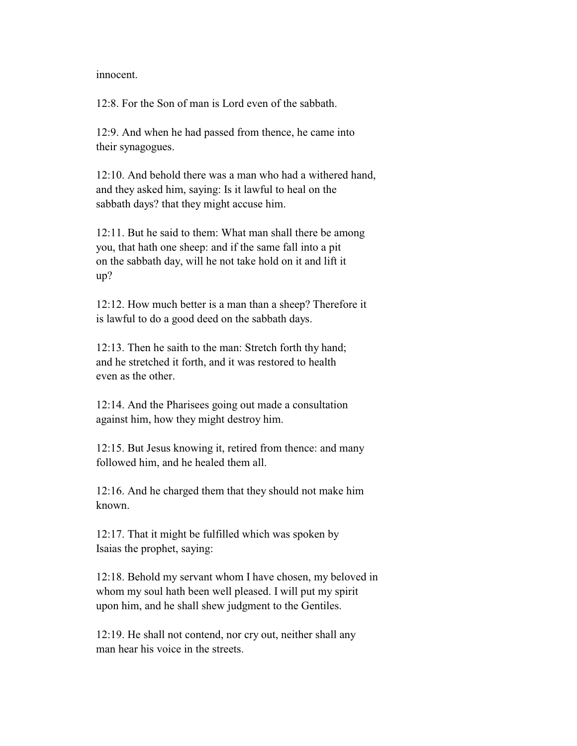innocent.

12:8. For the Son of man is Lord even of the sabbath.

 12:9. And when he had passed from thence, he came into their synagogues.

 12:10. And behold there was a man who had a withered hand, and they asked him, saying: Is it lawful to heal on the sabbath days? that they might accuse him.

 12:11. But he said to them: What man shall there be among you, that hath one sheep: and if the same fall into a pit on the sabbath day, will he not take hold on it and lift it up?

 12:12. How much better is a man than a sheep? Therefore it is lawful to do a good deed on the sabbath days.

 12:13. Then he saith to the man: Stretch forth thy hand; and he stretched it forth, and it was restored to health even as the other.

 12:14. And the Pharisees going out made a consultation against him, how they might destroy him.

 12:15. But Jesus knowing it, retired from thence: and many followed him, and he healed them all.

 12:16. And he charged them that they should not make him known.

 12:17. That it might be fulfilled which was spoken by Isaias the prophet, saying:

 12:18. Behold my servant whom I have chosen, my beloved in whom my soul hath been well pleased. I will put my spirit upon him, and he shall shew judgment to the Gentiles.

 12:19. He shall not contend, nor cry out, neither shall any man hear his voice in the streets.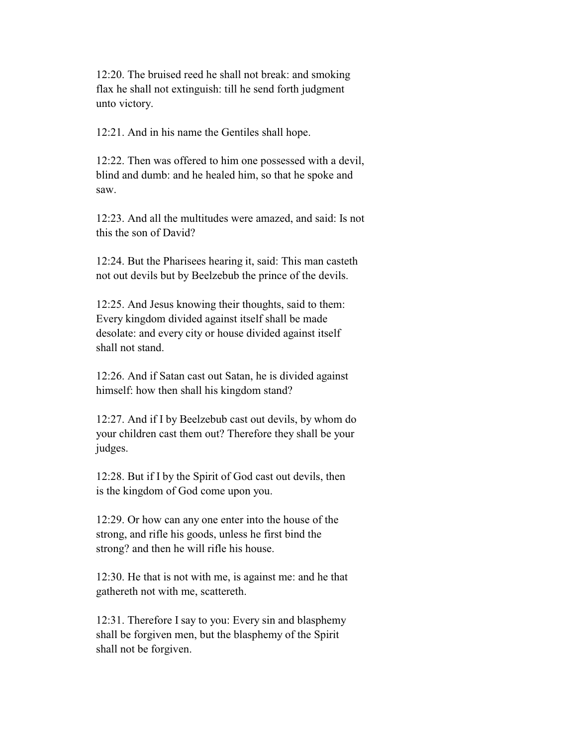12:20. The bruised reed he shall not break: and smoking flax he shall not extinguish: till he send forth judgment unto victory.

12:21. And in his name the Gentiles shall hope.

 12:22. Then was offered to him one possessed with a devil, blind and dumb: and he healed him, so that he spoke and saw.

 12:23. And all the multitudes were amazed, and said: Is not this the son of David?

 12:24. But the Pharisees hearing it, said: This man casteth not out devils but by Beelzebub the prince of the devils.

 12:25. And Jesus knowing their thoughts, said to them: Every kingdom divided against itself shall be made desolate: and every city or house divided against itself shall not stand.

 12:26. And if Satan cast out Satan, he is divided against himself: how then shall his kingdom stand?

 12:27. And if I by Beelzebub cast out devils, by whom do your children cast them out? Therefore they shall be your judges.

 12:28. But if I by the Spirit of God cast out devils, then is the kingdom of God come upon you.

 12:29. Or how can any one enter into the house of the strong, and rifle his goods, unless he first bind the strong? and then he will rifle his house.

 12:30. He that is not with me, is against me: and he that gathereth not with me, scattereth.

 12:31. Therefore I say to you: Every sin and blasphemy shall be forgiven men, but the blasphemy of the Spirit shall not be forgiven.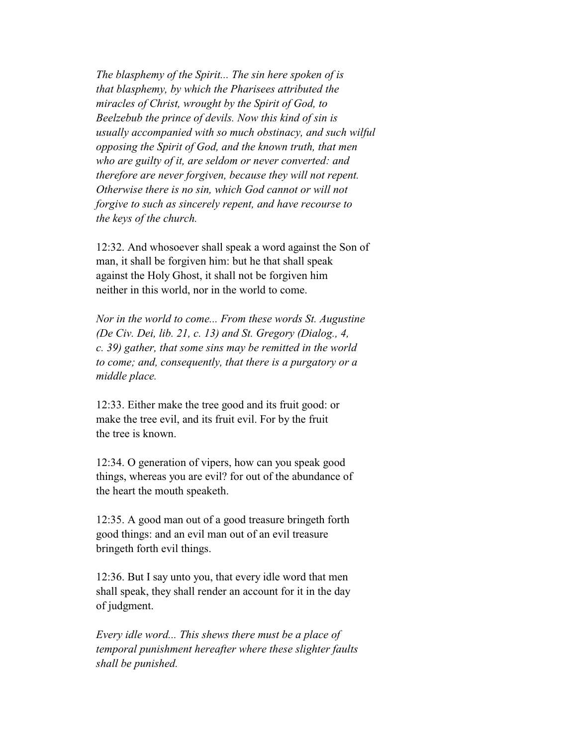*The blasphemy of the Spirit... The sin here spoken of is that blasphemy, by which the Pharisees attributed the miracles of Christ, wrought by the Spirit of God, to Beelzebub the prince of devils. Now this kind of sin is usually accompanied with so much obstinacy, and such wilful opposing the Spirit of God, and the known truth, that men who are guilty of it, are seldom or never converted: and therefore are never forgiven, because they will not repent. Otherwise there is no sin, which God cannot or will not forgive to such as sincerely repent, and have recourse to the keys of the church.*

 12:32. And whosoever shall speak a word against the Son of man, it shall be forgiven him: but he that shall speak against the Holy Ghost, it shall not be forgiven him neither in this world, nor in the world to come.

 *Nor in the world to come... From these words St. Augustine (De Civ. Dei, lib. 21, c. 13) and St. Gregory (Dialog., 4, c. 39) gather, that some sins may be remitted in the world to come; and, consequently, that there is a purgatory or a middle place.*

 12:33. Either make the tree good and its fruit good: or make the tree evil, and its fruit evil. For by the fruit the tree is known.

 12:34. O generation of vipers, how can you speak good things, whereas you are evil? for out of the abundance of the heart the mouth speaketh.

 12:35. A good man out of a good treasure bringeth forth good things: and an evil man out of an evil treasure bringeth forth evil things.

 12:36. But I say unto you, that every idle word that men shall speak, they shall render an account for it in the day of judgment.

 *Every idle word... This shews there must be a place of temporal punishment hereafter where these slighter faults shall be punished.*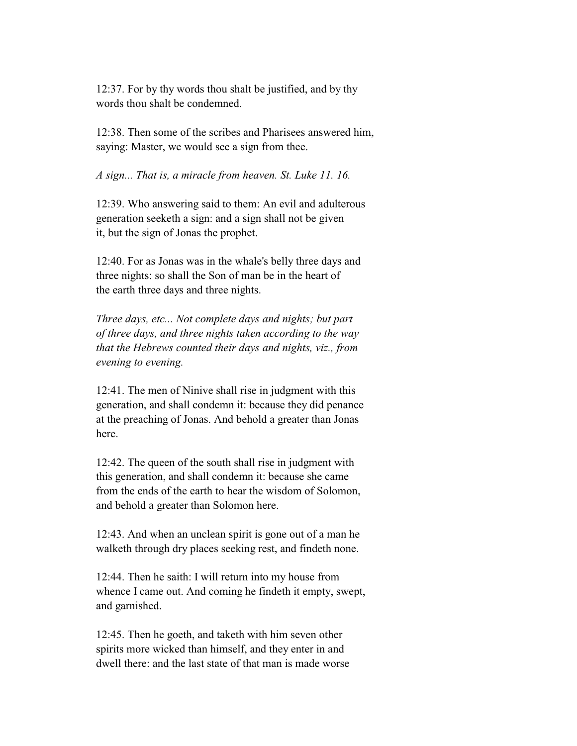12:37. For by thy words thou shalt be justified, and by thy words thou shalt be condemned.

 12:38. Then some of the scribes and Pharisees answered him, saying: Master, we would see a sign from thee.

*A sign... That is, a miracle from heaven. St. Luke 11. 16.*

 12:39. Who answering said to them: An evil and adulterous generation seeketh a sign: and a sign shall not be given it, but the sign of Jonas the prophet.

 12:40. For as Jonas was in the whale's belly three days and three nights: so shall the Son of man be in the heart of the earth three days and three nights.

 *Three days, etc... Not complete days and nights; but part of three days, and three nights taken according to the way that the Hebrews counted their days and nights, viz., from evening to evening.*

 12:41. The men of Ninive shall rise in judgment with this generation, and shall condemn it: because they did penance at the preaching of Jonas. And behold a greater than Jonas here.

 12:42. The queen of the south shall rise in judgment with this generation, and shall condemn it: because she came from the ends of the earth to hear the wisdom of Solomon, and behold a greater than Solomon here.

 12:43. And when an unclean spirit is gone out of a man he walketh through dry places seeking rest, and findeth none.

 12:44. Then he saith: I will return into my house from whence I came out. And coming he findeth it empty, swept, and garnished.

 12:45. Then he goeth, and taketh with him seven other spirits more wicked than himself, and they enter in and dwell there: and the last state of that man is made worse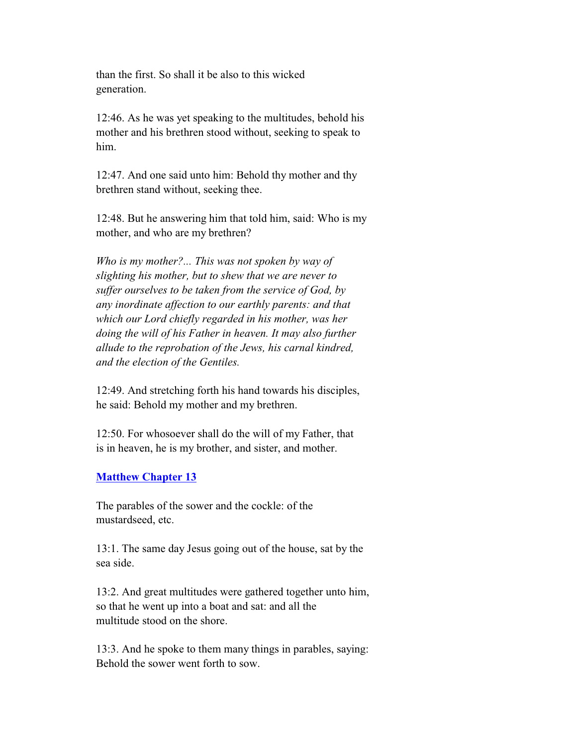than the first. So shall it be also to this wicked generation.

 12:46. As he was yet speaking to the multitudes, behold his mother and his brethren stood without, seeking to speak to him.

 12:47. And one said unto him: Behold thy mother and thy brethren stand without, seeking thee.

 12:48. But he answering him that told him, said: Who is my mother, and who are my brethren?

 *Who is my mother?... This was not spoken by way of slighting his mother, but to shew that we are never to suffer ourselves to be taken from the service of God, by any inordinate affection to our earthly parents: and that which our Lord chiefly regarded in his mother, was her doing the will of his Father in heaven. It may also further allude to the reprobation of the Jews, his carnal kindred, and the election of the Gentiles.*

 12:49. And stretching forth his hand towards his disciples, he said: Behold my mother and my brethren.

 12:50. For whosoever shall do the will of my Father, that is in heaven, he is my brother, and sister, and mother.

# **Matthew Chapter 13**

 The parables of the sower and the cockle: of the mustardseed, etc.

 13:1. The same day Jesus going out of the house, sat by the sea side.

 13:2. And great multitudes were gathered together unto him, so that he went up into a boat and sat: and all the multitude stood on the shore.

 13:3. And he spoke to them many things in parables, saying: Behold the sower went forth to sow.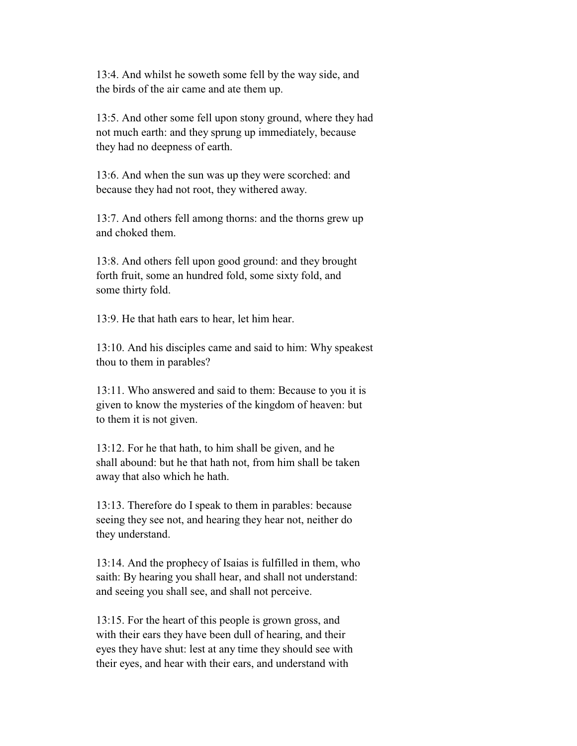13:4. And whilst he soweth some fell by the way side, and the birds of the air came and ate them up.

 13:5. And other some fell upon stony ground, where they had not much earth: and they sprung up immediately, because they had no deepness of earth.

 13:6. And when the sun was up they were scorched: and because they had not root, they withered away.

 13:7. And others fell among thorns: and the thorns grew up and choked them.

 13:8. And others fell upon good ground: and they brought forth fruit, some an hundred fold, some sixty fold, and some thirty fold.

13:9. He that hath ears to hear, let him hear.

 13:10. And his disciples came and said to him: Why speakest thou to them in parables?

 13:11. Who answered and said to them: Because to you it is given to know the mysteries of the kingdom of heaven: but to them it is not given.

 13:12. For he that hath, to him shall be given, and he shall abound: but he that hath not, from him shall be taken away that also which he hath.

 13:13. Therefore do I speak to them in parables: because seeing they see not, and hearing they hear not, neither do they understand.

 13:14. And the prophecy of Isaias is fulfilled in them, who saith: By hearing you shall hear, and shall not understand: and seeing you shall see, and shall not perceive.

 13:15. For the heart of this people is grown gross, and with their ears they have been dull of hearing, and their eyes they have shut: lest at any time they should see with their eyes, and hear with their ears, and understand with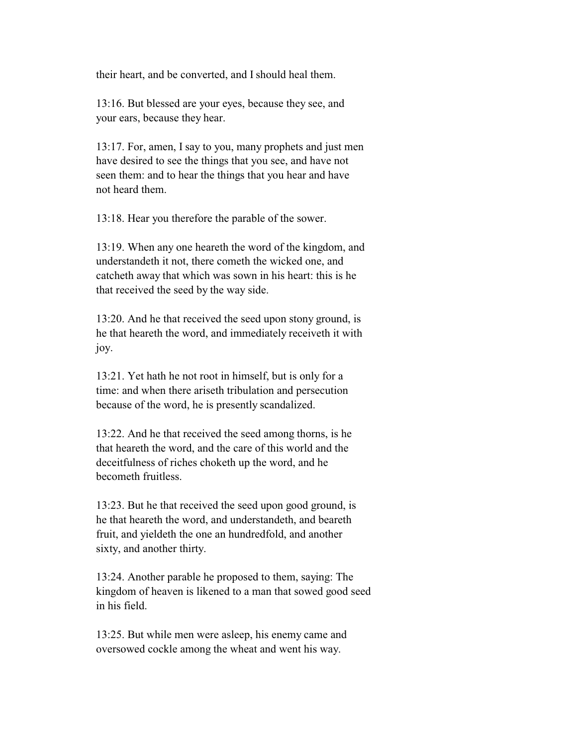their heart, and be converted, and I should heal them.

 13:16. But blessed are your eyes, because they see, and your ears, because they hear.

 13:17. For, amen, I say to you, many prophets and just men have desired to see the things that you see, and have not seen them: and to hear the things that you hear and have not heard them.

13:18. Hear you therefore the parable of the sower.

 13:19. When any one heareth the word of the kingdom, and understandeth it not, there cometh the wicked one, and catcheth away that which was sown in his heart: this is he that received the seed by the way side.

 13:20. And he that received the seed upon stony ground, is he that heareth the word, and immediately receiveth it with joy.

 13:21. Yet hath he not root in himself, but is only for a time: and when there ariseth tribulation and persecution because of the word, he is presently scandalized.

 13:22. And he that received the seed among thorns, is he that heareth the word, and the care of this world and the deceitfulness of riches choketh up the word, and he becometh fruitless.

 13:23. But he that received the seed upon good ground, is he that heareth the word, and understandeth, and beareth fruit, and yieldeth the one an hundredfold, and another sixty, and another thirty.

 13:24. Another parable he proposed to them, saying: The kingdom of heaven is likened to a man that sowed good seed in his field.

 13:25. But while men were asleep, his enemy came and oversowed cockle among the wheat and went his way.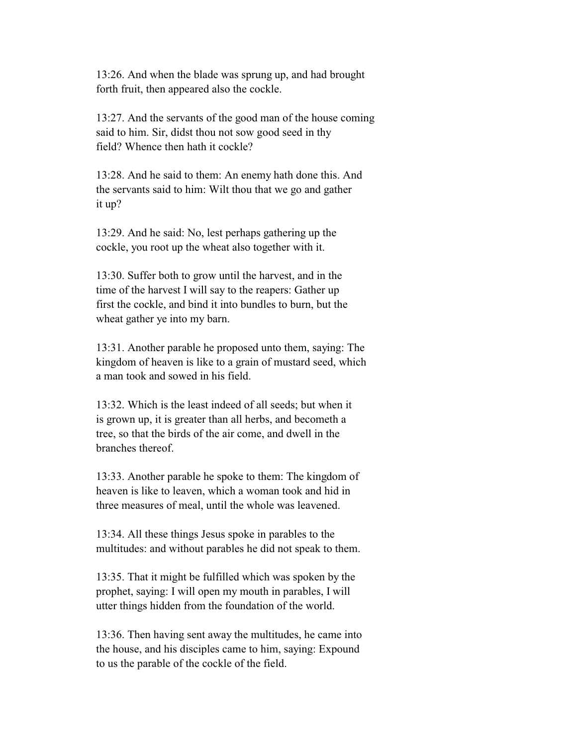13:26. And when the blade was sprung up, and had brought forth fruit, then appeared also the cockle.

 13:27. And the servants of the good man of the house coming said to him. Sir, didst thou not sow good seed in thy field? Whence then hath it cockle?

 13:28. And he said to them: An enemy hath done this. And the servants said to him: Wilt thou that we go and gather it up?

 13:29. And he said: No, lest perhaps gathering up the cockle, you root up the wheat also together with it.

 13:30. Suffer both to grow until the harvest, and in the time of the harvest I will say to the reapers: Gather up first the cockle, and bind it into bundles to burn, but the wheat gather ye into my barn.

 13:31. Another parable he proposed unto them, saying: The kingdom of heaven is like to a grain of mustard seed, which a man took and sowed in his field.

 13:32. Which is the least indeed of all seeds; but when it is grown up, it is greater than all herbs, and becometh a tree, so that the birds of the air come, and dwell in the branches thereof.

 13:33. Another parable he spoke to them: The kingdom of heaven is like to leaven, which a woman took and hid in three measures of meal, until the whole was leavened.

 13:34. All these things Jesus spoke in parables to the multitudes: and without parables he did not speak to them.

 13:35. That it might be fulfilled which was spoken by the prophet, saying: I will open my mouth in parables, I will utter things hidden from the foundation of the world.

 13:36. Then having sent away the multitudes, he came into the house, and his disciples came to him, saying: Expound to us the parable of the cockle of the field.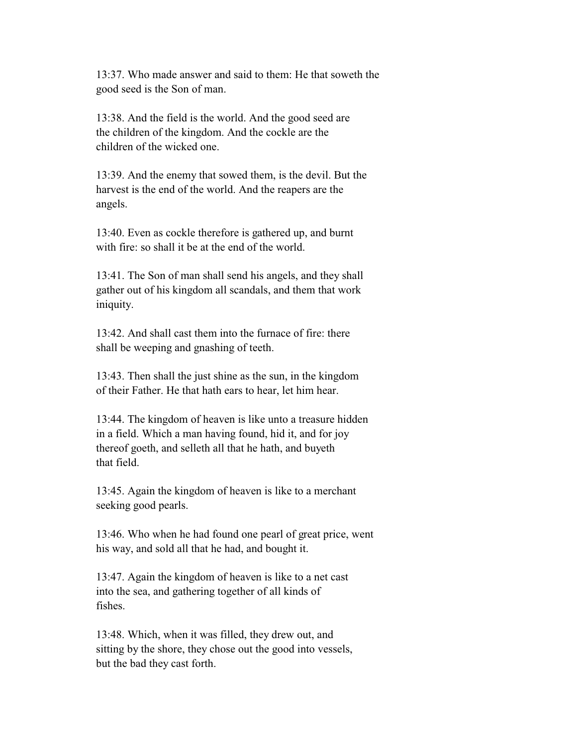13:37. Who made answer and said to them: He that soweth the good seed is the Son of man.

 13:38. And the field is the world. And the good seed are the children of the kingdom. And the cockle are the children of the wicked one.

 13:39. And the enemy that sowed them, is the devil. But the harvest is the end of the world. And the reapers are the angels.

 13:40. Even as cockle therefore is gathered up, and burnt with fire: so shall it be at the end of the world.

 13:41. The Son of man shall send his angels, and they shall gather out of his kingdom all scandals, and them that work iniquity.

 13:42. And shall cast them into the furnace of fire: there shall be weeping and gnashing of teeth.

 13:43. Then shall the just shine as the sun, in the kingdom of their Father. He that hath ears to hear, let him hear.

 13:44. The kingdom of heaven is like unto a treasure hidden in a field. Which a man having found, hid it, and for joy thereof goeth, and selleth all that he hath, and buyeth that field.

 13:45. Again the kingdom of heaven is like to a merchant seeking good pearls.

 13:46. Who when he had found one pearl of great price, went his way, and sold all that he had, and bought it.

 13:47. Again the kingdom of heaven is like to a net cast into the sea, and gathering together of all kinds of fishes.

 13:48. Which, when it was filled, they drew out, and sitting by the shore, they chose out the good into vessels, but the bad they cast forth.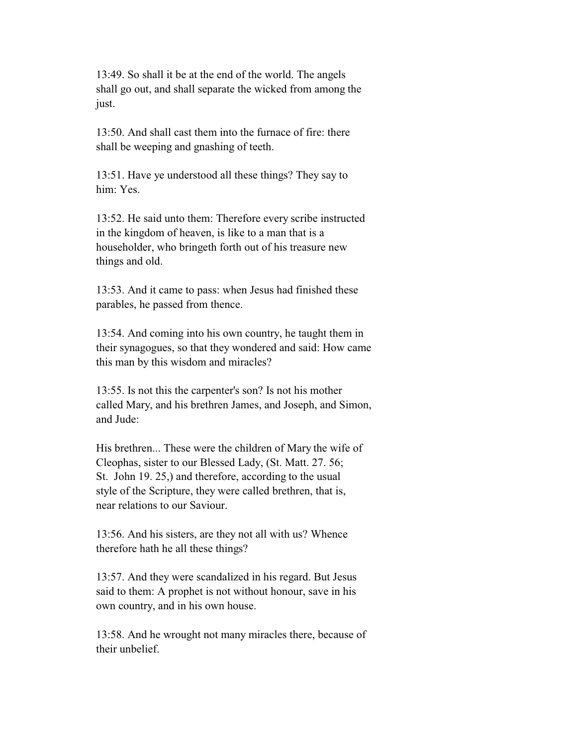13:49. So shall it be at the end of the world. The angels shall go out, and shall separate the wicked from among the just.

 13:50. And shall cast them into the furnace of fire: there shall be weeping and gnashing of teeth.

 13:51. Have ye understood all these things? They say to him: Yes.

 13:52. He said unto them: Therefore every scribe instructed in the kingdom of heaven, is like to a man that is a householder, who bringeth forth out of his treasure new things and old.

 13:53. And it came to pass: when Jesus had finished these parables, he passed from thence.

 13:54. And coming into his own country, he taught them in their synagogues, so that they wondered and said: How came this man by this wisdom and miracles?

 13:55. Is not this the carpenter's son? Is not his mother called Mary, and his brethren James, and Joseph, and Simon, and Jude:

 His brethren... These were the children of Mary the wife of Cleophas, sister to our Blessed Lady, (St. Matt. 27. 56; St. John 19. 25,) and therefore, according to the usual style of the Scripture, they were called brethren, that is, near relations to our Saviour.

 13:56. And his sisters, are they not all with us? Whence therefore hath he all these things?

 13:57. And they were scandalized in his regard. But Jesus said to them: A prophet is not without honour, save in his own country, and in his own house.

 13:58. And he wrought not many miracles there, because of their unbelief.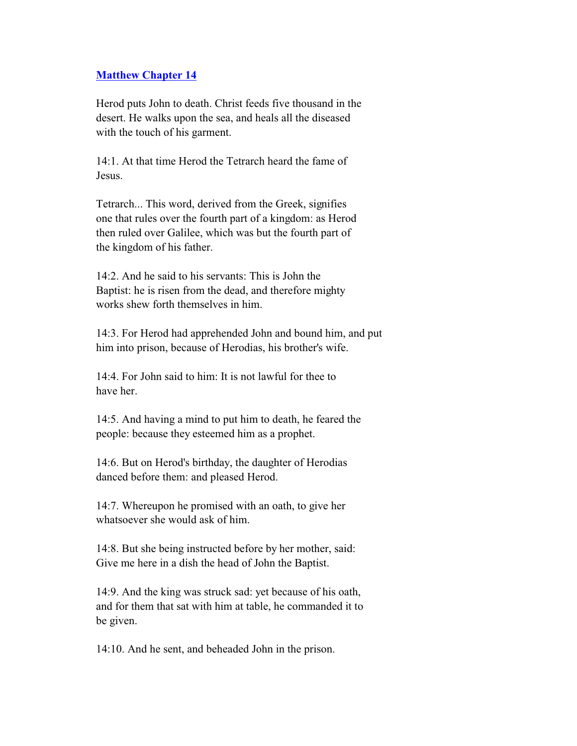### **Matthew Chapter 14**

 Herod puts John to death. Christ feeds five thousand in the desert. He walks upon the sea, and heals all the diseased with the touch of his garment.

 14:1. At that time Herod the Tetrarch heard the fame of Jesus.

 Tetrarch... This word, derived from the Greek, signifies one that rules over the fourth part of a kingdom: as Herod then ruled over Galilee, which was but the fourth part of the kingdom of his father.

 14:2. And he said to his servants: This is John the Baptist: he is risen from the dead, and therefore mighty works shew forth themselves in him.

 14:3. For Herod had apprehended John and bound him, and put him into prison, because of Herodias, his brother's wife.

 14:4. For John said to him: It is not lawful for thee to have her.

 14:5. And having a mind to put him to death, he feared the people: because they esteemed him as a prophet.

 14:6. But on Herod's birthday, the daughter of Herodias danced before them: and pleased Herod.

 14:7. Whereupon he promised with an oath, to give her whatsoever she would ask of him.

 14:8. But she being instructed before by her mother, said: Give me here in a dish the head of John the Baptist.

 14:9. And the king was struck sad: yet because of his oath, and for them that sat with him at table, he commanded it to be given.

14:10. And he sent, and beheaded John in the prison.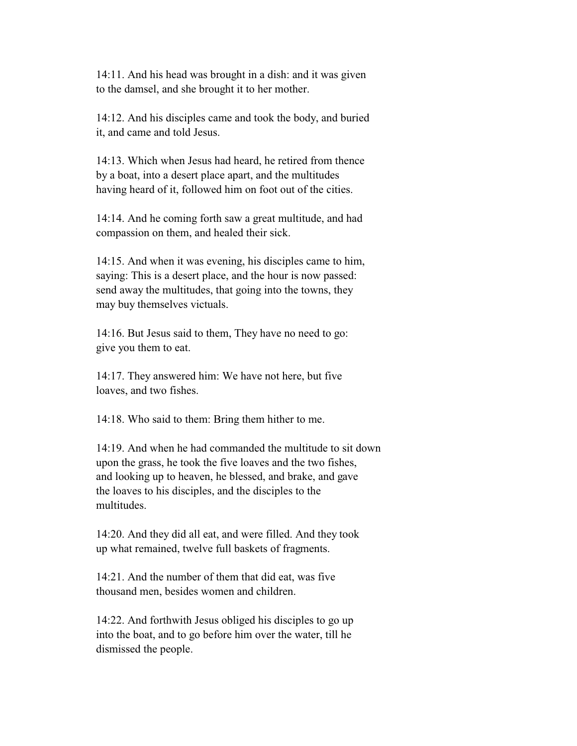14:11. And his head was brought in a dish: and it was given to the damsel, and she brought it to her mother.

 14:12. And his disciples came and took the body, and buried it, and came and told Jesus.

 14:13. Which when Jesus had heard, he retired from thence by a boat, into a desert place apart, and the multitudes having heard of it, followed him on foot out of the cities.

 14:14. And he coming forth saw a great multitude, and had compassion on them, and healed their sick.

 14:15. And when it was evening, his disciples came to him, saying: This is a desert place, and the hour is now passed: send away the multitudes, that going into the towns, they may buy themselves victuals.

 14:16. But Jesus said to them, They have no need to go: give you them to eat.

 14:17. They answered him: We have not here, but five loaves, and two fishes.

14:18. Who said to them: Bring them hither to me.

 14:19. And when he had commanded the multitude to sit down upon the grass, he took the five loaves and the two fishes, and looking up to heaven, he blessed, and brake, and gave the loaves to his disciples, and the disciples to the multitudes.

 14:20. And they did all eat, and were filled. And they took up what remained, twelve full baskets of fragments.

 14:21. And the number of them that did eat, was five thousand men, besides women and children.

 14:22. And forthwith Jesus obliged his disciples to go up into the boat, and to go before him over the water, till he dismissed the people.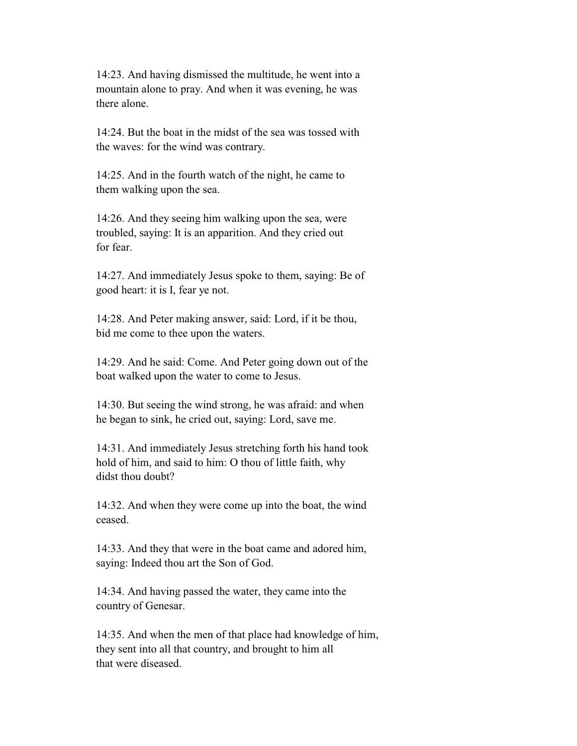14:23. And having dismissed the multitude, he went into a mountain alone to pray. And when it was evening, he was there alone.

 14:24. But the boat in the midst of the sea was tossed with the waves: for the wind was contrary.

 14:25. And in the fourth watch of the night, he came to them walking upon the sea.

 14:26. And they seeing him walking upon the sea, were troubled, saying: It is an apparition. And they cried out for fear.

 14:27. And immediately Jesus spoke to them, saying: Be of good heart: it is I, fear ye not.

 14:28. And Peter making answer, said: Lord, if it be thou, bid me come to thee upon the waters.

 14:29. And he said: Come. And Peter going down out of the boat walked upon the water to come to Jesus.

 14:30. But seeing the wind strong, he was afraid: and when he began to sink, he cried out, saying: Lord, save me.

 14:31. And immediately Jesus stretching forth his hand took hold of him, and said to him: O thou of little faith, why didst thou doubt?

 14:32. And when they were come up into the boat, the wind ceased.

 14:33. And they that were in the boat came and adored him, saying: Indeed thou art the Son of God.

 14:34. And having passed the water, they came into the country of Genesar.

 14:35. And when the men of that place had knowledge of him, they sent into all that country, and brought to him all that were diseased.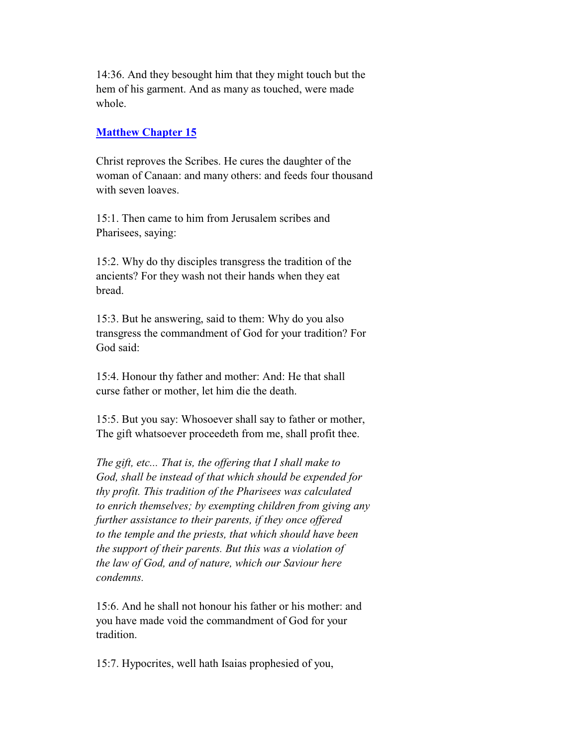14:36. And they besought him that they might touch but the hem of his garment. And as many as touched, were made whole.

#### **Matthew Chapter 15**

 Christ reproves the Scribes. He cures the daughter of the woman of Canaan: and many others: and feeds four thousand with seven loaves.

 15:1. Then came to him from Jerusalem scribes and Pharisees, saying:

 15:2. Why do thy disciples transgress the tradition of the ancients? For they wash not their hands when they eat bread.

 15:3. But he answering, said to them: Why do you also transgress the commandment of God for your tradition? For God said:

 15:4. Honour thy father and mother: And: He that shall curse father or mother, let him die the death.

 15:5. But you say: Whosoever shall say to father or mother, The gift whatsoever proceedeth from me, shall profit thee.

 *The gift, etc... That is, the offering that I shall make to God, shall be instead of that which should be expended for thy profit. This tradition of the Pharisees was calculated to enrich themselves; by exempting children from giving any further assistance to their parents, if they once offered to the temple and the priests, that which should have been the support of their parents. But this was a violation of the law of God, and of nature, which our Saviour here condemns.*

 15:6. And he shall not honour his father or his mother: and you have made void the commandment of God for your tradition.

15:7. Hypocrites, well hath Isaias prophesied of you,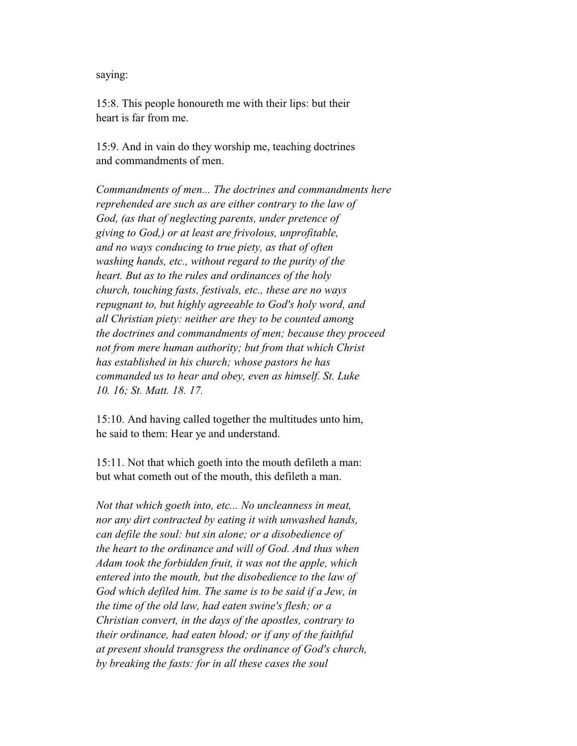#### saying:

 15:8. This people honoureth me with their lips: but their heart is far from me.

 15:9. And in vain do they worship me, teaching doctrines and commandments of men.

 *Commandments of men... The doctrines and commandments here reprehended are such as are either contrary to the law of God, (as that of neglecting parents, under pretence of giving to God,) or at least are frivolous, unprofitable, and no ways conducing to true piety, as that of often washing hands, etc., without regard to the purity of the heart. But as to the rules and ordinances of the holy church, touching fasts, festivals, etc., these are no ways repugnant to, but highly agreeable to God's holy word, and all Christian piety: neither are they to be counted among the doctrines and commandments of men; because they proceed not from mere human authority; but from that which Christ has established in his church; whose pastors he has commanded us to hear and obey, even as himself. St. Luke 10. 16; St. Matt. 18. 17.*

 15:10. And having called together the multitudes unto him, he said to them: Hear ye and understand.

 15:11. Not that which goeth into the mouth defileth a man: but what cometh out of the mouth, this defileth a man.

 *Not that which goeth into, etc... No uncleanness in meat, nor any dirt contracted by eating it with unwashed hands, can defile the soul: but sin alone; or a disobedience of the heart to the ordinance and will of God. And thus when Adam took the forbidden fruit, it was not the apple, which entered into the mouth, but the disobedience to the law of God which defiled him. The same is to be said if a Jew, in the time of the old law, had eaten swine's flesh; or a Christian convert, in the days of the apostles, contrary to their ordinance, had eaten blood; or if any of the faithful at present should transgress the ordinance of God's church, by breaking the fasts: for in all these cases the soul*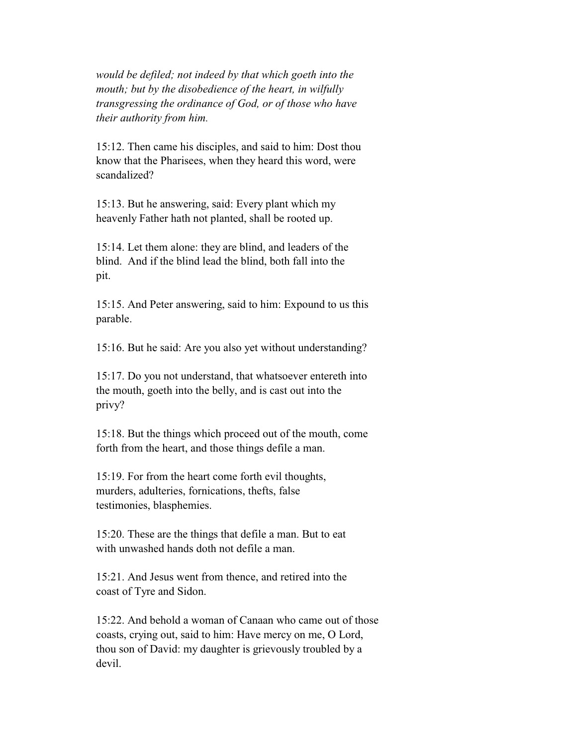*would be defiled; not indeed by that which goeth into the mouth; but by the disobedience of the heart, in wilfully transgressing the ordinance of God, or of those who have their authority from him.*

 15:12. Then came his disciples, and said to him: Dost thou know that the Pharisees, when they heard this word, were scandalized?

 15:13. But he answering, said: Every plant which my heavenly Father hath not planted, shall be rooted up.

 15:14. Let them alone: they are blind, and leaders of the blind. And if the blind lead the blind, both fall into the pit.

 15:15. And Peter answering, said to him: Expound to us this parable.

15:16. But he said: Are you also yet without understanding?

 15:17. Do you not understand, that whatsoever entereth into the mouth, goeth into the belly, and is cast out into the privy?

 15:18. But the things which proceed out of the mouth, come forth from the heart, and those things defile a man.

 15:19. For from the heart come forth evil thoughts, murders, adulteries, fornications, thefts, false testimonies, blasphemies.

 15:20. These are the things that defile a man. But to eat with unwashed hands doth not defile a man.

 15:21. And Jesus went from thence, and retired into the coast of Tyre and Sidon.

 15:22. And behold a woman of Canaan who came out of those coasts, crying out, said to him: Have mercy on me, O Lord, thou son of David: my daughter is grievously troubled by a devil.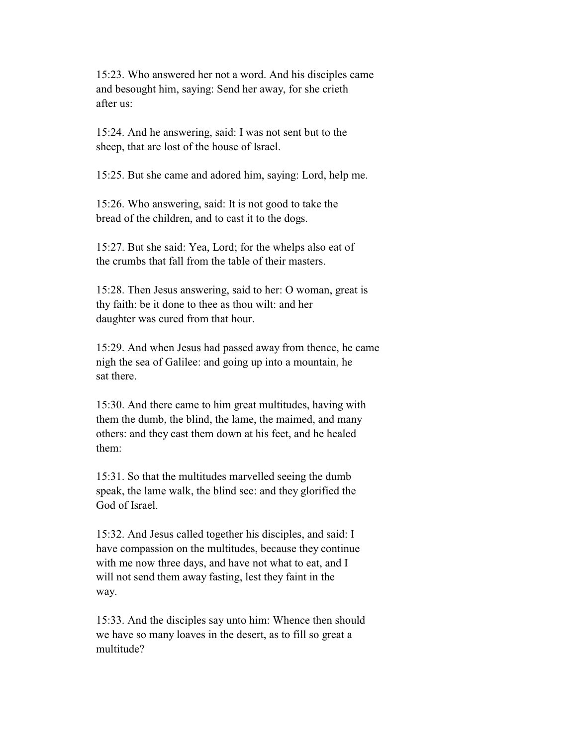15:23. Who answered her not a word. And his disciples came and besought him, saying: Send her away, for she crieth after us:

 15:24. And he answering, said: I was not sent but to the sheep, that are lost of the house of Israel.

15:25. But she came and adored him, saying: Lord, help me.

 15:26. Who answering, said: It is not good to take the bread of the children, and to cast it to the dogs.

 15:27. But she said: Yea, Lord; for the whelps also eat of the crumbs that fall from the table of their masters.

 15:28. Then Jesus answering, said to her: O woman, great is thy faith: be it done to thee as thou wilt: and her daughter was cured from that hour.

 15:29. And when Jesus had passed away from thence, he came nigh the sea of Galilee: and going up into a mountain, he sat there.

 15:30. And there came to him great multitudes, having with them the dumb, the blind, the lame, the maimed, and many others: and they cast them down at his feet, and he healed them:

 15:31. So that the multitudes marvelled seeing the dumb speak, the lame walk, the blind see: and they glorified the God of Israel.

 15:32. And Jesus called together his disciples, and said: I have compassion on the multitudes, because they continue with me now three days, and have not what to eat, and I will not send them away fasting, lest they faint in the way.

 15:33. And the disciples say unto him: Whence then should we have so many loaves in the desert, as to fill so great a multitude?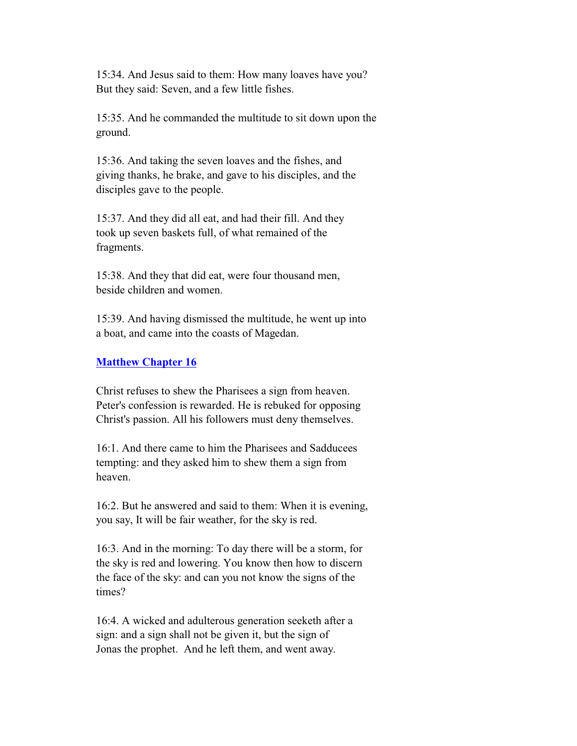15:34. And Jesus said to them: How many loaves have you? But they said: Seven, and a few little fishes.

 15:35. And he commanded the multitude to sit down upon the ground.

 15:36. And taking the seven loaves and the fishes, and giving thanks, he brake, and gave to his disciples, and the disciples gave to the people.

 15:37. And they did all eat, and had their fill. And they took up seven baskets full, of what remained of the fragments.

 15:38. And they that did eat, were four thousand men, beside children and women.

 15:39. And having dismissed the multitude, he went up into a boat, and came into the coasts of Magedan.

# **Matthew Chapter 16**

 Christ refuses to shew the Pharisees a sign from heaven. Peter's confession is rewarded. He is rebuked for opposing Christ's passion. All his followers must deny themselves.

 16:1. And there came to him the Pharisees and Sadducees tempting: and they asked him to shew them a sign from heaven.

 16:2. But he answered and said to them: When it is evening, you say, It will be fair weather, for the sky is red.

 16:3. And in the morning: To day there will be a storm, for the sky is red and lowering. You know then how to discern the face of the sky: and can you not know the signs of the times?

 16:4. A wicked and adulterous generation seeketh after a sign: and a sign shall not be given it, but the sign of Jonas the prophet. And he left them, and went away.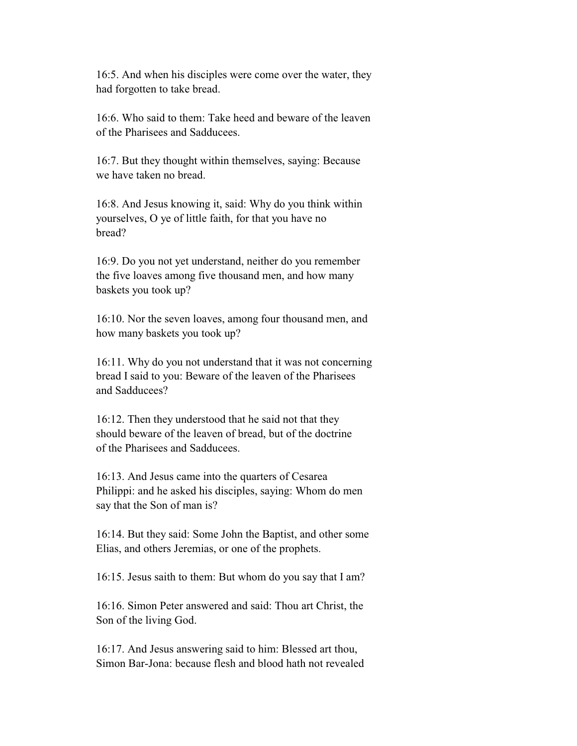16:5. And when his disciples were come over the water, they had forgotten to take bread.

 16:6. Who said to them: Take heed and beware of the leaven of the Pharisees and Sadducees.

 16:7. But they thought within themselves, saying: Because we have taken no bread.

 16:8. And Jesus knowing it, said: Why do you think within yourselves, O ye of little faith, for that you have no bread?

 16:9. Do you not yet understand, neither do you remember the five loaves among five thousand men, and how many baskets you took up?

 16:10. Nor the seven loaves, among four thousand men, and how many baskets you took up?

 16:11. Why do you not understand that it was not concerning bread I said to you: Beware of the leaven of the Pharisees and Sadducees?

 16:12. Then they understood that he said not that they should beware of the leaven of bread, but of the doctrine of the Pharisees and Sadducees.

 16:13. And Jesus came into the quarters of Cesarea Philippi: and he asked his disciples, saying: Whom do men say that the Son of man is?

 16:14. But they said: Some John the Baptist, and other some Elias, and others Jeremias, or one of the prophets.

16:15. Jesus saith to them: But whom do you say that I am?

 16:16. Simon Peter answered and said: Thou art Christ, the Son of the living God.

 16:17. And Jesus answering said to him: Blessed art thou, Simon Bar-Jona: because flesh and blood hath not revealed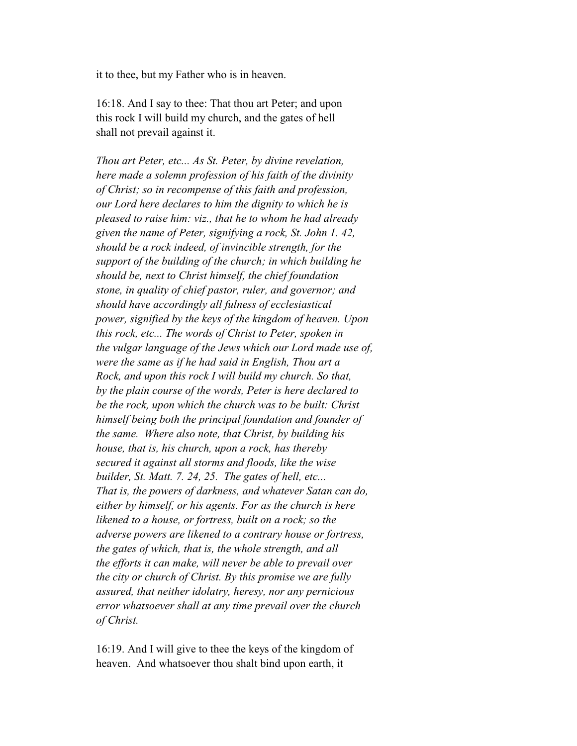it to thee, but my Father who is in heaven.

 16:18. And I say to thee: That thou art Peter; and upon this rock I will build my church, and the gates of hell shall not prevail against it.

 *Thou art Peter, etc... As St. Peter, by divine revelation, here made a solemn profession of his faith of the divinity of Christ; so in recompense of this faith and profession, our Lord here declares to him the dignity to which he is pleased to raise him: viz., that he to whom he had already given the name of Peter, signifying a rock, St. John 1. 42, should be a rock indeed, of invincible strength, for the support of the building of the church; in which building he should be, next to Christ himself, the chief foundation stone, in quality of chief pastor, ruler, and governor; and should have accordingly all fulness of ecclesiastical power, signified by the keys of the kingdom of heaven. Upon this rock, etc... The words of Christ to Peter, spoken in the vulgar language of the Jews which our Lord made use of, were the same as if he had said in English, Thou art a Rock, and upon this rock I will build my church. So that, by the plain course of the words, Peter is here declared to be the rock, upon which the church was to be built: Christ himself being both the principal foundation and founder of the same. Where also note, that Christ, by building his house, that is, his church, upon a rock, has thereby secured it against all storms and floods, like the wise builder, St. Matt. 7. 24, 25. The gates of hell, etc... That is, the powers of darkness, and whatever Satan can do, either by himself, or his agents. For as the church is here likened to a house, or fortress, built on a rock; so the adverse powers are likened to a contrary house or fortress, the gates of which, that is, the whole strength, and all the efforts it can make, will never be able to prevail over the city or church of Christ. By this promise we are fully assured, that neither idolatry, heresy, nor any pernicious error whatsoever shall at any time prevail over the church of Christ.*

 16:19. And I will give to thee the keys of the kingdom of heaven. And whatsoever thou shalt bind upon earth, it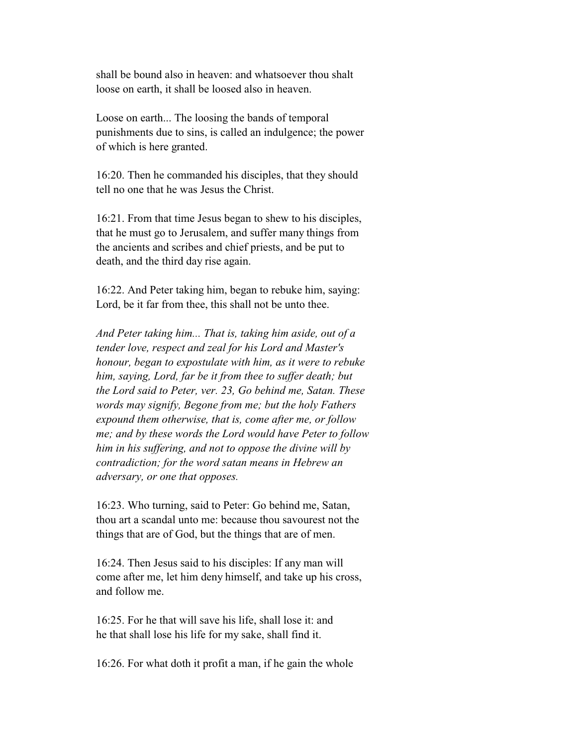shall be bound also in heaven: and whatsoever thou shalt loose on earth, it shall be loosed also in heaven.

 Loose on earth... The loosing the bands of temporal punishments due to sins, is called an indulgence; the power of which is here granted.

 16:20. Then he commanded his disciples, that they should tell no one that he was Jesus the Christ.

 16:21. From that time Jesus began to shew to his disciples, that he must go to Jerusalem, and suffer many things from the ancients and scribes and chief priests, and be put to death, and the third day rise again.

 16:22. And Peter taking him, began to rebuke him, saying: Lord, be it far from thee, this shall not be unto thee.

 *And Peter taking him... That is, taking him aside, out of a tender love, respect and zeal for his Lord and Master's honour, began to expostulate with him, as it were to rebuke him, saying, Lord, far be it from thee to suffer death; but the Lord said to Peter, ver. 23, Go behind me, Satan. These words may signify, Begone from me; but the holy Fathers expound them otherwise, that is, come after me, or follow me; and by these words the Lord would have Peter to follow him in his suffering, and not to oppose the divine will by contradiction; for the word satan means in Hebrew an adversary, or one that opposes.*

 16:23. Who turning, said to Peter: Go behind me, Satan, thou art a scandal unto me: because thou savourest not the things that are of God, but the things that are of men.

 16:24. Then Jesus said to his disciples: If any man will come after me, let him deny himself, and take up his cross, and follow me.

 16:25. For he that will save his life, shall lose it: and he that shall lose his life for my sake, shall find it.

16:26. For what doth it profit a man, if he gain the whole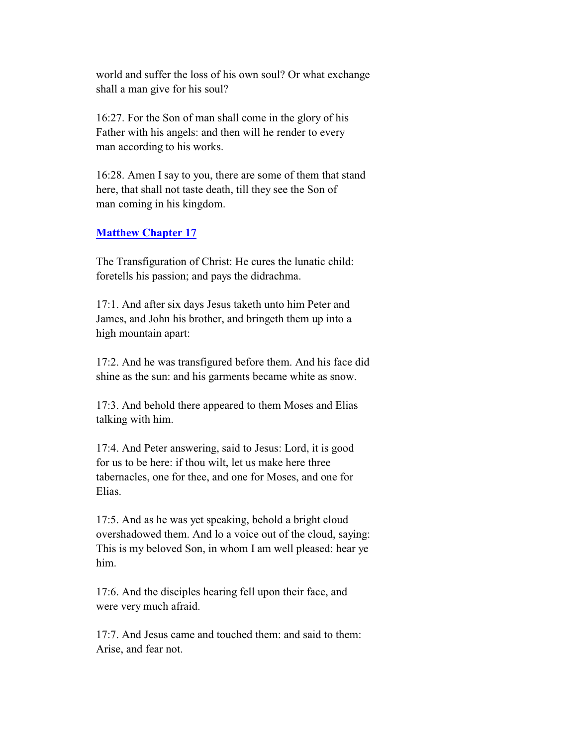world and suffer the loss of his own soul? Or what exchange shall a man give for his soul?

 16:27. For the Son of man shall come in the glory of his Father with his angels: and then will he render to every man according to his works.

 16:28. Amen I say to you, there are some of them that stand here, that shall not taste death, till they see the Son of man coming in his kingdom.

## **Matthew Chapter 17**

 The Transfiguration of Christ: He cures the lunatic child: foretells his passion; and pays the didrachma.

 17:1. And after six days Jesus taketh unto him Peter and James, and John his brother, and bringeth them up into a high mountain apart:

 17:2. And he was transfigured before them. And his face did shine as the sun: and his garments became white as snow.

 17:3. And behold there appeared to them Moses and Elias talking with him.

 17:4. And Peter answering, said to Jesus: Lord, it is good for us to be here: if thou wilt, let us make here three tabernacles, one for thee, and one for Moses, and one for Elias.

 17:5. And as he was yet speaking, behold a bright cloud overshadowed them. And lo a voice out of the cloud, saying: This is my beloved Son, in whom I am well pleased: hear ye him.

 17:6. And the disciples hearing fell upon their face, and were very much afraid.

 17:7. And Jesus came and touched them: and said to them: Arise, and fear not.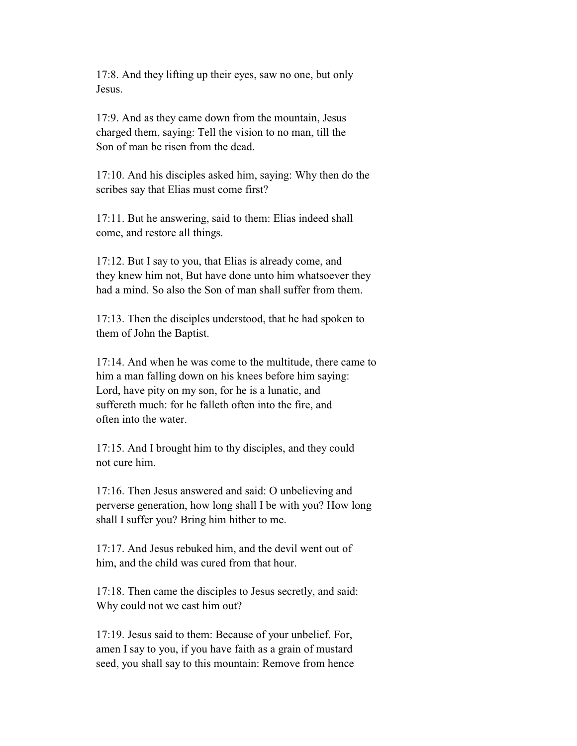17:8. And they lifting up their eyes, saw no one, but only Jesus.

 17:9. And as they came down from the mountain, Jesus charged them, saying: Tell the vision to no man, till the Son of man be risen from the dead.

 17:10. And his disciples asked him, saying: Why then do the scribes say that Elias must come first?

 17:11. But he answering, said to them: Elias indeed shall come, and restore all things.

 17:12. But I say to you, that Elias is already come, and they knew him not, But have done unto him whatsoever they had a mind. So also the Son of man shall suffer from them.

 17:13. Then the disciples understood, that he had spoken to them of John the Baptist.

 17:14. And when he was come to the multitude, there came to him a man falling down on his knees before him saying: Lord, have pity on my son, for he is a lunatic, and suffereth much: for he falleth often into the fire, and often into the water.

 17:15. And I brought him to thy disciples, and they could not cure him.

 17:16. Then Jesus answered and said: O unbelieving and perverse generation, how long shall I be with you? How long shall I suffer you? Bring him hither to me.

 17:17. And Jesus rebuked him, and the devil went out of him, and the child was cured from that hour.

 17:18. Then came the disciples to Jesus secretly, and said: Why could not we cast him out?

 17:19. Jesus said to them: Because of your unbelief. For, amen I say to you, if you have faith as a grain of mustard seed, you shall say to this mountain: Remove from hence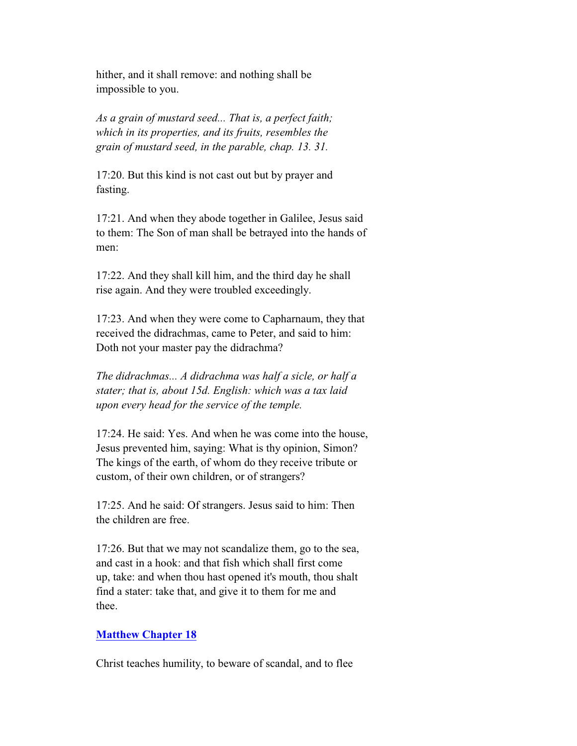hither, and it shall remove: and nothing shall be impossible to you.

 *As a grain of mustard seed... That is, a perfect faith; which in its properties, and its fruits, resembles the grain of mustard seed, in the parable, chap. 13. 31.*

 17:20. But this kind is not cast out but by prayer and fasting.

 17:21. And when they abode together in Galilee, Jesus said to them: The Son of man shall be betrayed into the hands of men:

 17:22. And they shall kill him, and the third day he shall rise again. And they were troubled exceedingly.

 17:23. And when they were come to Capharnaum, they that received the didrachmas, came to Peter, and said to him: Doth not your master pay the didrachma?

 *The didrachmas... A didrachma was half a sicle, or half a stater; that is, about 15d. English: which was a tax laid upon every head for the service of the temple.*

 17:24. He said: Yes. And when he was come into the house, Jesus prevented him, saying: What is thy opinion, Simon? The kings of the earth, of whom do they receive tribute or custom, of their own children, or of strangers?

 17:25. And he said: Of strangers. Jesus said to him: Then the children are free.

 17:26. But that we may not scandalize them, go to the sea, and cast in a hook: and that fish which shall first come up, take: and when thou hast opened it's mouth, thou shalt find a stater: take that, and give it to them for me and thee.

# **Matthew Chapter 18**

Christ teaches humility, to beware of scandal, and to flee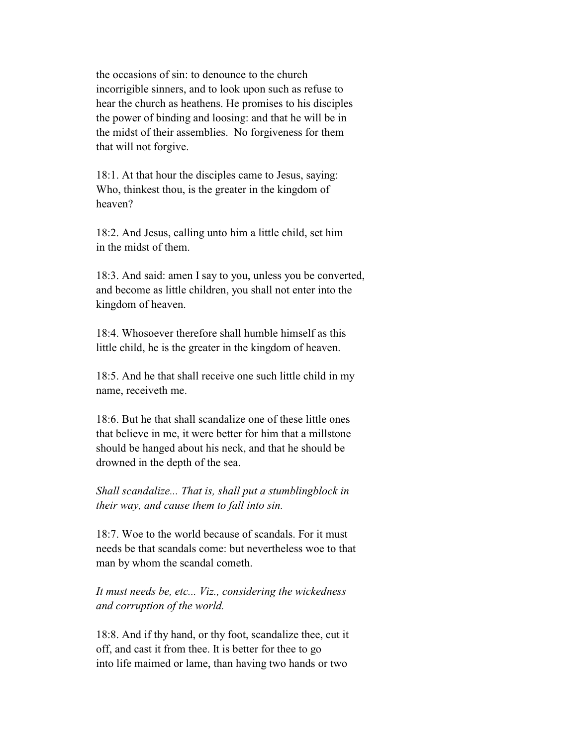the occasions of sin: to denounce to the church incorrigible sinners, and to look upon such as refuse to hear the church as heathens. He promises to his disciples the power of binding and loosing: and that he will be in the midst of their assemblies. No forgiveness for them that will not forgive.

 18:1. At that hour the disciples came to Jesus, saying: Who, thinkest thou, is the greater in the kingdom of heaven?

 18:2. And Jesus, calling unto him a little child, set him in the midst of them.

 18:3. And said: amen I say to you, unless you be converted, and become as little children, you shall not enter into the kingdom of heaven.

 18:4. Whosoever therefore shall humble himself as this little child, he is the greater in the kingdom of heaven.

 18:5. And he that shall receive one such little child in my name, receiveth me.

 18:6. But he that shall scandalize one of these little ones that believe in me, it were better for him that a millstone should be hanged about his neck, and that he should be drowned in the depth of the sea.

 *Shall scandalize... That is, shall put a stumblingblock in their way, and cause them to fall into sin.*

 18:7. Woe to the world because of scandals. For it must needs be that scandals come: but nevertheless woe to that man by whom the scandal cometh.

 *It must needs be, etc... Viz., considering the wickedness and corruption of the world.*

 18:8. And if thy hand, or thy foot, scandalize thee, cut it off, and cast it from thee. It is better for thee to go into life maimed or lame, than having two hands or two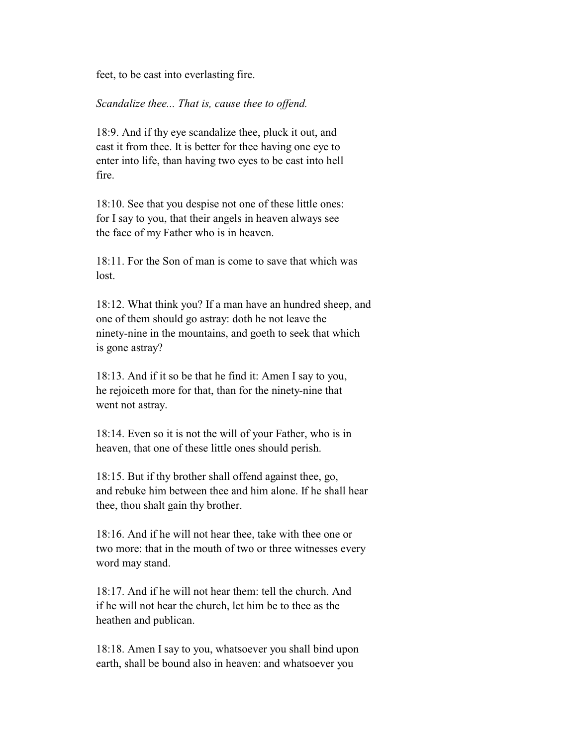feet, to be cast into everlasting fire.

#### *Scandalize thee... That is, cause thee to offend.*

 18:9. And if thy eye scandalize thee, pluck it out, and cast it from thee. It is better for thee having one eye to enter into life, than having two eyes to be cast into hell fire.

 18:10. See that you despise not one of these little ones: for I say to you, that their angels in heaven always see the face of my Father who is in heaven.

 18:11. For the Son of man is come to save that which was lost.

 18:12. What think you? If a man have an hundred sheep, and one of them should go astray: doth he not leave the ninety-nine in the mountains, and goeth to seek that which is gone astray?

 18:13. And if it so be that he find it: Amen I say to you, he rejoiceth more for that, than for the ninety-nine that went not astray.

 18:14. Even so it is not the will of your Father, who is in heaven, that one of these little ones should perish.

 18:15. But if thy brother shall offend against thee, go, and rebuke him between thee and him alone. If he shall hear thee, thou shalt gain thy brother.

 18:16. And if he will not hear thee, take with thee one or two more: that in the mouth of two or three witnesses every word may stand.

 18:17. And if he will not hear them: tell the church. And if he will not hear the church, let him be to thee as the heathen and publican.

 18:18. Amen I say to you, whatsoever you shall bind upon earth, shall be bound also in heaven: and whatsoever you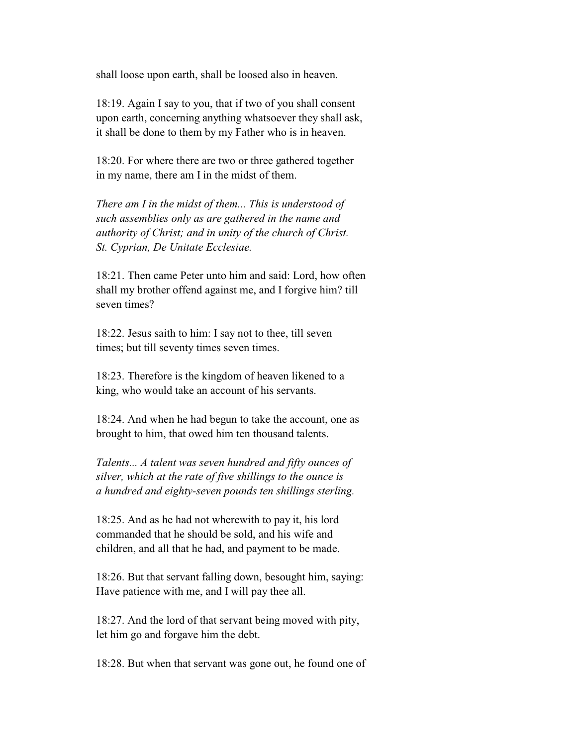shall loose upon earth, shall be loosed also in heaven.

 18:19. Again I say to you, that if two of you shall consent upon earth, concerning anything whatsoever they shall ask, it shall be done to them by my Father who is in heaven.

 18:20. For where there are two or three gathered together in my name, there am I in the midst of them.

 *There am I in the midst of them... This is understood of such assemblies only as are gathered in the name and authority of Christ; and in unity of the church of Christ. St. Cyprian, De Unitate Ecclesiae.*

 18:21. Then came Peter unto him and said: Lord, how often shall my brother offend against me, and I forgive him? till seven times?

 18:22. Jesus saith to him: I say not to thee, till seven times; but till seventy times seven times.

 18:23. Therefore is the kingdom of heaven likened to a king, who would take an account of his servants.

 18:24. And when he had begun to take the account, one as brought to him, that owed him ten thousand talents.

 *Talents... A talent was seven hundred and fifty ounces of silver, which at the rate of five shillings to the ounce is a hundred and eighty-seven pounds ten shillings sterling.*

 18:25. And as he had not wherewith to pay it, his lord commanded that he should be sold, and his wife and children, and all that he had, and payment to be made.

 18:26. But that servant falling down, besought him, saying: Have patience with me, and I will pay thee all.

 18:27. And the lord of that servant being moved with pity, let him go and forgave him the debt.

18:28. But when that servant was gone out, he found one of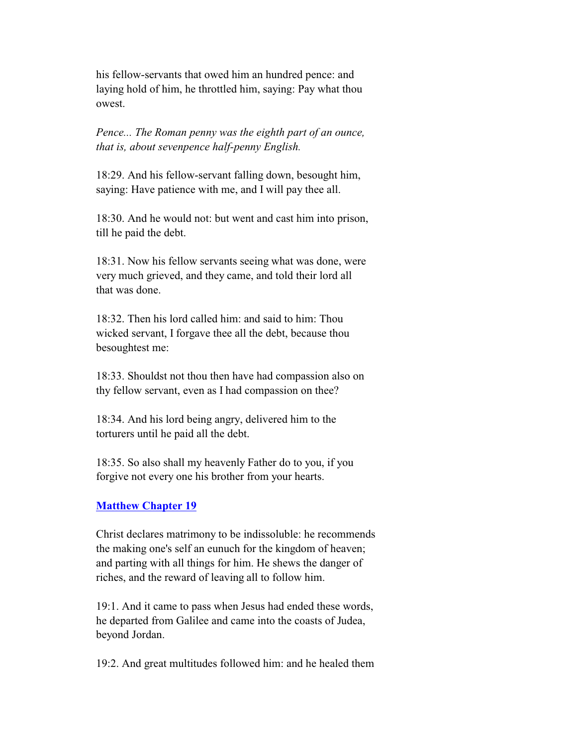his fellow-servants that owed him an hundred pence: and laying hold of him, he throttled him, saying: Pay what thou owest.

 *Pence... The Roman penny was the eighth part of an ounce, that is, about sevenpence half-penny English.*

 18:29. And his fellow-servant falling down, besought him, saying: Have patience with me, and I will pay thee all.

 18:30. And he would not: but went and cast him into prison, till he paid the debt.

 18:31. Now his fellow servants seeing what was done, were very much grieved, and they came, and told their lord all that was done.

 18:32. Then his lord called him: and said to him: Thou wicked servant, I forgave thee all the debt, because thou besoughtest me:

 18:33. Shouldst not thou then have had compassion also on thy fellow servant, even as I had compassion on thee?

 18:34. And his lord being angry, delivered him to the torturers until he paid all the debt.

 18:35. So also shall my heavenly Father do to you, if you forgive not every one his brother from your hearts.

#### **Matthew Chapter 19**

 Christ declares matrimony to be indissoluble: he recommends the making one's self an eunuch for the kingdom of heaven; and parting with all things for him. He shews the danger of riches, and the reward of leaving all to follow him.

 19:1. And it came to pass when Jesus had ended these words, he departed from Galilee and came into the coasts of Judea, beyond Jordan.

19:2. And great multitudes followed him: and he healed them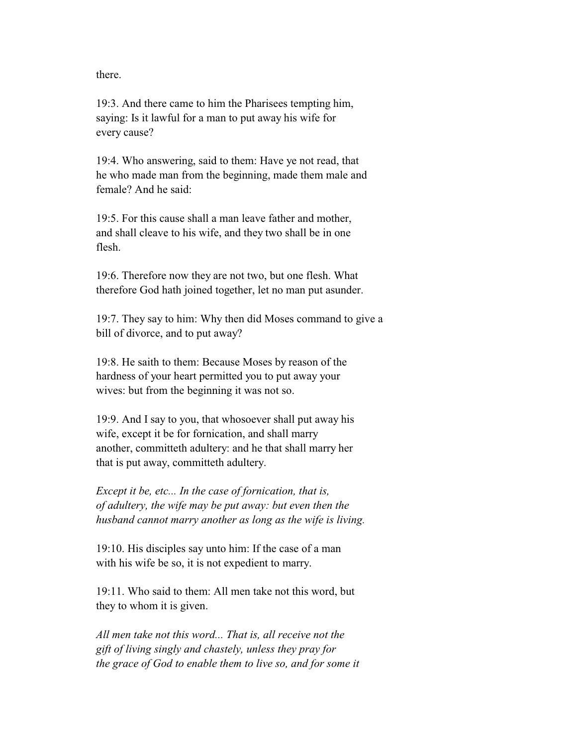there.

 19:3. And there came to him the Pharisees tempting him, saying: Is it lawful for a man to put away his wife for every cause?

 19:4. Who answering, said to them: Have ye not read, that he who made man from the beginning, made them male and female? And he said:

 19:5. For this cause shall a man leave father and mother, and shall cleave to his wife, and they two shall be in one flesh.

 19:6. Therefore now they are not two, but one flesh. What therefore God hath joined together, let no man put asunder.

 19:7. They say to him: Why then did Moses command to give a bill of divorce, and to put away?

 19:8. He saith to them: Because Moses by reason of the hardness of your heart permitted you to put away your wives: but from the beginning it was not so.

 19:9. And I say to you, that whosoever shall put away his wife, except it be for fornication, and shall marry another, committeth adultery: and he that shall marry her that is put away, committeth adultery.

 *Except it be, etc... In the case of fornication, that is, of adultery, the wife may be put away: but even then the husband cannot marry another as long as the wife is living.*

 19:10. His disciples say unto him: If the case of a man with his wife be so, it is not expedient to marry.

 19:11. Who said to them: All men take not this word, but they to whom it is given.

 *All men take not this word... That is, all receive not the gift of living singly and chastely, unless they pray for the grace of God to enable them to live so, and for some it*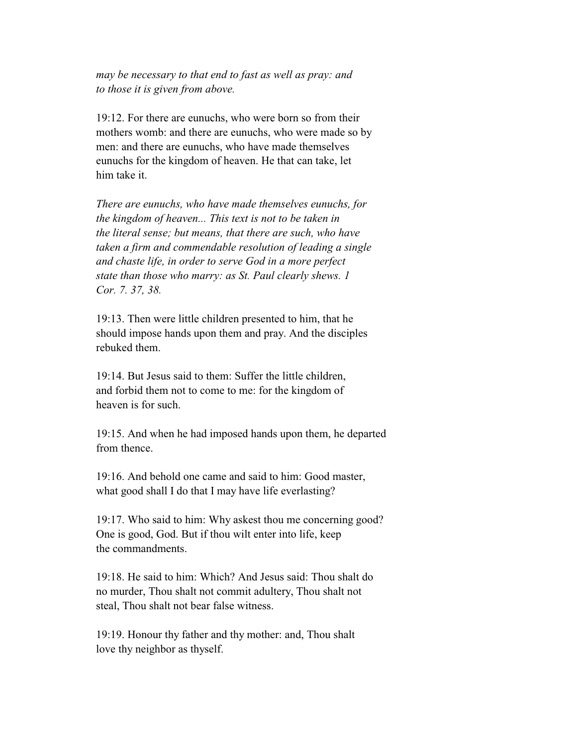*may be necessary to that end to fast as well as pray: and to those it is given from above.*

 19:12. For there are eunuchs, who were born so from their mothers womb: and there are eunuchs, who were made so by men: and there are eunuchs, who have made themselves eunuchs for the kingdom of heaven. He that can take, let him take it.

 *There are eunuchs, who have made themselves eunuchs, for the kingdom of heaven... This text is not to be taken in the literal sense; but means, that there are such, who have taken a firm and commendable resolution of leading a single and chaste life, in order to serve God in a more perfect state than those who marry: as St. Paul clearly shews. 1 Cor. 7. 37, 38.*

 19:13. Then were little children presented to him, that he should impose hands upon them and pray. And the disciples rebuked them.

 19:14. But Jesus said to them: Suffer the little children, and forbid them not to come to me: for the kingdom of heaven is for such.

 19:15. And when he had imposed hands upon them, he departed from thence.

 19:16. And behold one came and said to him: Good master, what good shall I do that I may have life everlasting?

 19:17. Who said to him: Why askest thou me concerning good? One is good, God. But if thou wilt enter into life, keep the commandments.

 19:18. He said to him: Which? And Jesus said: Thou shalt do no murder, Thou shalt not commit adultery, Thou shalt not steal, Thou shalt not bear false witness.

 19:19. Honour thy father and thy mother: and, Thou shalt love thy neighbor as thyself.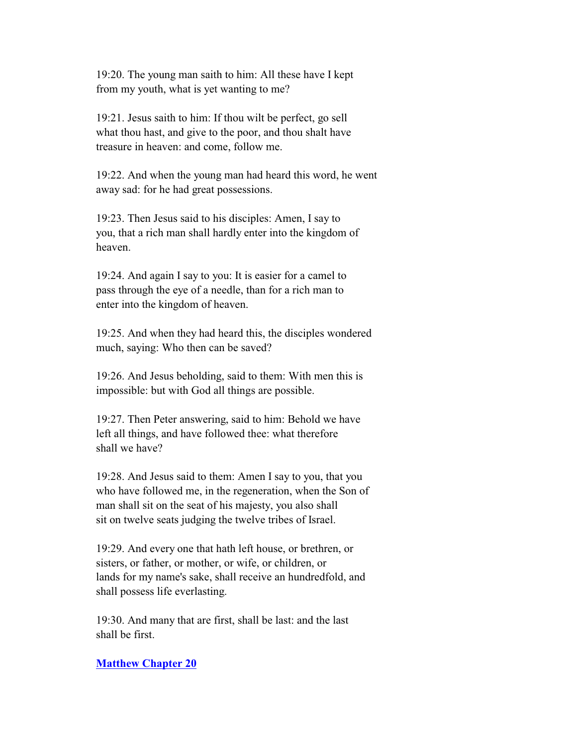19:20. The young man saith to him: All these have I kept from my youth, what is yet wanting to me?

 19:21. Jesus saith to him: If thou wilt be perfect, go sell what thou hast, and give to the poor, and thou shalt have treasure in heaven: and come, follow me.

 19:22. And when the young man had heard this word, he went away sad: for he had great possessions.

 19:23. Then Jesus said to his disciples: Amen, I say to you, that a rich man shall hardly enter into the kingdom of heaven.

 19:24. And again I say to you: It is easier for a camel to pass through the eye of a needle, than for a rich man to enter into the kingdom of heaven.

 19:25. And when they had heard this, the disciples wondered much, saying: Who then can be saved?

 19:26. And Jesus beholding, said to them: With men this is impossible: but with God all things are possible.

 19:27. Then Peter answering, said to him: Behold we have left all things, and have followed thee: what therefore shall we have?

 19:28. And Jesus said to them: Amen I say to you, that you who have followed me, in the regeneration, when the Son of man shall sit on the seat of his majesty, you also shall sit on twelve seats judging the twelve tribes of Israel.

 19:29. And every one that hath left house, or brethren, or sisters, or father, or mother, or wife, or children, or lands for my name's sake, shall receive an hundredfold, and shall possess life everlasting.

 19:30. And many that are first, shall be last: and the last shall be first.

# **Matthew Chapter 20**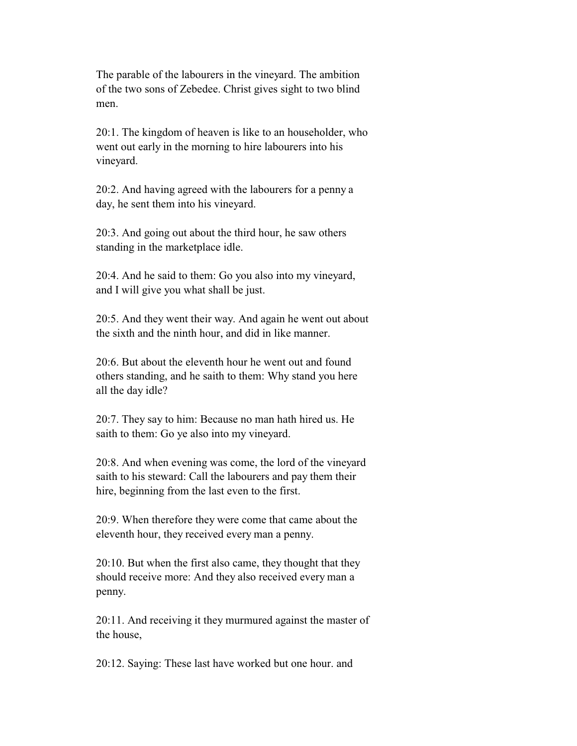The parable of the labourers in the vineyard. The ambition of the two sons of Zebedee. Christ gives sight to two blind men.

 20:1. The kingdom of heaven is like to an householder, who went out early in the morning to hire labourers into his vineyard.

 20:2. And having agreed with the labourers for a penny a day, he sent them into his vineyard.

 20:3. And going out about the third hour, he saw others standing in the marketplace idle.

 20:4. And he said to them: Go you also into my vineyard, and I will give you what shall be just.

 20:5. And they went their way. And again he went out about the sixth and the ninth hour, and did in like manner.

 20:6. But about the eleventh hour he went out and found others standing, and he saith to them: Why stand you here all the day idle?

 20:7. They say to him: Because no man hath hired us. He saith to them: Go ye also into my vineyard.

 20:8. And when evening was come, the lord of the vineyard saith to his steward: Call the labourers and pay them their hire, beginning from the last even to the first.

 20:9. When therefore they were come that came about the eleventh hour, they received every man a penny.

 20:10. But when the first also came, they thought that they should receive more: And they also received every man a penny.

 20:11. And receiving it they murmured against the master of the house,

20:12. Saying: These last have worked but one hour. and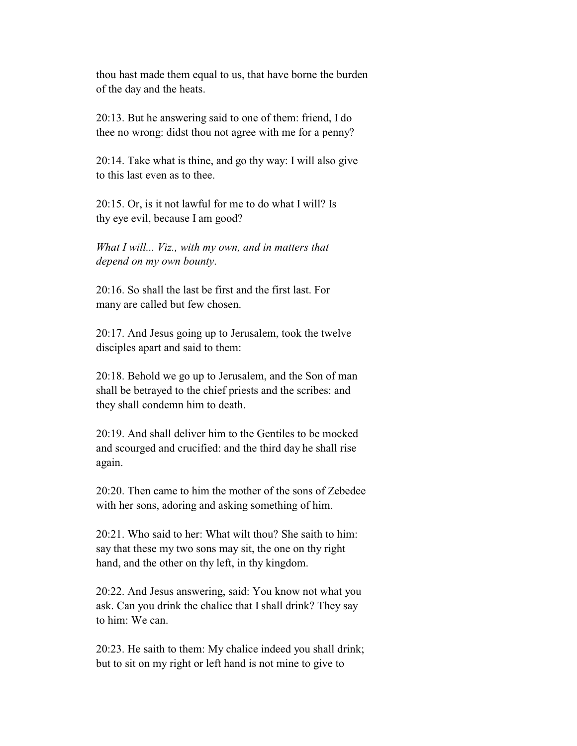thou hast made them equal to us, that have borne the burden of the day and the heats.

 20:13. But he answering said to one of them: friend, I do thee no wrong: didst thou not agree with me for a penny?

 20:14. Take what is thine, and go thy way: I will also give to this last even as to thee.

 20:15. Or, is it not lawful for me to do what I will? Is thy eye evil, because I am good?

 *What I will... Viz., with my own, and in matters that depend on my own bounty*.

 20:16. So shall the last be first and the first last. For many are called but few chosen.

 20:17. And Jesus going up to Jerusalem, took the twelve disciples apart and said to them:

 20:18. Behold we go up to Jerusalem, and the Son of man shall be betrayed to the chief priests and the scribes: and they shall condemn him to death.

 20:19. And shall deliver him to the Gentiles to be mocked and scourged and crucified: and the third day he shall rise again.

 20:20. Then came to him the mother of the sons of Zebedee with her sons, adoring and asking something of him.

 20:21. Who said to her: What wilt thou? She saith to him: say that these my two sons may sit, the one on thy right hand, and the other on thy left, in thy kingdom.

 20:22. And Jesus answering, said: You know not what you ask. Can you drink the chalice that I shall drink? They say to him: We can.

 20:23. He saith to them: My chalice indeed you shall drink; but to sit on my right or left hand is not mine to give to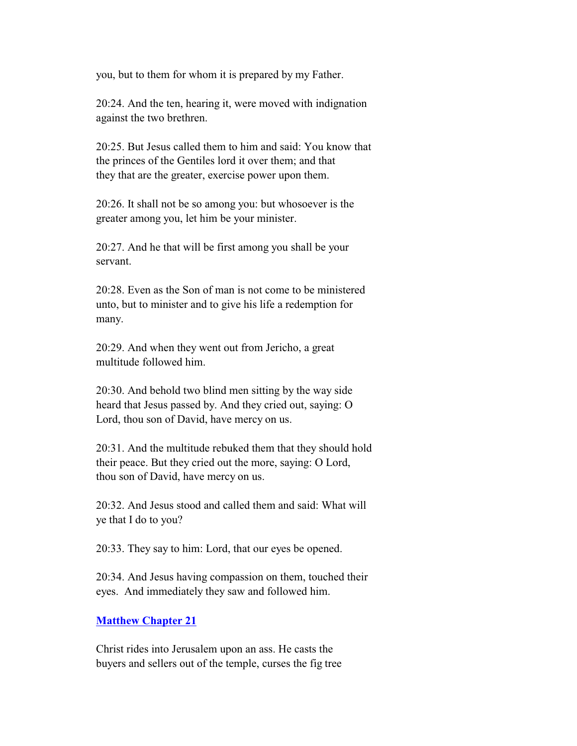you, but to them for whom it is prepared by my Father.

 20:24. And the ten, hearing it, were moved with indignation against the two brethren.

 20:25. But Jesus called them to him and said: You know that the princes of the Gentiles lord it over them; and that they that are the greater, exercise power upon them.

 20:26. It shall not be so among you: but whosoever is the greater among you, let him be your minister.

 20:27. And he that will be first among you shall be your servant.

 20:28. Even as the Son of man is not come to be ministered unto, but to minister and to give his life a redemption for many.

 20:29. And when they went out from Jericho, a great multitude followed him.

 20:30. And behold two blind men sitting by the way side heard that Jesus passed by. And they cried out, saying: O Lord, thou son of David, have mercy on us.

 20:31. And the multitude rebuked them that they should hold their peace. But they cried out the more, saying: O Lord, thou son of David, have mercy on us.

 20:32. And Jesus stood and called them and said: What will ye that I do to you?

20:33. They say to him: Lord, that our eyes be opened.

 20:34. And Jesus having compassion on them, touched their eyes. And immediately they saw and followed him.

#### **Matthew Chapter 21**

 Christ rides into Jerusalem upon an ass. He casts the buyers and sellers out of the temple, curses the fig tree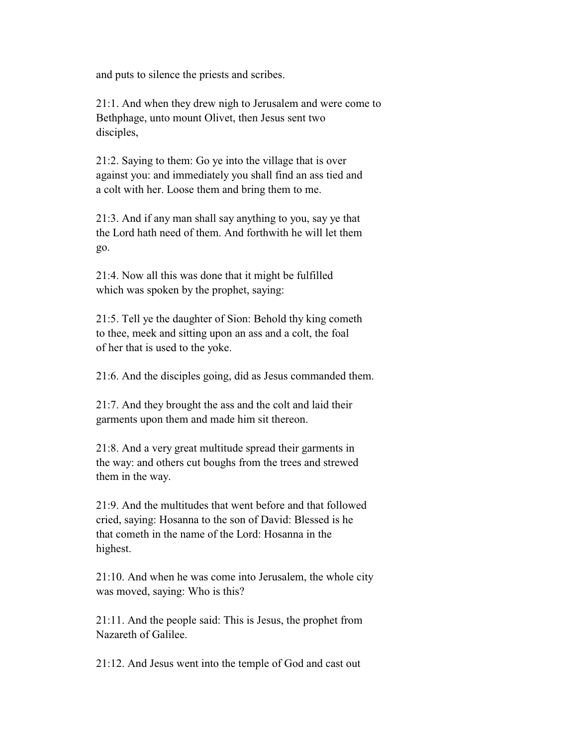and puts to silence the priests and scribes.

 21:1. And when they drew nigh to Jerusalem and were come to Bethphage, unto mount Olivet, then Jesus sent two disciples,

 21:2. Saying to them: Go ye into the village that is over against you: and immediately you shall find an ass tied and a colt with her. Loose them and bring them to me.

 21:3. And if any man shall say anything to you, say ye that the Lord hath need of them. And forthwith he will let them go.

 21:4. Now all this was done that it might be fulfilled which was spoken by the prophet, saying:

 21:5. Tell ye the daughter of Sion: Behold thy king cometh to thee, meek and sitting upon an ass and a colt, the foal of her that is used to the yoke.

21:6. And the disciples going, did as Jesus commanded them.

 21:7. And they brought the ass and the colt and laid their garments upon them and made him sit thereon.

 21:8. And a very great multitude spread their garments in the way: and others cut boughs from the trees and strewed them in the way.

 21:9. And the multitudes that went before and that followed cried, saying: Hosanna to the son of David: Blessed is he that cometh in the name of the Lord: Hosanna in the highest.

 21:10. And when he was come into Jerusalem, the whole city was moved, saying: Who is this?

 21:11. And the people said: This is Jesus, the prophet from Nazareth of Galilee.

21:12. And Jesus went into the temple of God and cast out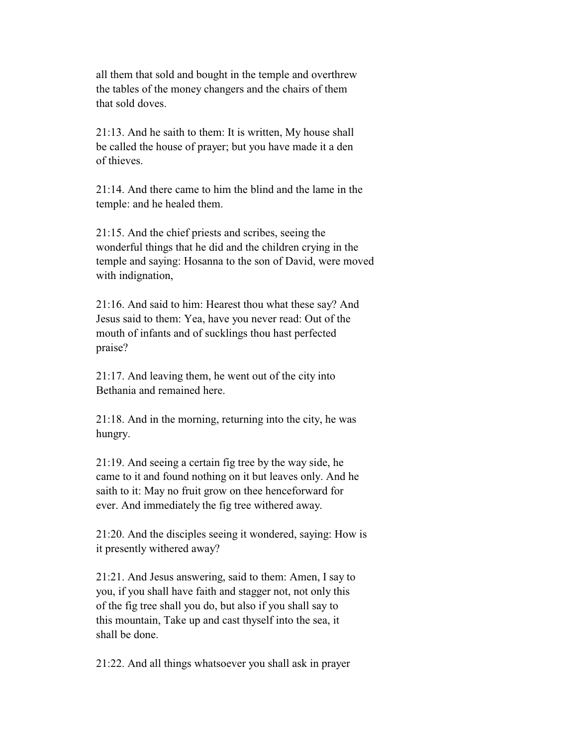all them that sold and bought in the temple and overthrew the tables of the money changers and the chairs of them that sold doves.

 21:13. And he saith to them: It is written, My house shall be called the house of prayer; but you have made it a den of thieves.

 21:14. And there came to him the blind and the lame in the temple: and he healed them.

 21:15. And the chief priests and scribes, seeing the wonderful things that he did and the children crying in the temple and saying: Hosanna to the son of David, were moved with indignation,

 21:16. And said to him: Hearest thou what these say? And Jesus said to them: Yea, have you never read: Out of the mouth of infants and of sucklings thou hast perfected praise?

 21:17. And leaving them, he went out of the city into Bethania and remained here.

 21:18. And in the morning, returning into the city, he was hungry.

 21:19. And seeing a certain fig tree by the way side, he came to it and found nothing on it but leaves only. And he saith to it: May no fruit grow on thee henceforward for ever. And immediately the fig tree withered away.

 21:20. And the disciples seeing it wondered, saying: How is it presently withered away?

 21:21. And Jesus answering, said to them: Amen, I say to you, if you shall have faith and stagger not, not only this of the fig tree shall you do, but also if you shall say to this mountain, Take up and cast thyself into the sea, it shall be done.

21:22. And all things whatsoever you shall ask in prayer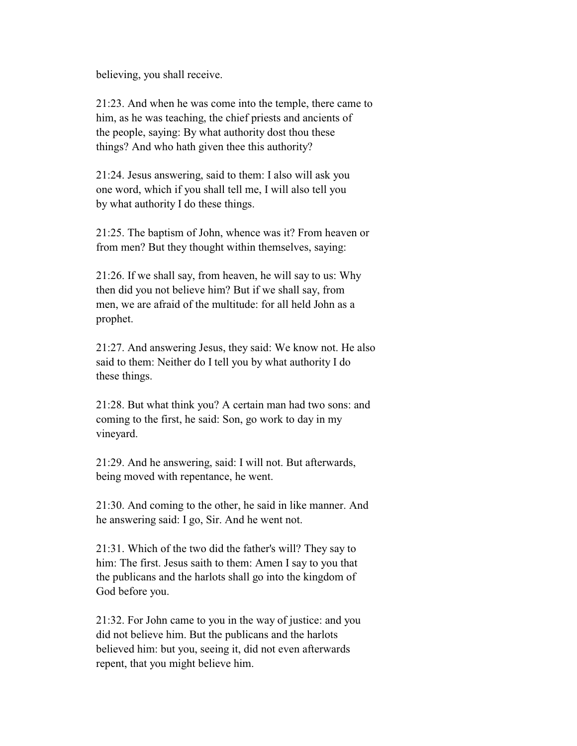believing, you shall receive.

 21:23. And when he was come into the temple, there came to him, as he was teaching, the chief priests and ancients of the people, saying: By what authority dost thou these things? And who hath given thee this authority?

 21:24. Jesus answering, said to them: I also will ask you one word, which if you shall tell me, I will also tell you by what authority I do these things.

 21:25. The baptism of John, whence was it? From heaven or from men? But they thought within themselves, saying:

 21:26. If we shall say, from heaven, he will say to us: Why then did you not believe him? But if we shall say, from men, we are afraid of the multitude: for all held John as a prophet.

 21:27. And answering Jesus, they said: We know not. He also said to them: Neither do I tell you by what authority I do these things.

 21:28. But what think you? A certain man had two sons: and coming to the first, he said: Son, go work to day in my vineyard.

 21:29. And he answering, said: I will not. But afterwards, being moved with repentance, he went.

 21:30. And coming to the other, he said in like manner. And he answering said: I go, Sir. And he went not.

 21:31. Which of the two did the father's will? They say to him: The first. Jesus saith to them: Amen I say to you that the publicans and the harlots shall go into the kingdom of God before you.

 21:32. For John came to you in the way of justice: and you did not believe him. But the publicans and the harlots believed him: but you, seeing it, did not even afterwards repent, that you might believe him.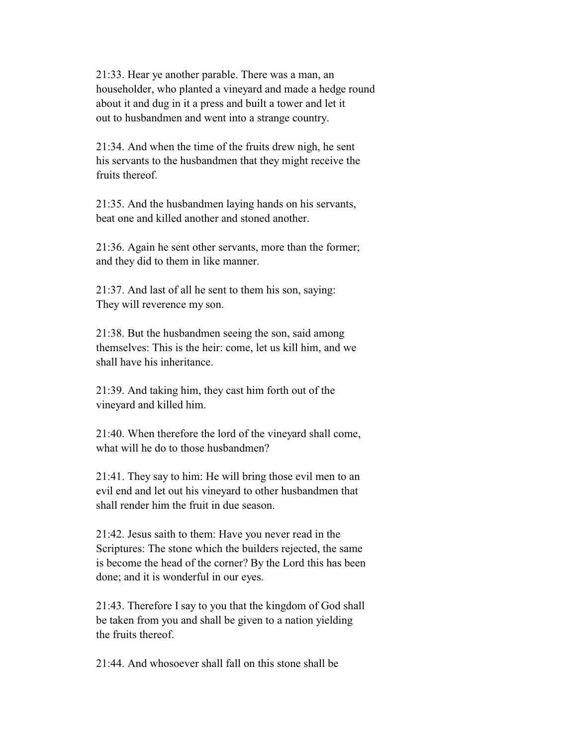21:33. Hear ye another parable. There was a man, an householder, who planted a vineyard and made a hedge round about it and dug in it a press and built a tower and let it out to husbandmen and went into a strange country.

 21:34. And when the time of the fruits drew nigh, he sent his servants to the husbandmen that they might receive the fruits thereof.

 21:35. And the husbandmen laying hands on his servants, beat one and killed another and stoned another.

 21:36. Again he sent other servants, more than the former; and they did to them in like manner.

 21:37. And last of all he sent to them his son, saying: They will reverence my son.

 21:38. But the husbandmen seeing the son, said among themselves: This is the heir: come, let us kill him, and we shall have his inheritance.

 21:39. And taking him, they cast him forth out of the vineyard and killed him.

 21:40. When therefore the lord of the vineyard shall come, what will he do to those husbandmen?

 21:41. They say to him: He will bring those evil men to an evil end and let out his vineyard to other husbandmen that shall render him the fruit in due season.

 21:42. Jesus saith to them: Have you never read in the Scriptures: The stone which the builders rejected, the same is become the head of the corner? By the Lord this has been done; and it is wonderful in our eyes.

 21:43. Therefore I say to you that the kingdom of God shall be taken from you and shall be given to a nation yielding the fruits thereof.

21:44. And whosoever shall fall on this stone shall be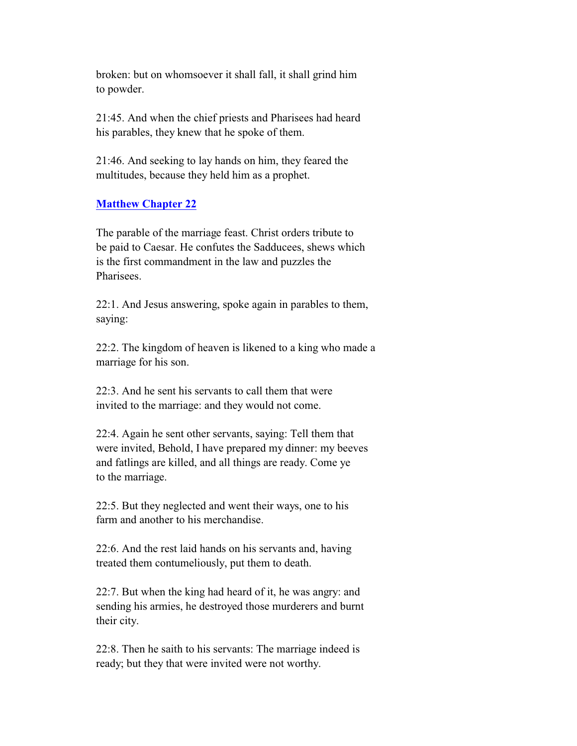broken: but on whomsoever it shall fall, it shall grind him to powder.

 21:45. And when the chief priests and Pharisees had heard his parables, they knew that he spoke of them.

 21:46. And seeking to lay hands on him, they feared the multitudes, because they held him as a prophet.

# **Matthew Chapter 22**

 The parable of the marriage feast. Christ orders tribute to be paid to Caesar. He confutes the Sadducees, shews which is the first commandment in the law and puzzles the Pharisees.

 22:1. And Jesus answering, spoke again in parables to them, saying:

 22:2. The kingdom of heaven is likened to a king who made a marriage for his son.

 22:3. And he sent his servants to call them that were invited to the marriage: and they would not come.

 22:4. Again he sent other servants, saying: Tell them that were invited, Behold, I have prepared my dinner: my beeves and fatlings are killed, and all things are ready. Come ye to the marriage.

 22:5. But they neglected and went their ways, one to his farm and another to his merchandise.

 22:6. And the rest laid hands on his servants and, having treated them contumeliously, put them to death.

 22:7. But when the king had heard of it, he was angry: and sending his armies, he destroyed those murderers and burnt their city.

 22:8. Then he saith to his servants: The marriage indeed is ready; but they that were invited were not worthy.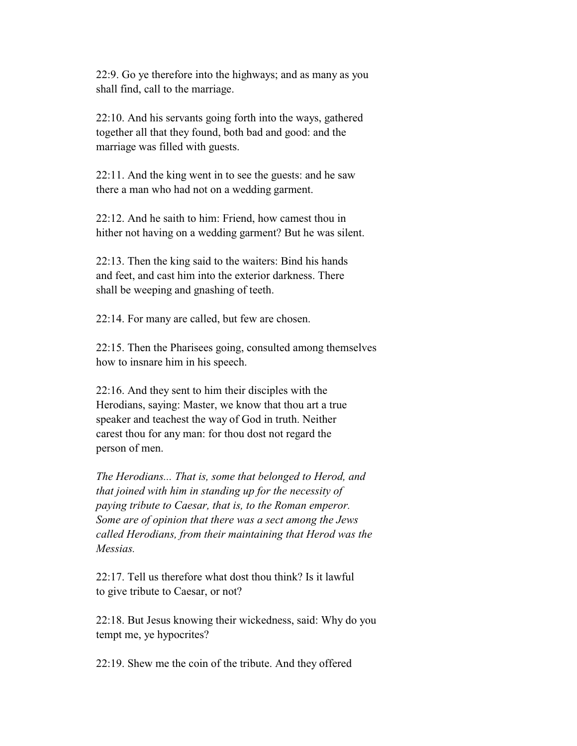22:9. Go ye therefore into the highways; and as many as you shall find, call to the marriage.

 22:10. And his servants going forth into the ways, gathered together all that they found, both bad and good: and the marriage was filled with guests.

 22:11. And the king went in to see the guests: and he saw there a man who had not on a wedding garment.

 22:12. And he saith to him: Friend, how camest thou in hither not having on a wedding garment? But he was silent.

 22:13. Then the king said to the waiters: Bind his hands and feet, and cast him into the exterior darkness. There shall be weeping and gnashing of teeth.

22:14. For many are called, but few are chosen.

 22:15. Then the Pharisees going, consulted among themselves how to insnare him in his speech.

 22:16. And they sent to him their disciples with the Herodians, saying: Master, we know that thou art a true speaker and teachest the way of God in truth. Neither carest thou for any man: for thou dost not regard the person of men.

 *The Herodians... That is, some that belonged to Herod, and that joined with him in standing up for the necessity of paying tribute to Caesar, that is, to the Roman emperor. Some are of opinion that there was a sect among the Jews called Herodians, from their maintaining that Herod was the Messias.*

 22:17. Tell us therefore what dost thou think? Is it lawful to give tribute to Caesar, or not?

 22:18. But Jesus knowing their wickedness, said: Why do you tempt me, ye hypocrites?

22:19. Shew me the coin of the tribute. And they offered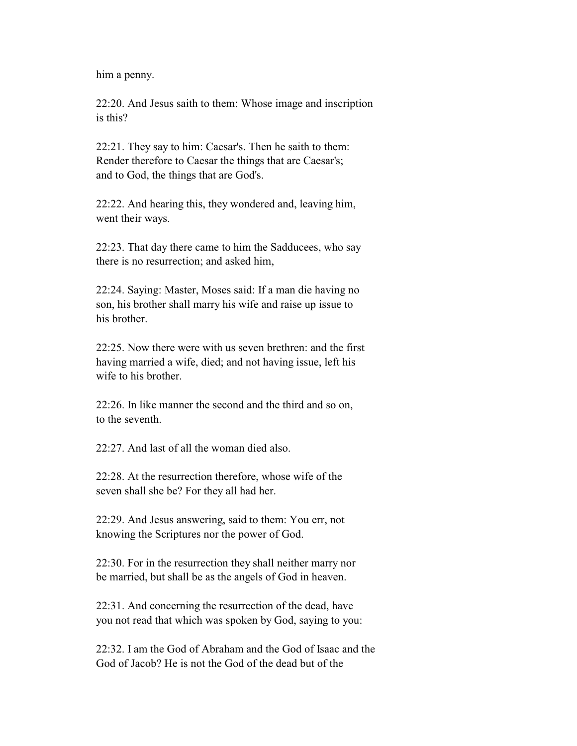him a penny.

 22:20. And Jesus saith to them: Whose image and inscription is this?

 22:21. They say to him: Caesar's. Then he saith to them: Render therefore to Caesar the things that are Caesar's; and to God, the things that are God's.

 22:22. And hearing this, they wondered and, leaving him, went their ways.

 22:23. That day there came to him the Sadducees, who say there is no resurrection; and asked him,

 22:24. Saying: Master, Moses said: If a man die having no son, his brother shall marry his wife and raise up issue to his brother

 22:25. Now there were with us seven brethren: and the first having married a wife, died; and not having issue, left his wife to his brother.

 22:26. In like manner the second and the third and so on, to the seventh.

22:27. And last of all the woman died also.

 22:28. At the resurrection therefore, whose wife of the seven shall she be? For they all had her.

 22:29. And Jesus answering, said to them: You err, not knowing the Scriptures nor the power of God.

 22:30. For in the resurrection they shall neither marry nor be married, but shall be as the angels of God in heaven.

 22:31. And concerning the resurrection of the dead, have you not read that which was spoken by God, saying to you:

 22:32. I am the God of Abraham and the God of Isaac and the God of Jacob? He is not the God of the dead but of the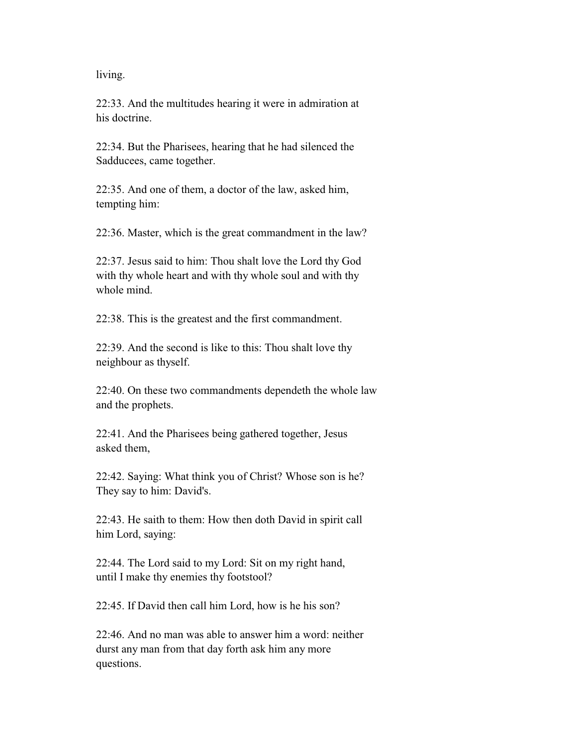living.

 22:33. And the multitudes hearing it were in admiration at his doctrine.

 22:34. But the Pharisees, hearing that he had silenced the Sadducees, came together.

 22:35. And one of them, a doctor of the law, asked him, tempting him:

22:36. Master, which is the great commandment in the law?

 22:37. Jesus said to him: Thou shalt love the Lord thy God with thy whole heart and with thy whole soul and with thy whole mind.

22:38. This is the greatest and the first commandment.

 22:39. And the second is like to this: Thou shalt love thy neighbour as thyself.

 22:40. On these two commandments dependeth the whole law and the prophets.

 22:41. And the Pharisees being gathered together, Jesus asked them,

 22:42. Saying: What think you of Christ? Whose son is he? They say to him: David's.

 22:43. He saith to them: How then doth David in spirit call him Lord, saying:

 22:44. The Lord said to my Lord: Sit on my right hand, until I make thy enemies thy footstool?

22:45. If David then call him Lord, how is he his son?

 22:46. And no man was able to answer him a word: neither durst any man from that day forth ask him any more questions.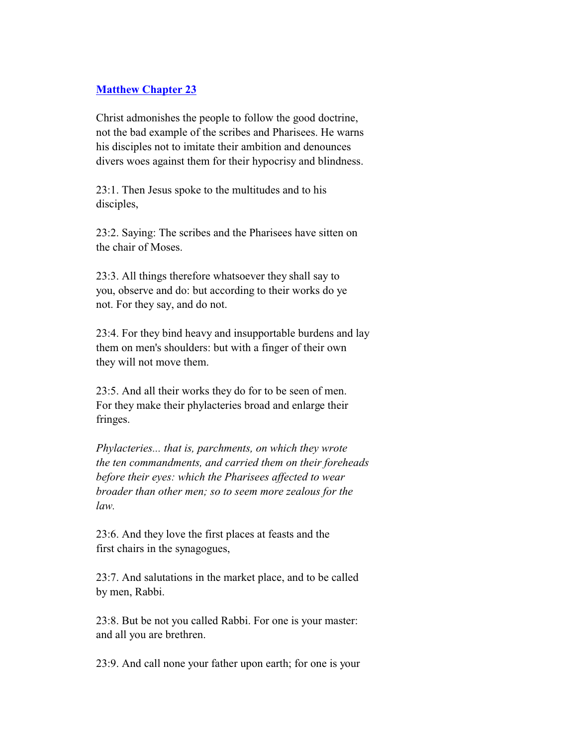## **Matthew Chapter 23**

 Christ admonishes the people to follow the good doctrine, not the bad example of the scribes and Pharisees. He warns his disciples not to imitate their ambition and denounces divers woes against them for their hypocrisy and blindness.

 23:1. Then Jesus spoke to the multitudes and to his disciples,

 23:2. Saying: The scribes and the Pharisees have sitten on the chair of Moses.

 23:3. All things therefore whatsoever they shall say to you, observe and do: but according to their works do ye not. For they say, and do not.

 23:4. For they bind heavy and insupportable burdens and lay them on men's shoulders: but with a finger of their own they will not move them.

 23:5. And all their works they do for to be seen of men. For they make their phylacteries broad and enlarge their fringes.

 *Phylacteries... that is, parchments, on which they wrote the ten commandments, and carried them on their foreheads before their eyes: which the Pharisees affected to wear broader than other men; so to seem more zealous for the law.*

 23:6. And they love the first places at feasts and the first chairs in the synagogues,

 23:7. And salutations in the market place, and to be called by men, Rabbi.

 23:8. But be not you called Rabbi. For one is your master: and all you are brethren.

23:9. And call none your father upon earth; for one is your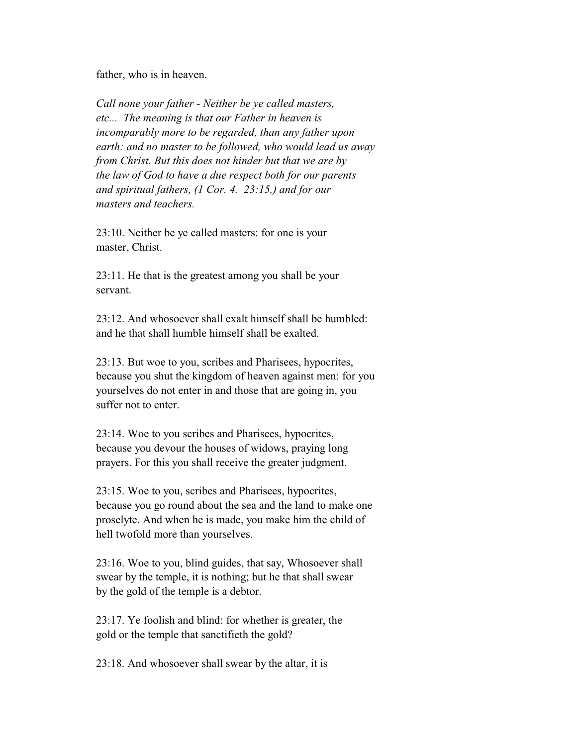father, who is in heaven.

 *Call none your father - Neither be ye called masters, etc... The meaning is that our Father in heaven is incomparably more to be regarded, than any father upon earth: and no master to be followed, who would lead us away from Christ. But this does not hinder but that we are by the law of God to have a due respect both for our parents and spiritual fathers, (1 Cor. 4. 23:15,) and for our masters and teachers.*

 23:10. Neither be ye called masters: for one is your master, Christ.

 23:11. He that is the greatest among you shall be your servant.

 $23.12$  And whosoever shall exalt himself shall be humbled: and he that shall humble himself shall be exalted.

 23:13. But woe to you, scribes and Pharisees, hypocrites, because you shut the kingdom of heaven against men: for you yourselves do not enter in and those that are going in, you suffer not to enter.

 23:14. Woe to you scribes and Pharisees, hypocrites, because you devour the houses of widows, praying long prayers. For this you shall receive the greater judgment.

 23:15. Woe to you, scribes and Pharisees, hypocrites, because you go round about the sea and the land to make one proselyte. And when he is made, you make him the child of hell twofold more than yourselves.

 23:16. Woe to you, blind guides, that say, Whosoever shall swear by the temple, it is nothing; but he that shall swear by the gold of the temple is a debtor.

 23:17. Ye foolish and blind: for whether is greater, the gold or the temple that sanctifieth the gold?

23:18. And whosoever shall swear by the altar, it is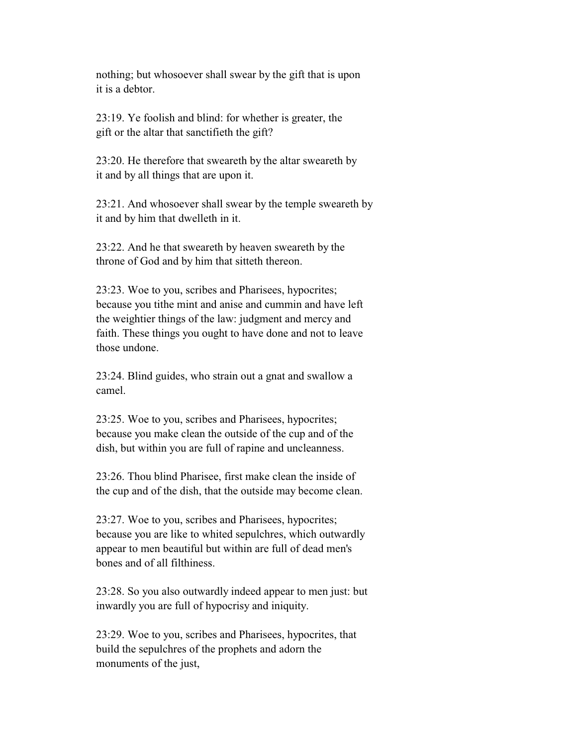nothing; but whosoever shall swear by the gift that is upon it is a debtor.

 23:19. Ye foolish and blind: for whether is greater, the gift or the altar that sanctifieth the gift?

 23:20. He therefore that sweareth by the altar sweareth by it and by all things that are upon it.

 23:21. And whosoever shall swear by the temple sweareth by it and by him that dwelleth in it.

 23:22. And he that sweareth by heaven sweareth by the throne of God and by him that sitteth thereon.

 23:23. Woe to you, scribes and Pharisees, hypocrites; because you tithe mint and anise and cummin and have left the weightier things of the law: judgment and mercy and faith. These things you ought to have done and not to leave those undone.

 23:24. Blind guides, who strain out a gnat and swallow a camel.

 23:25. Woe to you, scribes and Pharisees, hypocrites; because you make clean the outside of the cup and of the dish, but within you are full of rapine and uncleanness.

 23:26. Thou blind Pharisee, first make clean the inside of the cup and of the dish, that the outside may become clean.

 23:27. Woe to you, scribes and Pharisees, hypocrites; because you are like to whited sepulchres, which outwardly appear to men beautiful but within are full of dead men's bones and of all filthiness.

 23:28. So you also outwardly indeed appear to men just: but inwardly you are full of hypocrisy and iniquity.

 23:29. Woe to you, scribes and Pharisees, hypocrites, that build the sepulchres of the prophets and adorn the monuments of the just,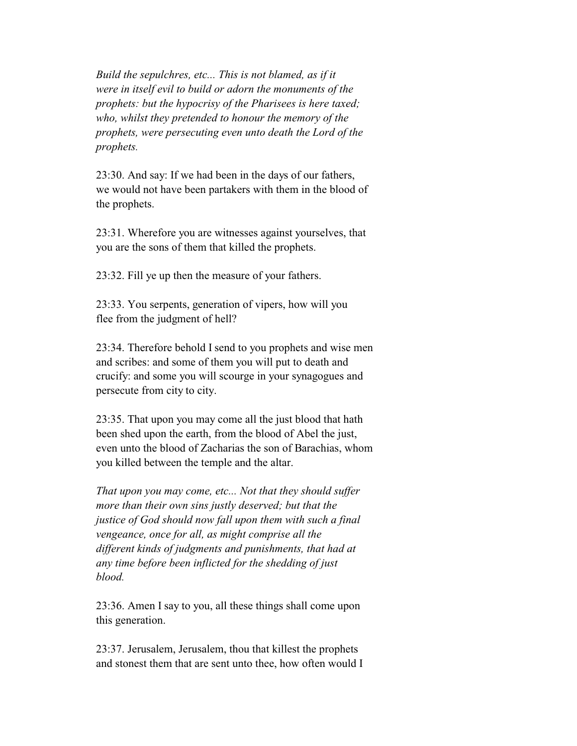*Build the sepulchres, etc... This is not blamed, as if it were in itself evil to build or adorn the monuments of the prophets: but the hypocrisy of the Pharisees is here taxed; who, whilst they pretended to honour the memory of the prophets, were persecuting even unto death the Lord of the prophets.*

 23:30. And say: If we had been in the days of our fathers, we would not have been partakers with them in the blood of the prophets.

 23:31. Wherefore you are witnesses against yourselves, that you are the sons of them that killed the prophets.

23:32. Fill ye up then the measure of your fathers.

 23:33. You serpents, generation of vipers, how will you flee from the judgment of hell?

 23:34. Therefore behold I send to you prophets and wise men and scribes: and some of them you will put to death and crucify: and some you will scourge in your synagogues and persecute from city to city.

 23:35. That upon you may come all the just blood that hath been shed upon the earth, from the blood of Abel the just, even unto the blood of Zacharias the son of Barachias, whom you killed between the temple and the altar.

 *That upon you may come, etc... Not that they should suffer more than their own sins justly deserved; but that the justice of God should now fall upon them with such a final vengeance, once for all, as might comprise all the different kinds of judgments and punishments, that had at any time before been inflicted for the shedding of just blood.*

 23:36. Amen I say to you, all these things shall come upon this generation.

 23:37. Jerusalem, Jerusalem, thou that killest the prophets and stonest them that are sent unto thee, how often would I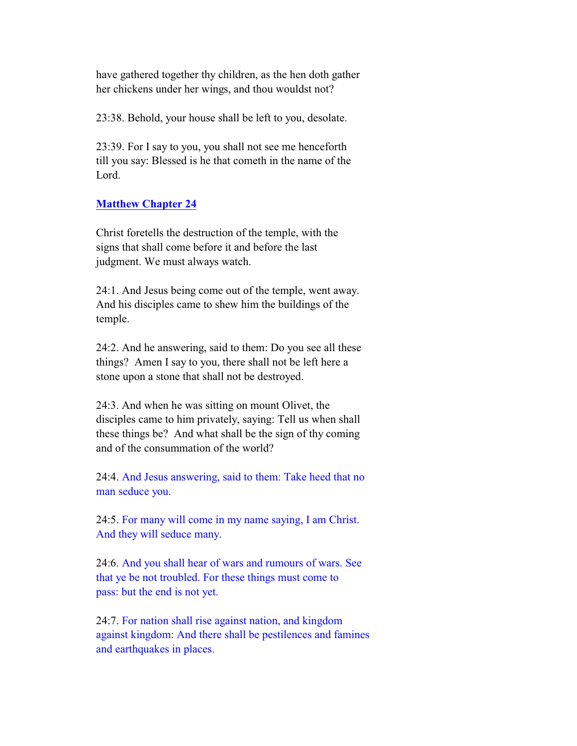have gathered together thy children, as the hen doth gather her chickens under her wings, and thou wouldst not?

23:38. Behold, your house shall be left to you, desolate.

 23:39. For I say to you, you shall not see me henceforth till you say: Blessed is he that cometh in the name of the Lord.

### **Matthew Chapter 24**

 Christ foretells the destruction of the temple, with the signs that shall come before it and before the last judgment. We must always watch.

 24:1. And Jesus being come out of the temple, went away. And his disciples came to shew him the buildings of the temple.

 24:2. And he answering, said to them: Do you see all these things? Amen I say to you, there shall not be left here a stone upon a stone that shall not be destroyed.

 24:3. And when he was sitting on mount Olivet, the disciples came to him privately, saying: Tell us when shall these things be? And what shall be the sign of thy coming and of the consummation of the world?

 24:4. And Jesus answering, said to them: Take heed that no man seduce you.

 24:5. For many will come in my name saying, I am Christ. And they will seduce many.

 24:6. And you shall hear of wars and rumours of wars. See that ye be not troubled. For these things must come to pass: but the end is not yet.

 24:7. For nation shall rise against nation, and kingdom against kingdom: And there shall be pestilences and famines and earthquakes in places.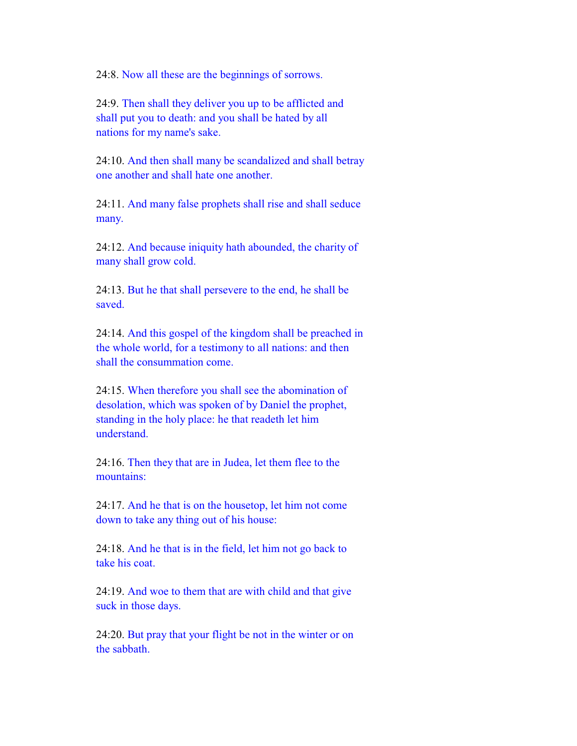24:8. Now all these are the beginnings of sorrows.

 24:9. Then shall they deliver you up to be afflicted and shall put you to death: and you shall be hated by all nations for my name's sake.

 24:10. And then shall many be scandalized and shall betray one another and shall hate one another.

 24:11. And many false prophets shall rise and shall seduce many.

 24:12. And because iniquity hath abounded, the charity of many shall grow cold.

 24:13. But he that shall persevere to the end, he shall be saved.

 24:14. And this gospel of the kingdom shall be preached in the whole world, for a testimony to all nations: and then shall the consummation come.

 24:15. When therefore you shall see the abomination of desolation, which was spoken of by Daniel the prophet, standing in the holy place: he that readeth let him understand.

 24:16. Then they that are in Judea, let them flee to the mountains:

 24:17. And he that is on the housetop, let him not come down to take any thing out of his house:

 24:18. And he that is in the field, let him not go back to take his coat.

 24:19. And woe to them that are with child and that give suck in those days.

 24:20. But pray that your flight be not in the winter or on the sabbath.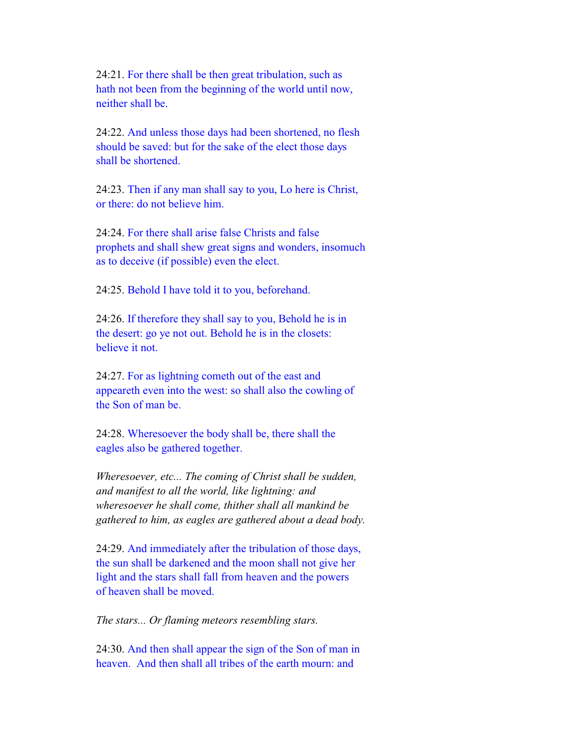24:21. For there shall be then great tribulation, such as hath not been from the beginning of the world until now, neither shall be.

 24:22. And unless those days had been shortened, no flesh should be saved: but for the sake of the elect those days shall be shortened.

 24:23. Then if any man shall say to you, Lo here is Christ, or there: do not believe him.

 24:24. For there shall arise false Christs and false prophets and shall shew great signs and wonders, insomuch as to deceive (if possible) even the elect.

24:25. Behold I have told it to you, beforehand.

 24:26. If therefore they shall say to you, Behold he is in the desert: go ye not out. Behold he is in the closets: believe it not.

 24:27. For as lightning cometh out of the east and appeareth even into the west: so shall also the cowling of the Son of man be.

 24:28. Wheresoever the body shall be, there shall the eagles also be gathered together.

 *Wheresoever, etc... The coming of Christ shall be sudden, and manifest to all the world, like lightning: and wheresoever he shall come, thither shall all mankind be gathered to him, as eagles are gathered about a dead body.*

 24:29. And immediately after the tribulation of those days, the sun shall be darkened and the moon shall not give her light and the stars shall fall from heaven and the powers of heaven shall be moved.

*The stars... Or flaming meteors resembling stars.*

 24:30. And then shall appear the sign of the Son of man in heaven. And then shall all tribes of the earth mourn: and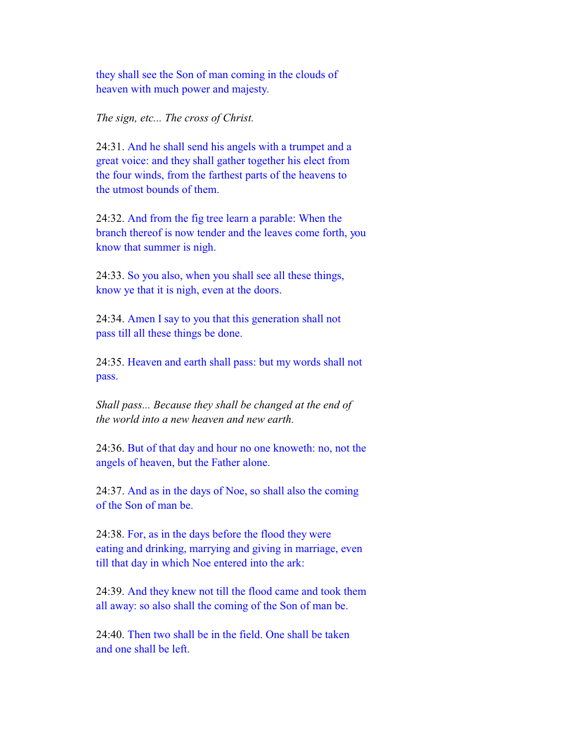they shall see the Son of man coming in the clouds of heaven with much power and majesty.

*The sign, etc... The cross of Christ.*

 24:31. And he shall send his angels with a trumpet and a great voice: and they shall gather together his elect from the four winds, from the farthest parts of the heavens to the utmost bounds of them.

 24:32. And from the fig tree learn a parable: When the branch thereof is now tender and the leaves come forth, you know that summer is nigh.

 24:33. So you also, when you shall see all these things, know ye that it is nigh, even at the doors.

 24:34. Amen I say to you that this generation shall not pass till all these things be done.

 24:35. Heaven and earth shall pass: but my words shall not pass.

 *Shall pass... Because they shall be changed at the end of the world into a new heaven and new earth.*

 24:36. But of that day and hour no one knoweth: no, not the angels of heaven, but the Father alone.

 24:37. And as in the days of Noe, so shall also the coming of the Son of man be.

 24:38. For, as in the days before the flood they were eating and drinking, marrying and giving in marriage, even till that day in which Noe entered into the ark:

 24:39. And they knew not till the flood came and took them all away: so also shall the coming of the Son of man be.

 24:40. Then two shall be in the field. One shall be taken and one shall be left.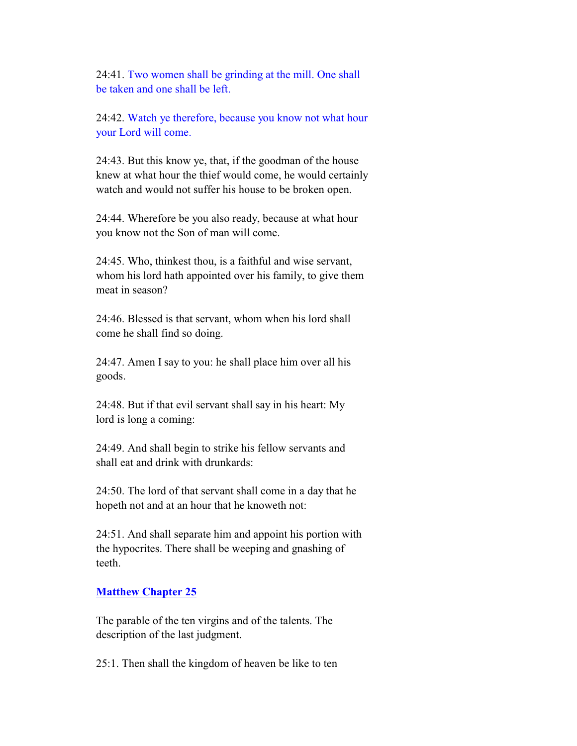24:41. Two women shall be grinding at the mill. One shall be taken and one shall be left.

 24:42. Watch ye therefore, because you know not what hour your Lord will come.

 24:43. But this know ye, that, if the goodman of the house knew at what hour the thief would come, he would certainly watch and would not suffer his house to be broken open.

 24:44. Wherefore be you also ready, because at what hour you know not the Son of man will come.

 24:45. Who, thinkest thou, is a faithful and wise servant, whom his lord hath appointed over his family, to give them meat in season?

 24:46. Blessed is that servant, whom when his lord shall come he shall find so doing.

 24:47. Amen I say to you: he shall place him over all his goods.

 24:48. But if that evil servant shall say in his heart: My lord is long a coming:

 24:49. And shall begin to strike his fellow servants and shall eat and drink with drunkards:

 24:50. The lord of that servant shall come in a day that he hopeth not and at an hour that he knoweth not:

 24:51. And shall separate him and appoint his portion with the hypocrites. There shall be weeping and gnashing of teeth.

### **Matthew Chapter 25**

 The parable of the ten virgins and of the talents. The description of the last judgment.

25:1. Then shall the kingdom of heaven be like to ten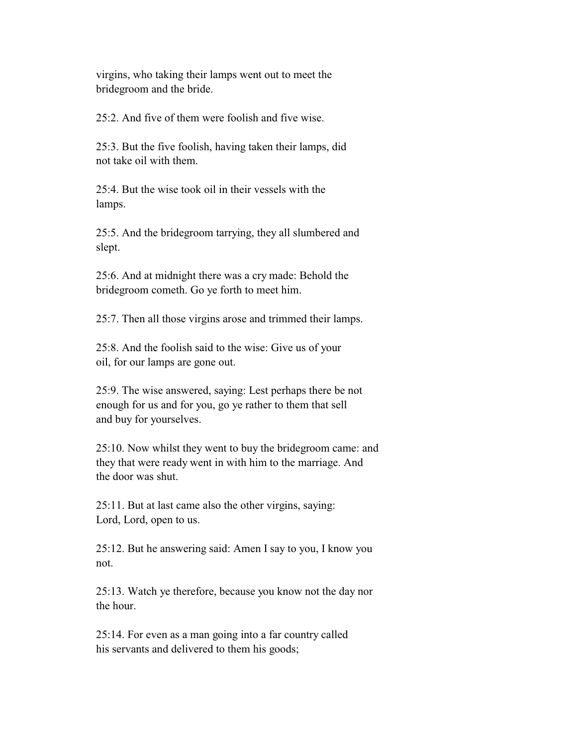virgins, who taking their lamps went out to meet the bridegroom and the bride.

25:2. And five of them were foolish and five wise.

 25:3. But the five foolish, having taken their lamps, did not take oil with them.

 25:4. But the wise took oil in their vessels with the lamps.

 25:5. And the bridegroom tarrying, they all slumbered and slept.

 25:6. And at midnight there was a cry made: Behold the bridegroom cometh. Go ye forth to meet him.

25:7. Then all those virgins arose and trimmed their lamps.

 25:8. And the foolish said to the wise: Give us of your oil, for our lamps are gone out.

 25:9. The wise answered, saying: Lest perhaps there be not enough for us and for you, go ye rather to them that sell and buy for yourselves.

 25:10. Now whilst they went to buy the bridegroom came: and they that were ready went in with him to the marriage. And the door was shut.

 25:11. But at last came also the other virgins, saying: Lord, Lord, open to us.

 25:12. But he answering said: Amen I say to you, I know you not.

 25:13. Watch ye therefore, because you know not the day nor the hour.

 25:14. For even as a man going into a far country called his servants and delivered to them his goods;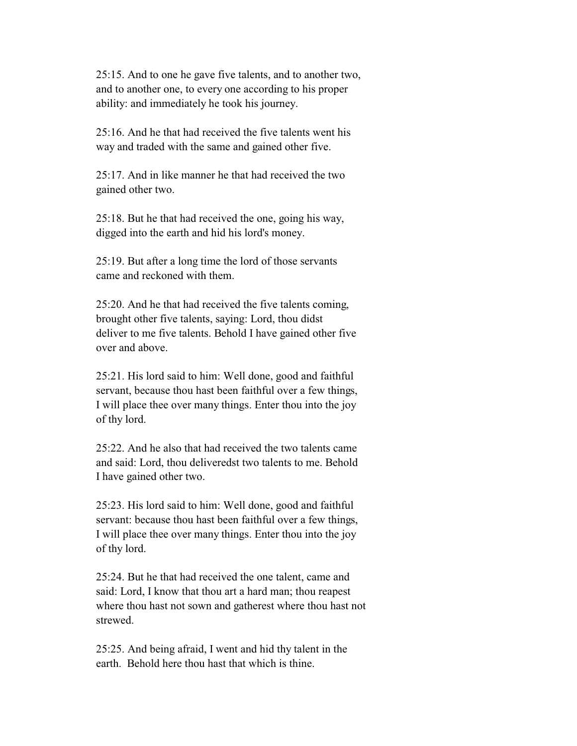25:15. And to one he gave five talents, and to another two, and to another one, to every one according to his proper ability: and immediately he took his journey.

 25:16. And he that had received the five talents went his way and traded with the same and gained other five.

 25:17. And in like manner he that had received the two gained other two.

 25:18. But he that had received the one, going his way, digged into the earth and hid his lord's money.

 25:19. But after a long time the lord of those servants came and reckoned with them.

 25:20. And he that had received the five talents coming, brought other five talents, saying: Lord, thou didst deliver to me five talents. Behold I have gained other five over and above.

 25:21. His lord said to him: Well done, good and faithful servant, because thou hast been faithful over a few things, I will place thee over many things. Enter thou into the joy of thy lord.

 $25:22$ . And he also that had received the two talents came and said: Lord, thou deliveredst two talents to me. Behold I have gained other two.

 25:23. His lord said to him: Well done, good and faithful servant: because thou hast been faithful over a few things, I will place thee over many things. Enter thou into the joy of thy lord.

 25:24. But he that had received the one talent, came and said: Lord, I know that thou art a hard man; thou reapest where thou hast not sown and gatherest where thou hast not strewed.

 25:25. And being afraid, I went and hid thy talent in the earth. Behold here thou hast that which is thine.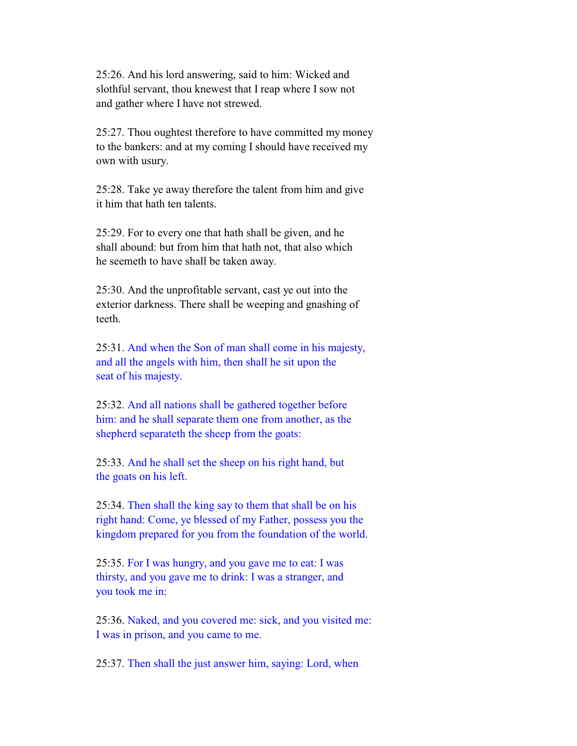25:26. And his lord answering, said to him: Wicked and slothful servant, thou knewest that I reap where I sow not and gather where I have not strewed.

 25:27. Thou oughtest therefore to have committed my money to the bankers: and at my coming I should have received my own with usury.

 25:28. Take ye away therefore the talent from him and give it him that hath ten talents.

 25:29. For to every one that hath shall be given, and he shall abound: but from him that hath not, that also which he seemeth to have shall be taken away.

 25:30. And the unprofitable servant, cast ye out into the exterior darkness. There shall be weeping and gnashing of teeth.

 25:31. And when the Son of man shall come in his majesty, and all the angels with him, then shall he sit upon the seat of his majesty.

 25:32. And all nations shall be gathered together before him: and he shall separate them one from another, as the shepherd separateth the sheep from the goats:

 25:33. And he shall set the sheep on his right hand, but the goats on his left.

 25:34. Then shall the king say to them that shall be on his right hand: Come, ye blessed of my Father, possess you the kingdom prepared for you from the foundation of the world.

 25:35. For I was hungry, and you gave me to eat: I was thirsty, and you gave me to drink: I was a stranger, and you took me in:

 25:36. Naked, and you covered me: sick, and you visited me: I was in prison, and you came to me.

25:37. Then shall the just answer him, saying: Lord, when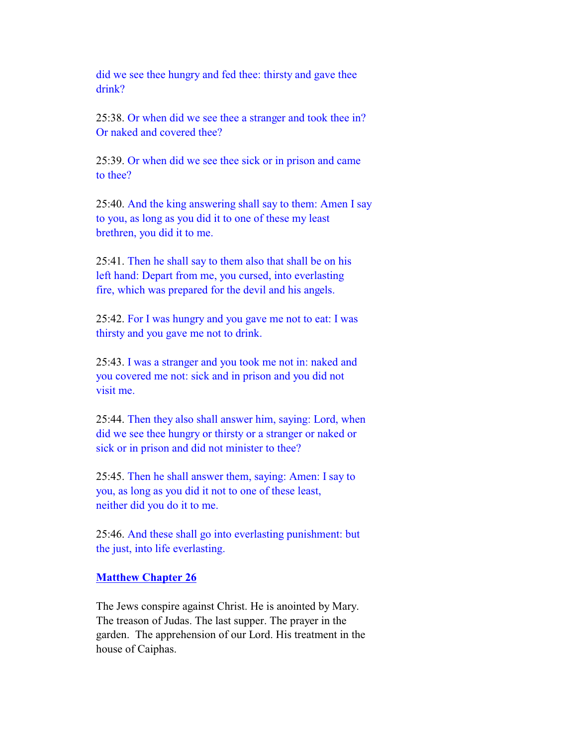did we see thee hungry and fed thee: thirsty and gave thee drink?

 25:38. Or when did we see thee a stranger and took thee in? Or naked and covered thee?

 25:39. Or when did we see thee sick or in prison and came to thee?

 25:40. And the king answering shall say to them: Amen I say to you, as long as you did it to one of these my least brethren, you did it to me.

 25:41. Then he shall say to them also that shall be on his left hand: Depart from me, you cursed, into everlasting fire, which was prepared for the devil and his angels.

 25:42. For I was hungry and you gave me not to eat: I was thirsty and you gave me not to drink.

 25:43. I was a stranger and you took me not in: naked and you covered me not: sick and in prison and you did not visit me.

 25:44. Then they also shall answer him, saying: Lord, when did we see thee hungry or thirsty or a stranger or naked or sick or in prison and did not minister to thee?

 25:45. Then he shall answer them, saying: Amen: I say to you, as long as you did it not to one of these least, neither did you do it to me.

 25:46. And these shall go into everlasting punishment: but the just, into life everlasting.

#### **Matthew Chapter 26**

 The Jews conspire against Christ. He is anointed by Mary. The treason of Judas. The last supper. The prayer in the garden. The apprehension of our Lord. His treatment in the house of Caiphas.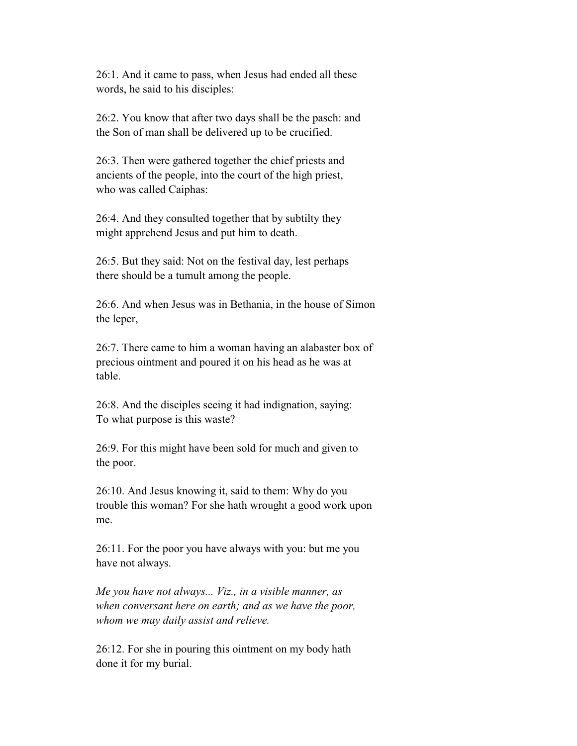26:1. And it came to pass, when Jesus had ended all these words, he said to his disciples:

 26:2. You know that after two days shall be the pasch: and the Son of man shall be delivered up to be crucified.

 26:3. Then were gathered together the chief priests and ancients of the people, into the court of the high priest, who was called Caiphas:

 26:4. And they consulted together that by subtilty they might apprehend Jesus and put him to death.

 26:5. But they said: Not on the festival day, lest perhaps there should be a tumult among the people.

 26:6. And when Jesus was in Bethania, in the house of Simon the leper,

 26:7. There came to him a woman having an alabaster box of precious ointment and poured it on his head as he was at table.

 26:8. And the disciples seeing it had indignation, saying: To what purpose is this waste?

 26:9. For this might have been sold for much and given to the poor.

 26:10. And Jesus knowing it, said to them: Why do you trouble this woman? For she hath wrought a good work upon me.

 26:11. For the poor you have always with you: but me you have not always.

 *Me you have not always... Viz., in a visible manner, as when conversant here on earth; and as we have the poor, whom we may daily assist and relieve.*

 26:12. For she in pouring this ointment on my body hath done it for my burial.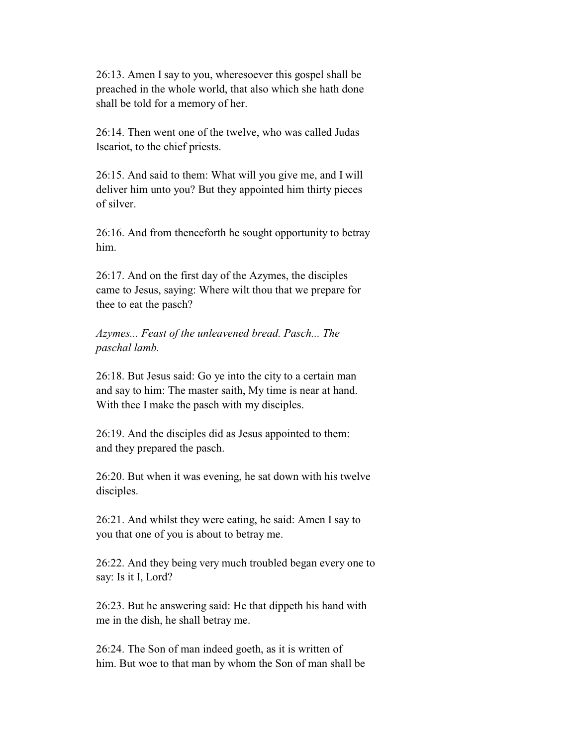26:13. Amen I say to you, wheresoever this gospel shall be preached in the whole world, that also which she hath done shall be told for a memory of her.

 26:14. Then went one of the twelve, who was called Judas Iscariot, to the chief priests.

 26:15. And said to them: What will you give me, and I will deliver him unto you? But they appointed him thirty pieces of silver.

 26:16. And from thenceforth he sought opportunity to betray him.

 26:17. And on the first day of the Azymes, the disciples came to Jesus, saying: Where wilt thou that we prepare for thee to eat the pasch?

 *Azymes... Feast of the unleavened bread. Pasch... The paschal lamb.*

 26:18. But Jesus said: Go ye into the city to a certain man and say to him: The master saith, My time is near at hand. With thee I make the pasch with my disciples.

 26:19. And the disciples did as Jesus appointed to them: and they prepared the pasch.

 26:20. But when it was evening, he sat down with his twelve disciples.

 26:21. And whilst they were eating, he said: Amen I say to you that one of you is about to betray me.

 26:22. And they being very much troubled began every one to say: Is it I, Lord?

 26:23. But he answering said: He that dippeth his hand with me in the dish, he shall betray me.

 26:24. The Son of man indeed goeth, as it is written of him. But woe to that man by whom the Son of man shall be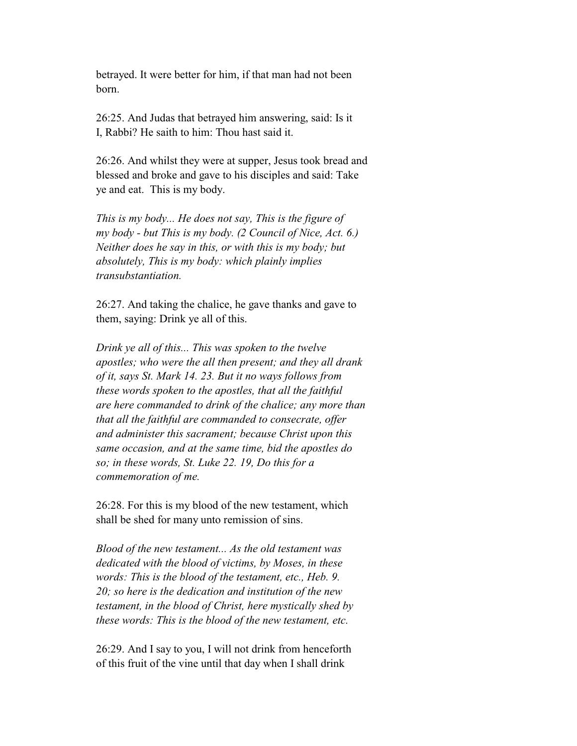betrayed. It were better for him, if that man had not been born.

 26:25. And Judas that betrayed him answering, said: Is it I, Rabbi? He saith to him: Thou hast said it.

 26:26. And whilst they were at supper, Jesus took bread and blessed and broke and gave to his disciples and said: Take ye and eat. This is my body.

 *This is my body... He does not say, This is the figure of my body - but This is my body. (2 Council of Nice, Act. 6.) Neither does he say in this, or with this is my body; but absolutely, This is my body: which plainly implies transubstantiation.*

 26:27. And taking the chalice, he gave thanks and gave to them, saying: Drink ye all of this.

 *Drink ye all of this... This was spoken to the twelve apostles; who were the all then present; and they all drank of it, says St. Mark 14. 23. But it no ways follows from these words spoken to the apostles, that all the faithful are here commanded to drink of the chalice; any more than that all the faithful are commanded to consecrate, offer and administer this sacrament; because Christ upon this same occasion, and at the same time, bid the apostles do so; in these words, St. Luke 22. 19, Do this for a commemoration of me.*

 26:28. For this is my blood of the new testament, which shall be shed for many unto remission of sins.

 *Blood of the new testament... As the old testament was dedicated with the blood of victims, by Moses, in these words: This is the blood of the testament, etc., Heb. 9. 20; so here is the dedication and institution of the new testament, in the blood of Christ, here mystically shed by these words: This is the blood of the new testament, etc.*

 26:29. And I say to you, I will not drink from henceforth of this fruit of the vine until that day when I shall drink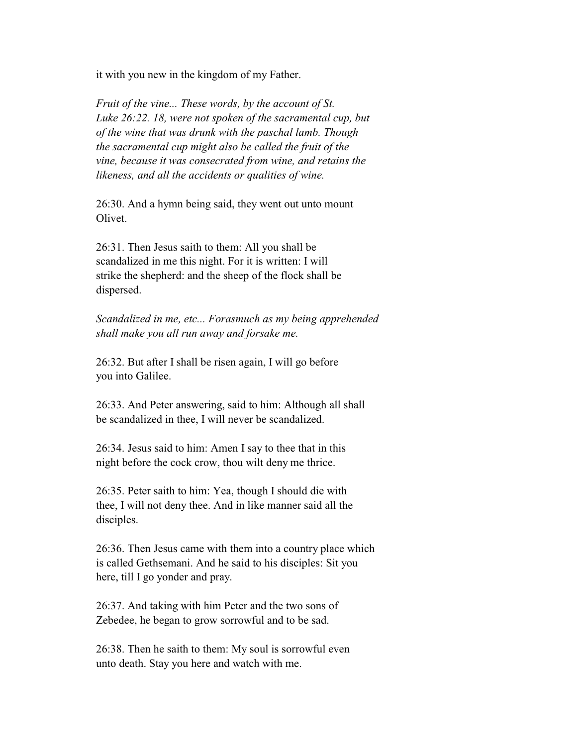it with you new in the kingdom of my Father.

 *Fruit of the vine... These words, by the account of St. Luke 26:22. 18, were not spoken of the sacramental cup, but of the wine that was drunk with the paschal lamb. Though the sacramental cup might also be called the fruit of the vine, because it was consecrated from wine, and retains the likeness, and all the accidents or qualities of wine.*

 26:30. And a hymn being said, they went out unto mount Olivet.

 26:31. Then Jesus saith to them: All you shall be scandalized in me this night. For it is written: I will strike the shepherd: and the sheep of the flock shall be dispersed.

 *Scandalized in me, etc... Forasmuch as my being apprehended shall make you all run away and forsake me.*

 26:32. But after I shall be risen again, I will go before you into Galilee.

 26:33. And Peter answering, said to him: Although all shall be scandalized in thee, I will never be scandalized.

 26:34. Jesus said to him: Amen I say to thee that in this night before the cock crow, thou wilt deny me thrice.

 26:35. Peter saith to him: Yea, though I should die with thee, I will not deny thee. And in like manner said all the disciples.

 26:36. Then Jesus came with them into a country place which is called Gethsemani. And he said to his disciples: Sit you here, till I go yonder and pray.

 26:37. And taking with him Peter and the two sons of Zebedee, he began to grow sorrowful and to be sad.

 26:38. Then he saith to them: My soul is sorrowful even unto death. Stay you here and watch with me.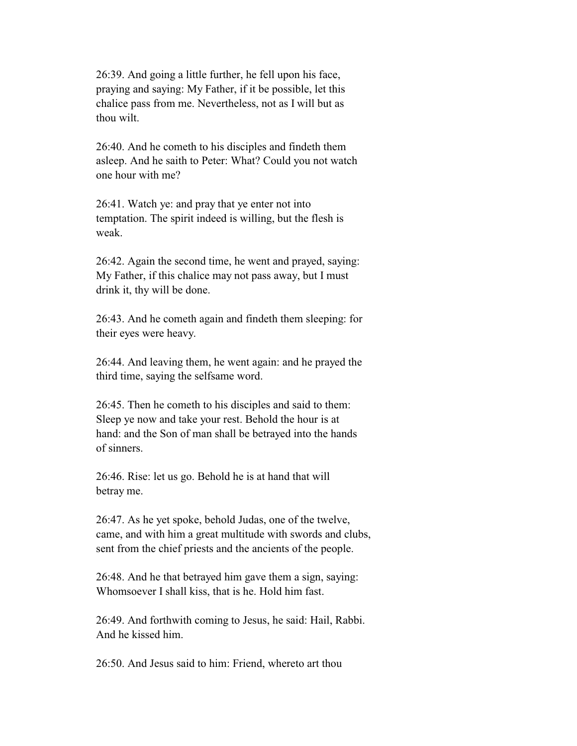26:39. And going a little further, he fell upon his face, praying and saying: My Father, if it be possible, let this chalice pass from me. Nevertheless, not as I will but as thou wilt.

 26:40. And he cometh to his disciples and findeth them asleep. And he saith to Peter: What? Could you not watch one hour with me?

 26:41. Watch ye: and pray that ye enter not into temptation. The spirit indeed is willing, but the flesh is weak.

 26:42. Again the second time, he went and prayed, saying: My Father, if this chalice may not pass away, but I must drink it, thy will be done.

 26:43. And he cometh again and findeth them sleeping: for their eyes were heavy.

 26:44. And leaving them, he went again: and he prayed the third time, saying the selfsame word.

 26:45. Then he cometh to his disciples and said to them: Sleep ye now and take your rest. Behold the hour is at hand: and the Son of man shall be betrayed into the hands of sinners.

 26:46. Rise: let us go. Behold he is at hand that will betray me.

 26:47. As he yet spoke, behold Judas, one of the twelve, came, and with him a great multitude with swords and clubs, sent from the chief priests and the ancients of the people.

 26:48. And he that betrayed him gave them a sign, saying: Whomsoever I shall kiss, that is he. Hold him fast.

 26:49. And forthwith coming to Jesus, he said: Hail, Rabbi. And he kissed him.

26:50. And Jesus said to him: Friend, whereto art thou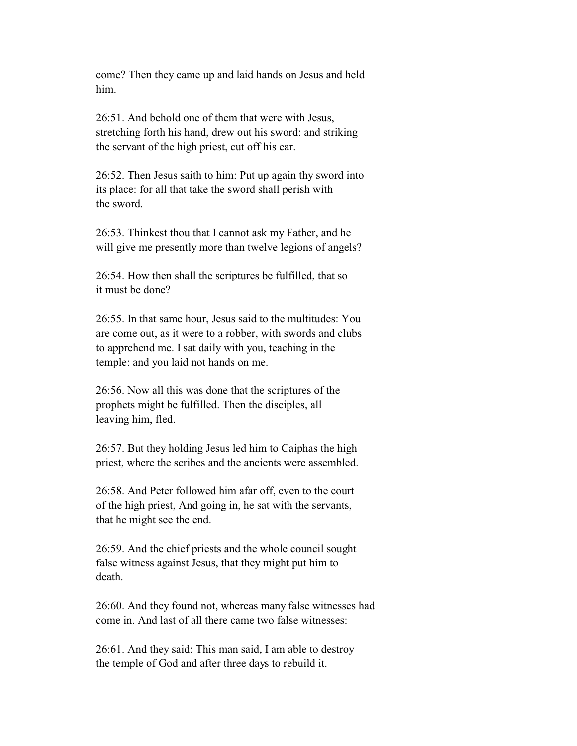come? Then they came up and laid hands on Jesus and held him.

 26:51. And behold one of them that were with Jesus, stretching forth his hand, drew out his sword: and striking the servant of the high priest, cut off his ear.

 26:52. Then Jesus saith to him: Put up again thy sword into its place: for all that take the sword shall perish with the sword.

 26:53. Thinkest thou that I cannot ask my Father, and he will give me presently more than twelve legions of angels?

 26:54. How then shall the scriptures be fulfilled, that so it must be done?

 26:55. In that same hour, Jesus said to the multitudes: You are come out, as it were to a robber, with swords and clubs to apprehend me. I sat daily with you, teaching in the temple: and you laid not hands on me.

 26:56. Now all this was done that the scriptures of the prophets might be fulfilled. Then the disciples, all leaving him, fled.

 26:57. But they holding Jesus led him to Caiphas the high priest, where the scribes and the ancients were assembled.

 26:58. And Peter followed him afar off, even to the court of the high priest, And going in, he sat with the servants, that he might see the end.

 26:59. And the chief priests and the whole council sought false witness against Jesus, that they might put him to death.

 26:60. And they found not, whereas many false witnesses had come in. And last of all there came two false witnesses:

 26:61. And they said: This man said, I am able to destroy the temple of God and after three days to rebuild it.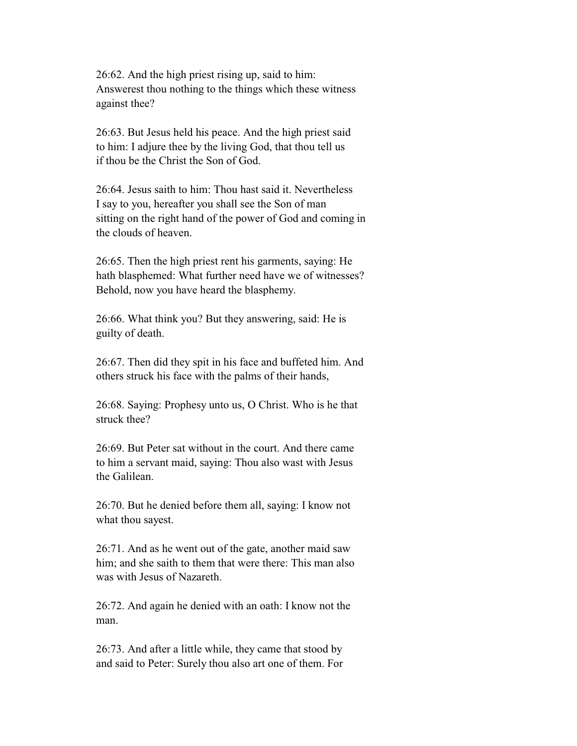26:62. And the high priest rising up, said to him: Answerest thou nothing to the things which these witness against thee?

 26:63. But Jesus held his peace. And the high priest said to him: I adjure thee by the living God, that thou tell us if thou be the Christ the Son of God.

 26:64. Jesus saith to him: Thou hast said it. Nevertheless I say to you, hereafter you shall see the Son of man sitting on the right hand of the power of God and coming in the clouds of heaven.

 26:65. Then the high priest rent his garments, saying: He hath blasphemed: What further need have we of witnesses? Behold, now you have heard the blasphemy.

 26:66. What think you? But they answering, said: He is guilty of death.

 26:67. Then did they spit in his face and buffeted him. And others struck his face with the palms of their hands,

 26:68. Saying: Prophesy unto us, O Christ. Who is he that struck thee?

 26:69. But Peter sat without in the court. And there came to him a servant maid, saying: Thou also wast with Jesus the Galilean.

 26:70. But he denied before them all, saying: I know not what thou sayest.

 26:71. And as he went out of the gate, another maid saw him; and she saith to them that were there: This man also was with Jesus of Nazareth.

 26:72. And again he denied with an oath: I know not the man.

 26:73. And after a little while, they came that stood by and said to Peter: Surely thou also art one of them. For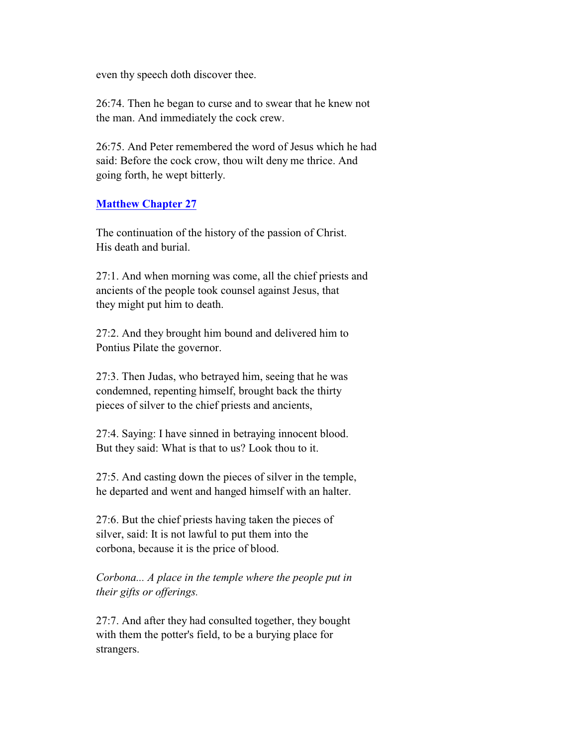even thy speech doth discover thee.

 26:74. Then he began to curse and to swear that he knew not the man. And immediately the cock crew.

 26:75. And Peter remembered the word of Jesus which he had said: Before the cock crow, thou wilt deny me thrice. And going forth, he wept bitterly.

# **Matthew Chapter 27**

 The continuation of the history of the passion of Christ. His death and burial.

 27:1. And when morning was come, all the chief priests and ancients of the people took counsel against Jesus, that they might put him to death.

 27:2. And they brought him bound and delivered him to Pontius Pilate the governor.

 27:3. Then Judas, who betrayed him, seeing that he was condemned, repenting himself, brought back the thirty pieces of silver to the chief priests and ancients,

 27:4. Saying: I have sinned in betraying innocent blood. But they said: What is that to us? Look thou to it.

 27:5. And casting down the pieces of silver in the temple, he departed and went and hanged himself with an halter.

 27:6. But the chief priests having taken the pieces of silver, said: It is not lawful to put them into the corbona, because it is the price of blood.

 *Corbona... A place in the temple where the people put in their gifts or offerings.*

 27:7. And after they had consulted together, they bought with them the potter's field, to be a burying place for strangers.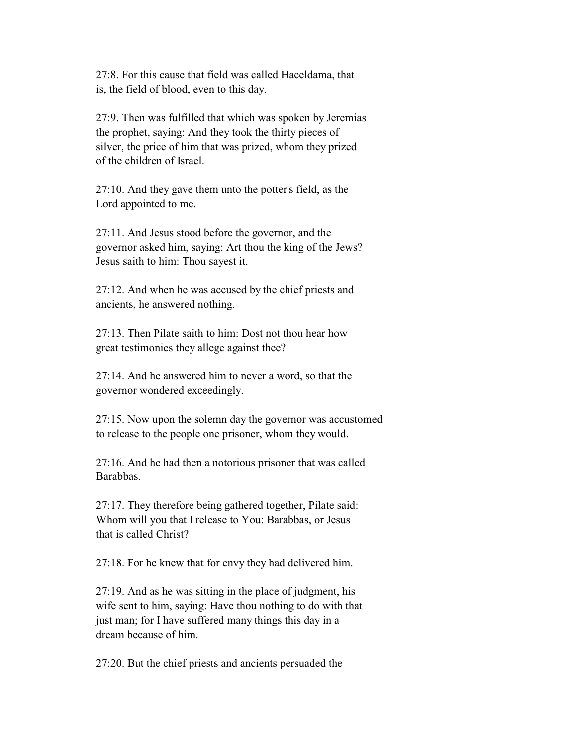27:8. For this cause that field was called Haceldama, that is, the field of blood, even to this day.

 27:9. Then was fulfilled that which was spoken by Jeremias the prophet, saying: And they took the thirty pieces of silver, the price of him that was prized, whom they prized of the children of Israel.

 27:10. And they gave them unto the potter's field, as the Lord appointed to me.

 27:11. And Jesus stood before the governor, and the governor asked him, saying: Art thou the king of the Jews? Jesus saith to him: Thou sayest it.

 27:12. And when he was accused by the chief priests and ancients, he answered nothing.

 27:13. Then Pilate saith to him: Dost not thou hear how great testimonies they allege against thee?

 27:14. And he answered him to never a word, so that the governor wondered exceedingly.

 27:15. Now upon the solemn day the governor was accustomed to release to the people one prisoner, whom they would.

 27:16. And he had then a notorious prisoner that was called Barabbas.

 27:17. They therefore being gathered together, Pilate said: Whom will you that I release to You: Barabbas, or Jesus that is called Christ?

27:18. For he knew that for envy they had delivered him.

 27:19. And as he was sitting in the place of judgment, his wife sent to him, saying: Have thou nothing to do with that just man; for I have suffered many things this day in a dream because of him.

27:20. But the chief priests and ancients persuaded the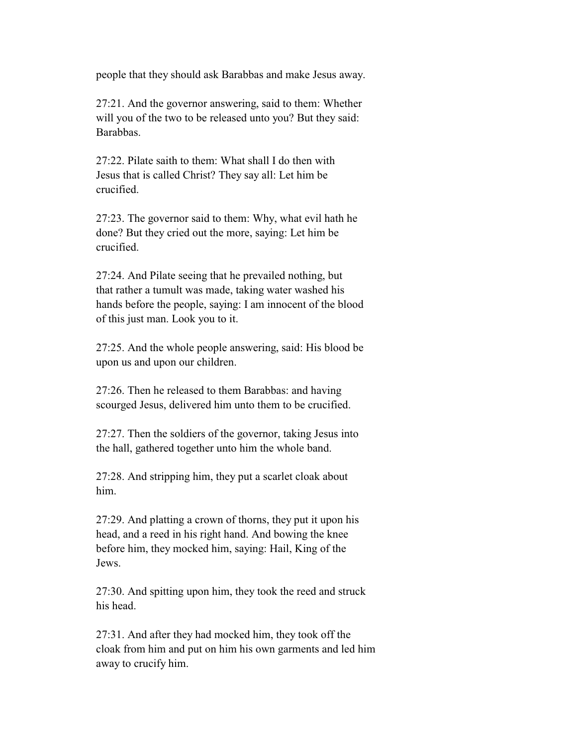people that they should ask Barabbas and make Jesus away.

 27:21. And the governor answering, said to them: Whether will you of the two to be released unto you? But they said: Barabbas.

 27:22. Pilate saith to them: What shall I do then with Jesus that is called Christ? They say all: Let him be crucified.

 27:23. The governor said to them: Why, what evil hath he done? But they cried out the more, saying: Let him be crucified.

 27:24. And Pilate seeing that he prevailed nothing, but that rather a tumult was made, taking water washed his hands before the people, saying: I am innocent of the blood of this just man. Look you to it.

 27:25. And the whole people answering, said: His blood be upon us and upon our children.

 27:26. Then he released to them Barabbas: and having scourged Jesus, delivered him unto them to be crucified.

 27:27. Then the soldiers of the governor, taking Jesus into the hall, gathered together unto him the whole band.

 27:28. And stripping him, they put a scarlet cloak about him.

 27:29. And platting a crown of thorns, they put it upon his head, and a reed in his right hand. And bowing the knee before him, they mocked him, saying: Hail, King of the Jews.

 27:30. And spitting upon him, they took the reed and struck his head.

 27:31. And after they had mocked him, they took off the cloak from him and put on him his own garments and led him away to crucify him.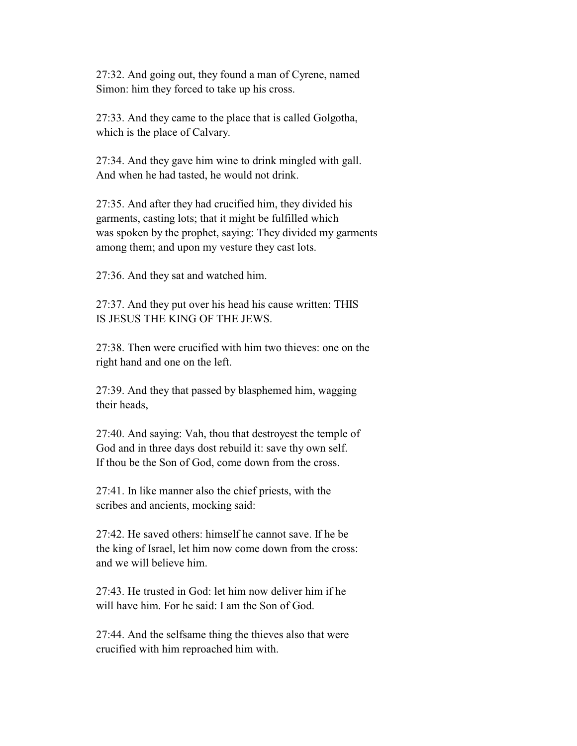27:32. And going out, they found a man of Cyrene, named Simon: him they forced to take up his cross.

 27:33. And they came to the place that is called Golgotha, which is the place of Calvary.

 27:34. And they gave him wine to drink mingled with gall. And when he had tasted, he would not drink.

 27:35. And after they had crucified him, they divided his garments, casting lots; that it might be fulfilled which was spoken by the prophet, saying: They divided my garments among them; and upon my vesture they cast lots.

27:36. And they sat and watched him.

 27:37. And they put over his head his cause written: THIS IS JESUS THE KING OF THE JEWS.

 27:38. Then were crucified with him two thieves: one on the right hand and one on the left.

 27:39. And they that passed by blasphemed him, wagging their heads,

 27:40. And saying: Vah, thou that destroyest the temple of God and in three days dost rebuild it: save thy own self. If thou be the Son of God, come down from the cross.

 27:41. In like manner also the chief priests, with the scribes and ancients, mocking said:

 27:42. He saved others: himself he cannot save. If he be the king of Israel, let him now come down from the cross: and we will believe him.

 27:43. He trusted in God: let him now deliver him if he will have him. For he said: I am the Son of God.

 27:44. And the selfsame thing the thieves also that were crucified with him reproached him with.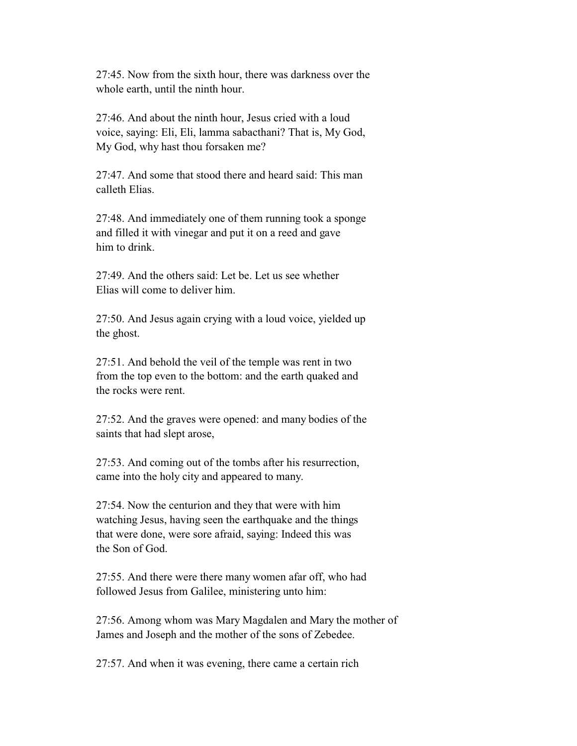27:45. Now from the sixth hour, there was darkness over the whole earth, until the ninth hour.

 27:46. And about the ninth hour, Jesus cried with a loud voice, saying: Eli, Eli, lamma sabacthani? That is, My God, My God, why hast thou forsaken me?

 27:47. And some that stood there and heard said: This man calleth Elias.

 27:48. And immediately one of them running took a sponge and filled it with vinegar and put it on a reed and gave him to drink.

 27:49. And the others said: Let be. Let us see whether Elias will come to deliver him.

 27:50. And Jesus again crying with a loud voice, yielded up the ghost.

 27:51. And behold the veil of the temple was rent in two from the top even to the bottom: and the earth quaked and the rocks were rent.

 27:52. And the graves were opened: and many bodies of the saints that had slept arose,

 27:53. And coming out of the tombs after his resurrection, came into the holy city and appeared to many.

 27:54. Now the centurion and they that were with him watching Jesus, having seen the earthquake and the things that were done, were sore afraid, saying: Indeed this was the Son of God.

 27:55. And there were there many women afar off, who had followed Jesus from Galilee, ministering unto him:

 27:56. Among whom was Mary Magdalen and Mary the mother of James and Joseph and the mother of the sons of Zebedee.

27:57. And when it was evening, there came a certain rich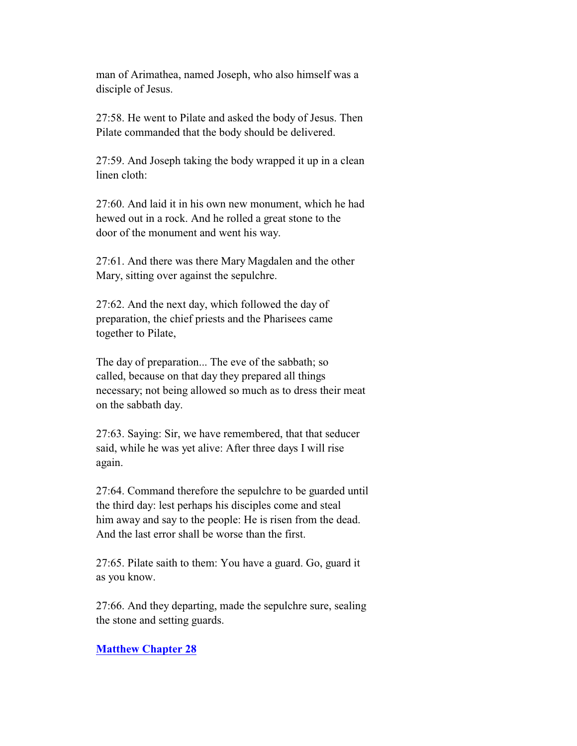man of Arimathea, named Joseph, who also himself was a disciple of Jesus.

 27:58. He went to Pilate and asked the body of Jesus. Then Pilate commanded that the body should be delivered.

 27:59. And Joseph taking the body wrapped it up in a clean linen cloth:

 27:60. And laid it in his own new monument, which he had hewed out in a rock. And he rolled a great stone to the door of the monument and went his way.

 27:61. And there was there Mary Magdalen and the other Mary, sitting over against the sepulchre.

 27:62. And the next day, which followed the day of preparation, the chief priests and the Pharisees came together to Pilate,

 The day of preparation... The eve of the sabbath; so called, because on that day they prepared all things necessary; not being allowed so much as to dress their meat on the sabbath day.

 27:63. Saying: Sir, we have remembered, that that seducer said, while he was yet alive: After three days I will rise again.

 27:64. Command therefore the sepulchre to be guarded until the third day: lest perhaps his disciples come and steal him away and say to the people: He is risen from the dead. And the last error shall be worse than the first.

 27:65. Pilate saith to them: You have a guard. Go, guard it as you know.

 27:66. And they departing, made the sepulchre sure, sealing the stone and setting guards.

### **Matthew Chapter 28**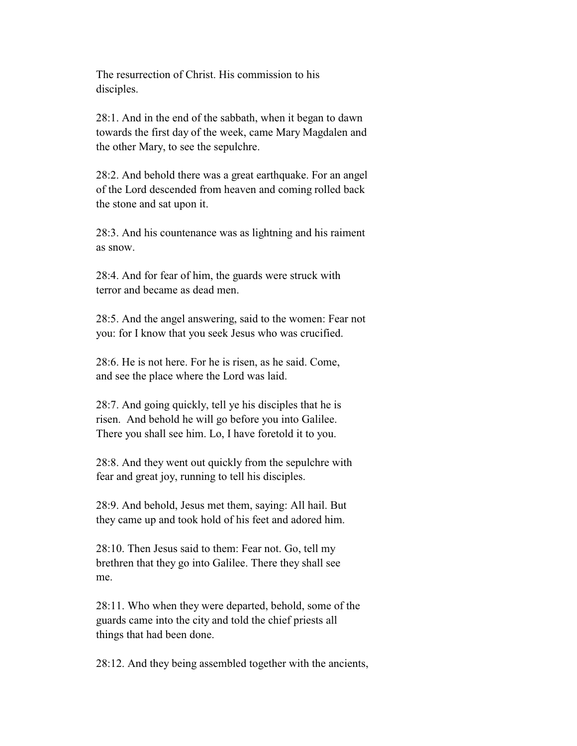The resurrection of Christ. His commission to his disciples.

 28:1. And in the end of the sabbath, when it began to dawn towards the first day of the week, came Mary Magdalen and the other Mary, to see the sepulchre.

 28:2. And behold there was a great earthquake. For an angel of the Lord descended from heaven and coming rolled back the stone and sat upon it.

 28:3. And his countenance was as lightning and his raiment as snow.

 28:4. And for fear of him, the guards were struck with terror and became as dead men.

 28:5. And the angel answering, said to the women: Fear not you: for I know that you seek Jesus who was crucified.

 28:6. He is not here. For he is risen, as he said. Come, and see the place where the Lord was laid.

 28:7. And going quickly, tell ye his disciples that he is risen. And behold he will go before you into Galilee. There you shall see him. Lo, I have foretold it to you.

 28:8. And they went out quickly from the sepulchre with fear and great joy, running to tell his disciples.

 28:9. And behold, Jesus met them, saying: All hail. But they came up and took hold of his feet and adored him.

 28:10. Then Jesus said to them: Fear not. Go, tell my brethren that they go into Galilee. There they shall see me.

 28:11. Who when they were departed, behold, some of the guards came into the city and told the chief priests all things that had been done.

28:12. And they being assembled together with the ancients,